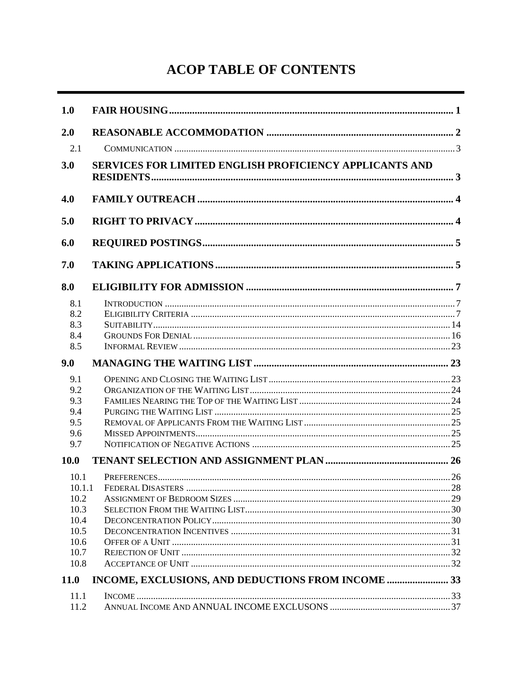# **ACOP TABLE OF CONTENTS**

| 1.0          |                                                         |  |  |
|--------------|---------------------------------------------------------|--|--|
| 2.0          |                                                         |  |  |
| 2.1          |                                                         |  |  |
| 3.0          | SERVICES FOR LIMITED ENGLISH PROFICIENCY APPLICANTS AND |  |  |
| 4.0          |                                                         |  |  |
| 5.0          |                                                         |  |  |
| 6.0          |                                                         |  |  |
| 7.0          |                                                         |  |  |
| 8.0          |                                                         |  |  |
| 8.1          |                                                         |  |  |
| 8.2          |                                                         |  |  |
| 8.3<br>8.4   |                                                         |  |  |
| 8.5          |                                                         |  |  |
| 9.0          |                                                         |  |  |
|              |                                                         |  |  |
| 9.1          |                                                         |  |  |
| 9.2          |                                                         |  |  |
| 9.3          |                                                         |  |  |
| 9.4          |                                                         |  |  |
| 9.5          |                                                         |  |  |
| 9.6<br>9.7   |                                                         |  |  |
| 10.0         |                                                         |  |  |
| 10.1         |                                                         |  |  |
| 10.1.1       |                                                         |  |  |
| 10.2         |                                                         |  |  |
| 10.3         |                                                         |  |  |
| 10.4         |                                                         |  |  |
| 10.5         |                                                         |  |  |
| 10.6         |                                                         |  |  |
| 10.7<br>10.8 |                                                         |  |  |
| <b>11.0</b>  | INCOME, EXCLUSIONS, AND DEDUCTIONS FROM INCOME  33      |  |  |
| 11.1         |                                                         |  |  |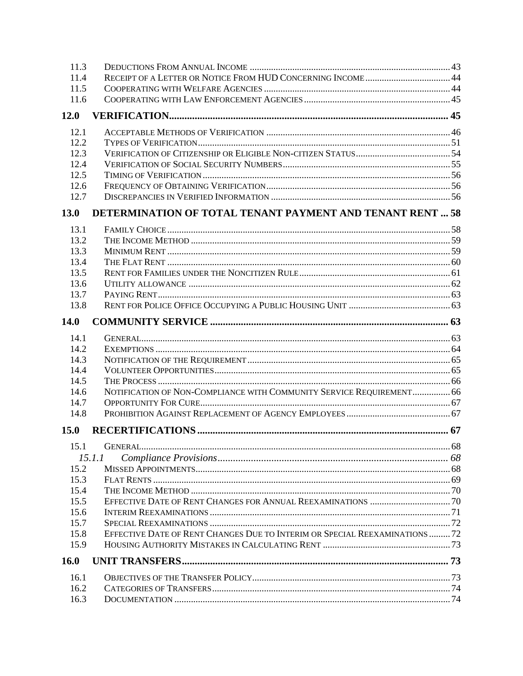| 11.3        |                                                                            |  |  |  |
|-------------|----------------------------------------------------------------------------|--|--|--|
| 11.4        |                                                                            |  |  |  |
| 11.5        |                                                                            |  |  |  |
| 11.6        |                                                                            |  |  |  |
| 12.0        |                                                                            |  |  |  |
| 12.1        |                                                                            |  |  |  |
| 12.2        |                                                                            |  |  |  |
| 12.3        |                                                                            |  |  |  |
| 12.4        |                                                                            |  |  |  |
| 12.5        |                                                                            |  |  |  |
| 12.6        |                                                                            |  |  |  |
| 12.7        |                                                                            |  |  |  |
| <b>13.0</b> | DETERMINATION OF TOTAL TENANT PAYMENT AND TENANT RENT  58                  |  |  |  |
| 13.1        |                                                                            |  |  |  |
| 13.2        |                                                                            |  |  |  |
| 13.3        |                                                                            |  |  |  |
| 13.4        |                                                                            |  |  |  |
| 13.5        |                                                                            |  |  |  |
| 13.6        |                                                                            |  |  |  |
| 13.7        |                                                                            |  |  |  |
| 13.8        |                                                                            |  |  |  |
| 14.0        |                                                                            |  |  |  |
| 14.1        |                                                                            |  |  |  |
| 14.2        |                                                                            |  |  |  |
| 14.3        |                                                                            |  |  |  |
| 14.4        |                                                                            |  |  |  |
| 14.5        |                                                                            |  |  |  |
| 14.6        | NOTIFICATION OF NON-COMPLIANCE WITH COMMUNITY SERVICE REQUIREMENT 66       |  |  |  |
| 14.7        |                                                                            |  |  |  |
| 14.8        |                                                                            |  |  |  |
| <b>15.0</b> |                                                                            |  |  |  |
|             |                                                                            |  |  |  |
|             | 15.1.1                                                                     |  |  |  |
| 15.2        |                                                                            |  |  |  |
| 15.3        |                                                                            |  |  |  |
| 15.4        |                                                                            |  |  |  |
| 15.5        |                                                                            |  |  |  |
| 15.6        |                                                                            |  |  |  |
| 15.7        |                                                                            |  |  |  |
| 15.8        | EFFECTIVE DATE OF RENT CHANGES DUE TO INTERIM OR SPECIAL REEXAMINATIONS 72 |  |  |  |
| 15.9        |                                                                            |  |  |  |
| 16.0        |                                                                            |  |  |  |
| 16.1        |                                                                            |  |  |  |
| 16.2        |                                                                            |  |  |  |
| 16.3        |                                                                            |  |  |  |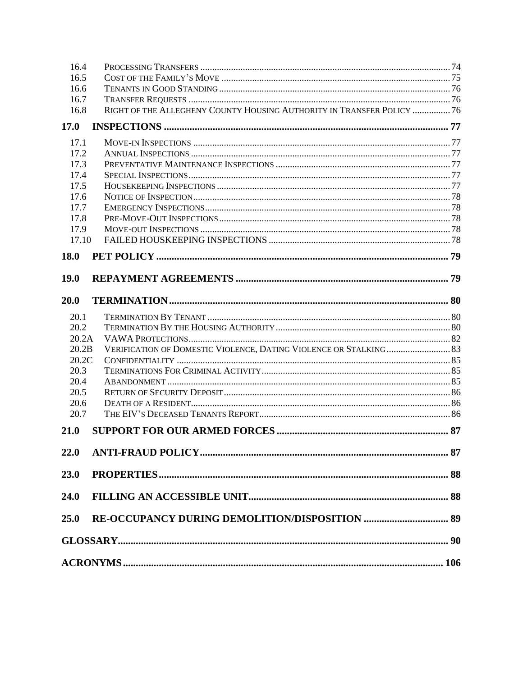| 16.4        |                                                                        |  |
|-------------|------------------------------------------------------------------------|--|
| 16.5        |                                                                        |  |
| 16.6        |                                                                        |  |
| 16.7        |                                                                        |  |
| 16.8        | RIGHT OF THE ALLEGHENY COUNTY HOUSING AUTHORITY IN TRANSFER POLICY  76 |  |
| 17.0        |                                                                        |  |
| 17.1        |                                                                        |  |
| 17.2        |                                                                        |  |
| 17.3        |                                                                        |  |
| 17.4        |                                                                        |  |
| 17.5        |                                                                        |  |
| 17.6        |                                                                        |  |
| 17.7        |                                                                        |  |
| 17.8        |                                                                        |  |
| 17.9        |                                                                        |  |
| 17.10       |                                                                        |  |
| 18.0        |                                                                        |  |
| <b>19.0</b> |                                                                        |  |
|             |                                                                        |  |
| 20.0        |                                                                        |  |
| 20.1        |                                                                        |  |
| 20.2        |                                                                        |  |
| 20.2A       |                                                                        |  |
| 20.2B       | VERIFICATION OF DOMESTIC VIOLENCE, DATING VIOLENCE OR STALKING 83      |  |
| 20.2C       |                                                                        |  |
| 20.3        |                                                                        |  |
| 20.4        |                                                                        |  |
| 20.5        |                                                                        |  |
| 20.6        |                                                                        |  |
| 20.7        |                                                                        |  |
| 21.0        |                                                                        |  |
| 22.0        |                                                                        |  |
| 23.0        |                                                                        |  |
|             |                                                                        |  |
| 24.0        |                                                                        |  |
| 25.0        |                                                                        |  |
|             |                                                                        |  |
|             |                                                                        |  |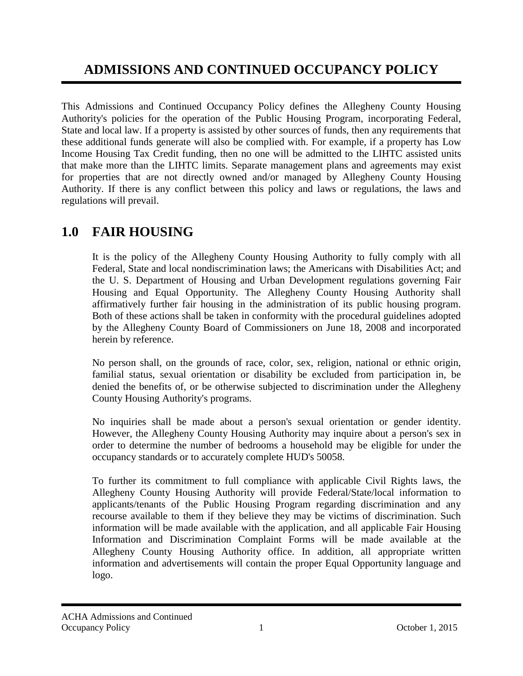# **ADMISSIONS AND CONTINUED OCCUPANCY POLICY**

This Admissions and Continued Occupancy Policy defines the Allegheny County Housing Authority's policies for the operation of the Public Housing Program, incorporating Federal, State and local law. If a property is assisted by other sources of funds, then any requirements that these additional funds generate will also be complied with. For example, if a property has Low Income Housing Tax Credit funding, then no one will be admitted to the LIHTC assisted units that make more than the LIHTC limits. Separate management plans and agreements may exist for properties that are not directly owned and/or managed by Allegheny County Housing Authority. If there is any conflict between this policy and laws or regulations, the laws and regulations will prevail.

## **1.0 FAIR HOUSING**

It is the policy of the Allegheny County Housing Authority to fully comply with all Federal, State and local nondiscrimination laws; the Americans with Disabilities Act; and the U. S. Department of Housing and Urban Development regulations governing Fair Housing and Equal Opportunity. The Allegheny County Housing Authority shall affirmatively further fair housing in the administration of its public housing program. Both of these actions shall be taken in conformity with the procedural guidelines adopted by the Allegheny County Board of Commissioners on June 18, 2008 and incorporated herein by reference.

No person shall, on the grounds of race, color, sex, religion, national or ethnic origin, familial status, sexual orientation or disability be excluded from participation in, be denied the benefits of, or be otherwise subjected to discrimination under the Allegheny County Housing Authority's programs.

No inquiries shall be made about a person's sexual orientation or gender identity. However, the Allegheny County Housing Authority may inquire about a person's sex in order to determine the number of bedrooms a household may be eligible for under the occupancy standards or to accurately complete HUD's 50058.

To further its commitment to full compliance with applicable Civil Rights laws, the Allegheny County Housing Authority will provide Federal/State/local information to applicants/tenants of the Public Housing Program regarding discrimination and any recourse available to them if they believe they may be victims of discrimination. Such information will be made available with the application, and all applicable Fair Housing Information and Discrimination Complaint Forms will be made available at the Allegheny County Housing Authority office. In addition, all appropriate written information and advertisements will contain the proper Equal Opportunity language and logo.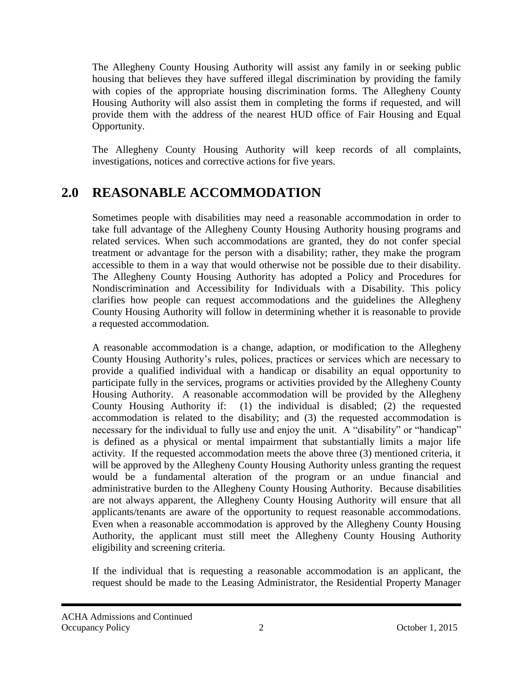The Allegheny County Housing Authority will assist any family in or seeking public housing that believes they have suffered illegal discrimination by providing the family with copies of the appropriate housing discrimination forms. The Allegheny County Housing Authority will also assist them in completing the forms if requested, and will provide them with the address of the nearest HUD office of Fair Housing and Equal Opportunity.

The Allegheny County Housing Authority will keep records of all complaints, investigations, notices and corrective actions for five years.

# **2.0 REASONABLE ACCOMMODATION**

Sometimes people with disabilities may need a reasonable accommodation in order to take full advantage of the Allegheny County Housing Authority housing programs and related services. When such accommodations are granted, they do not confer special treatment or advantage for the person with a disability; rather, they make the program accessible to them in a way that would otherwise not be possible due to their disability. The Allegheny County Housing Authority has adopted a Policy and Procedures for Nondiscrimination and Accessibility for Individuals with a Disability. This policy clarifies how people can request accommodations and the guidelines the Allegheny County Housing Authority will follow in determining whether it is reasonable to provide a requested accommodation.

A reasonable accommodation is a change, adaption, or modification to the Allegheny County Housing Authority's rules, polices, practices or services which are necessary to provide a qualified individual with a handicap or disability an equal opportunity to participate fully in the services, programs or activities provided by the Allegheny County Housing Authority. A reasonable accommodation will be provided by the Allegheny County Housing Authority if: (1) the individual is disabled; (2) the requested accommodation is related to the disability; and (3) the requested accommodation is necessary for the individual to fully use and enjoy the unit. A "disability" or "handicap" is defined as a physical or mental impairment that substantially limits a major life activity. If the requested accommodation meets the above three (3) mentioned criteria, it will be approved by the Allegheny County Housing Authority unless granting the request would be a fundamental alteration of the program or an undue financial and administrative burden to the Allegheny County Housing Authority. Because disabilities are not always apparent, the Allegheny County Housing Authority will ensure that all applicants/tenants are aware of the opportunity to request reasonable accommodations. Even when a reasonable accommodation is approved by the Allegheny County Housing Authority, the applicant must still meet the Allegheny County Housing Authority eligibility and screening criteria.

If the individual that is requesting a reasonable accommodation is an applicant, the request should be made to the Leasing Administrator, the Residential Property Manager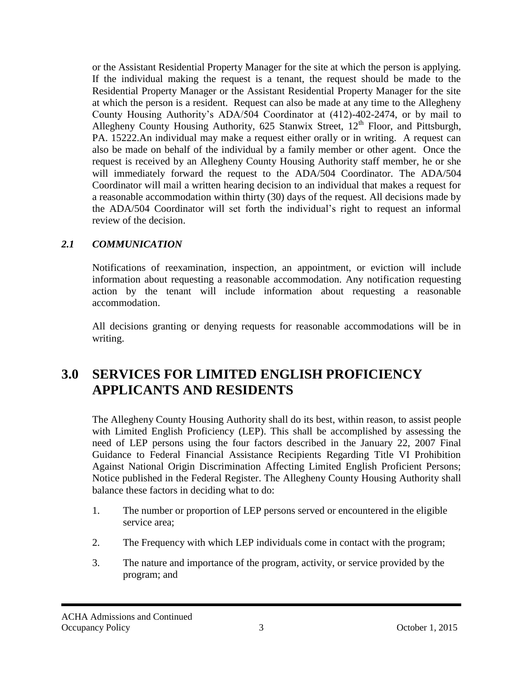or the Assistant Residential Property Manager for the site at which the person is applying. If the individual making the request is a tenant, the request should be made to the Residential Property Manager or the Assistant Residential Property Manager for the site at which the person is a resident. Request can also be made at any time to the Allegheny County Housing Authority's ADA/504 Coordinator at (412)-402-2474, or by mail to Allegheny County Housing Authority, 625 Stanwix Street,  $12<sup>th</sup>$  Floor, and Pittsburgh, PA. 15222.An individual may make a request either orally or in writing. A request can also be made on behalf of the individual by a family member or other agent. Once the request is received by an Allegheny County Housing Authority staff member, he or she will immediately forward the request to the ADA/504 Coordinator. The ADA/504 Coordinator will mail a written hearing decision to an individual that makes a request for a reasonable accommodation within thirty (30) days of the request. All decisions made by the ADA/504 Coordinator will set forth the individual's right to request an informal review of the decision.

#### *2.1 COMMUNICATION*

Notifications of reexamination, inspection, an appointment, or eviction will include information about requesting a reasonable accommodation. Any notification requesting action by the tenant will include information about requesting a reasonable accommodation.

All decisions granting or denying requests for reasonable accommodations will be in writing.

## **3.0 SERVICES FOR LIMITED ENGLISH PROFICIENCY APPLICANTS AND RESIDENTS**

The Allegheny County Housing Authority shall do its best, within reason, to assist people with Limited English Proficiency (LEP). This shall be accomplished by assessing the need of LEP persons using the four factors described in the January 22, 2007 Final Guidance to Federal Financial Assistance Recipients Regarding Title VI Prohibition Against National Origin Discrimination Affecting Limited English Proficient Persons; Notice published in the Federal Register. The Allegheny County Housing Authority shall balance these factors in deciding what to do:

- 1. The number or proportion of LEP persons served or encountered in the eligible service area;
- 2. The Frequency with which LEP individuals come in contact with the program;
- 3. The nature and importance of the program, activity, or service provided by the program; and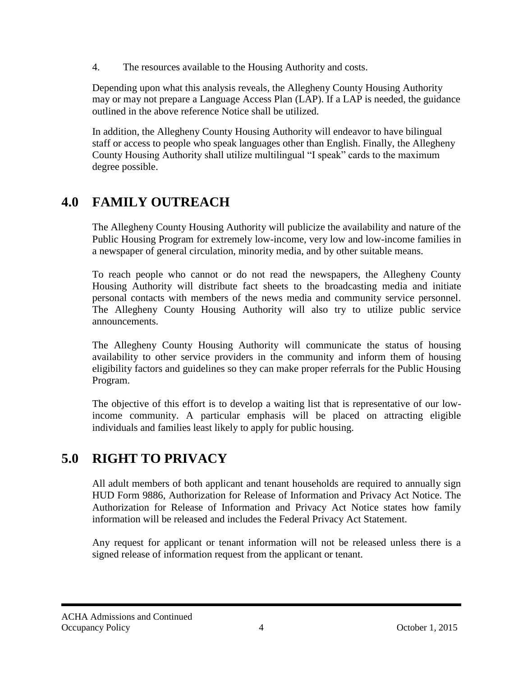4. The resources available to the Housing Authority and costs.

Depending upon what this analysis reveals, the Allegheny County Housing Authority may or may not prepare a Language Access Plan (LAP). If a LAP is needed, the guidance outlined in the above reference Notice shall be utilized.

In addition, the Allegheny County Housing Authority will endeavor to have bilingual staff or access to people who speak languages other than English. Finally, the Allegheny County Housing Authority shall utilize multilingual "I speak" cards to the maximum degree possible.

# **4.0 FAMILY OUTREACH**

The Allegheny County Housing Authority will publicize the availability and nature of the Public Housing Program for extremely low-income, very low and low-income families in a newspaper of general circulation, minority media, and by other suitable means.

To reach people who cannot or do not read the newspapers, the Allegheny County Housing Authority will distribute fact sheets to the broadcasting media and initiate personal contacts with members of the news media and community service personnel. The Allegheny County Housing Authority will also try to utilize public service announcements.

The Allegheny County Housing Authority will communicate the status of housing availability to other service providers in the community and inform them of housing eligibility factors and guidelines so they can make proper referrals for the Public Housing Program.

The objective of this effort is to develop a waiting list that is representative of our lowincome community. A particular emphasis will be placed on attracting eligible individuals and families least likely to apply for public housing.

# **5.0 RIGHT TO PRIVACY**

All adult members of both applicant and tenant households are required to annually sign HUD Form 9886, Authorization for Release of Information and Privacy Act Notice. The Authorization for Release of Information and Privacy Act Notice states how family information will be released and includes the Federal Privacy Act Statement.

Any request for applicant or tenant information will not be released unless there is a signed release of information request from the applicant or tenant.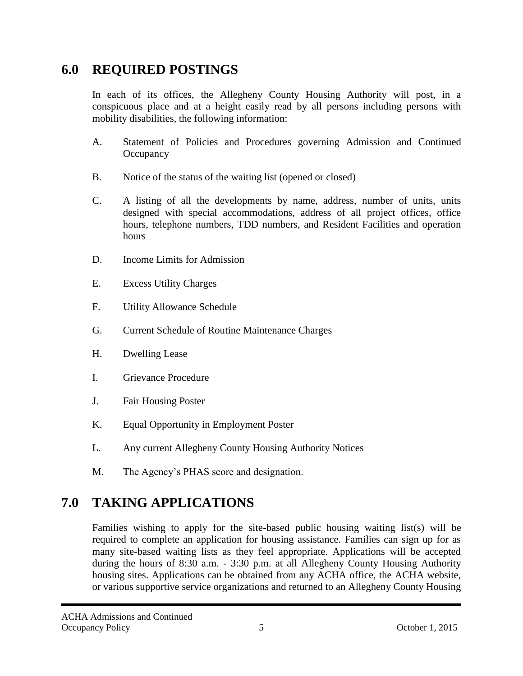## **6.0 REQUIRED POSTINGS**

In each of its offices, the Allegheny County Housing Authority will post, in a conspicuous place and at a height easily read by all persons including persons with mobility disabilities, the following information:

- A. Statement of Policies and Procedures governing Admission and Continued **Occupancy**
- B. Notice of the status of the waiting list (opened or closed)
- C. A listing of all the developments by name, address, number of units, units designed with special accommodations, address of all project offices, office hours, telephone numbers, TDD numbers, and Resident Facilities and operation hours
- D. Income Limits for Admission
- E. Excess Utility Charges
- F. Utility Allowance Schedule
- G. Current Schedule of Routine Maintenance Charges
- H. Dwelling Lease
- I. Grievance Procedure
- J. Fair Housing Poster
- K. Equal Opportunity in Employment Poster
- L. Any current Allegheny County Housing Authority Notices
- M. The Agency's PHAS score and designation.

# **7.0 TAKING APPLICATIONS**

Families wishing to apply for the site-based public housing waiting list(s) will be required to complete an application for housing assistance. Families can sign up for as many site-based waiting lists as they feel appropriate. Applications will be accepted during the hours of 8:30 a.m. - 3:30 p.m. at all Allegheny County Housing Authority housing sites. Applications can be obtained from any ACHA office, the ACHA website, or various supportive service organizations and returned to an Allegheny County Housing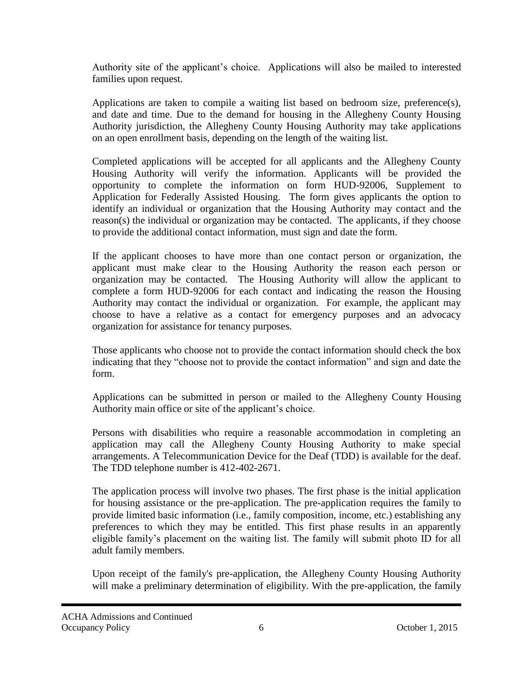Authority site of the applicant's choice. Applications will also be mailed to interested families upon request.

Applications are taken to compile a waiting list based on bedroom size, preference(s), and date and time. Due to the demand for housing in the Allegheny County Housing Authority jurisdiction, the Allegheny County Housing Authority may take applications on an open enrollment basis, depending on the length of the waiting list.

Completed applications will be accepted for all applicants and the Allegheny County Housing Authority will verify the information. Applicants will be provided the opportunity to complete the information on form HUD-92006, Supplement to Application for Federally Assisted Housing. The form gives applicants the option to identify an individual or organization that the Housing Authority may contact and the reason(s) the individual or organization may be contacted. The applicants, if they choose to provide the additional contact information, must sign and date the form.

If the applicant chooses to have more than one contact person or organization, the applicant must make clear to the Housing Authority the reason each person or organization may be contacted. The Housing Authority will allow the applicant to complete a form HUD-92006 for each contact and indicating the reason the Housing Authority may contact the individual or organization. For example, the applicant may choose to have a relative as a contact for emergency purposes and an advocacy organization for assistance for tenancy purposes.

Those applicants who choose not to provide the contact information should check the box indicating that they "choose not to provide the contact information" and sign and date the form.

Applications can be submitted in person or mailed to the Allegheny County Housing Authority main office or site of the applicant's choice.

Persons with disabilities who require a reasonable accommodation in completing an application may call the Allegheny County Housing Authority to make special arrangements. A Telecommunication Device for the Deaf (TDD) is available for the deaf. The TDD telephone number is 412-402-2671.

The application process will involve two phases. The first phase is the initial application for housing assistance or the pre-application. The pre-application requires the family to provide limited basic information (i.e., family composition, income, etc.) establishing any preferences to which they may be entitled. This first phase results in an apparently eligible family's placement on the waiting list. The family will submit photo ID for all adult family members.

Upon receipt of the family's pre-application, the Allegheny County Housing Authority will make a preliminary determination of eligibility. With the pre-application, the family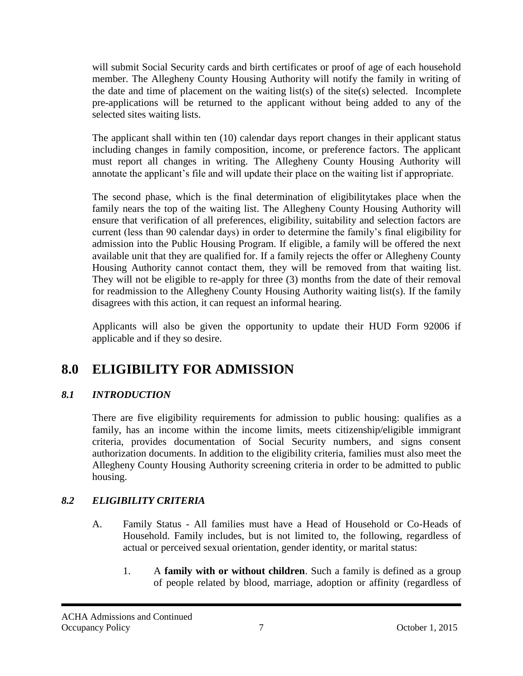will submit Social Security cards and birth certificates or proof of age of each household member. The Allegheny County Housing Authority will notify the family in writing of the date and time of placement on the waiting list(s) of the site(s) selected. Incomplete pre-applications will be returned to the applicant without being added to any of the selected sites waiting lists.

The applicant shall within ten (10) calendar days report changes in their applicant status including changes in family composition, income, or preference factors. The applicant must report all changes in writing. The Allegheny County Housing Authority will annotate the applicant's file and will update their place on the waiting list if appropriate.

The second phase, which is the final determination of eligibilitytakes place when the family nears the top of the waiting list. The Allegheny County Housing Authority will ensure that verification of all preferences, eligibility, suitability and selection factors are current (less than 90 calendar days) in order to determine the family's final eligibility for admission into the Public Housing Program. If eligible, a family will be offered the next available unit that they are qualified for. If a family rejects the offer or Allegheny County Housing Authority cannot contact them, they will be removed from that waiting list. They will not be eligible to re-apply for three (3) months from the date of their removal for readmission to the Allegheny County Housing Authority waiting list(s). If the family disagrees with this action, it can request an informal hearing.

Applicants will also be given the opportunity to update their HUD Form 92006 if applicable and if they so desire.

# **8.0 ELIGIBILITY FOR ADMISSION**

## *8.1 INTRODUCTION*

There are five eligibility requirements for admission to public housing: qualifies as a family, has an income within the income limits, meets citizenship/eligible immigrant criteria, provides documentation of Social Security numbers, and signs consent authorization documents. In addition to the eligibility criteria, families must also meet the Allegheny County Housing Authority screening criteria in order to be admitted to public housing.

## *8.2 ELIGIBILITY CRITERIA*

- A. Family Status All families must have a Head of Household or Co-Heads of Household. Family includes, but is not limited to, the following, regardless of actual or perceived sexual orientation, gender identity, or marital status:
	- 1. A **family with or without children**. Such a family is defined as a group of people related by blood, marriage, adoption or affinity (regardless of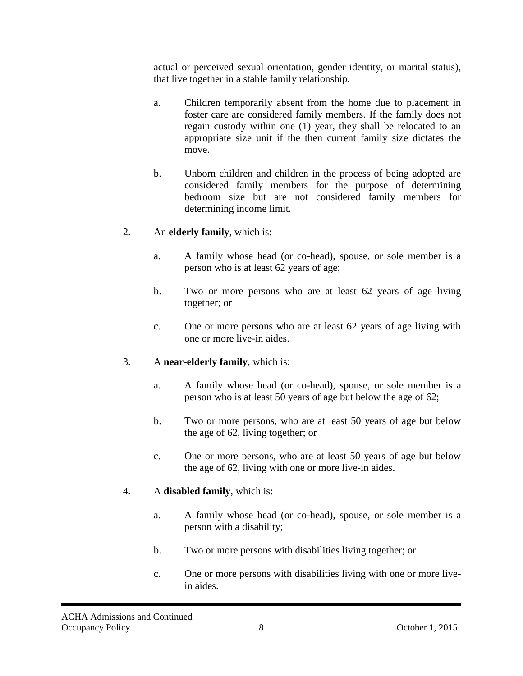actual or perceived sexual orientation, gender identity, or marital status), that live together in a stable family relationship.

- a. Children temporarily absent from the home due to placement in foster care are considered family members. If the family does not regain custody within one (1) year, they shall be relocated to an appropriate size unit if the then current family size dictates the move.
- b. Unborn children and children in the process of being adopted are considered family members for the purpose of determining bedroom size but are not considered family members for determining income limit.

#### 2. An **elderly family**, which is:

- a. A family whose head (or co-head), spouse, or sole member is a person who is at least 62 years of age;
- b. Two or more persons who are at least 62 years of age living together; or
- c. One or more persons who are at least 62 years of age living with one or more live-in aides.

#### 3. A **near-elderly family**, which is:

- a. A family whose head (or co-head), spouse, or sole member is a person who is at least 50 years of age but below the age of 62;
- b. Two or more persons, who are at least 50 years of age but below the age of 62, living together; or
- c. One or more persons, who are at least 50 years of age but below the age of 62, living with one or more live-in aides.

#### 4. A **disabled family**, which is:

- a. A family whose head (or co-head), spouse, or sole member is a person with a disability;
- b. Two or more persons with disabilities living together; or
- c. One or more persons with disabilities living with one or more livein aides.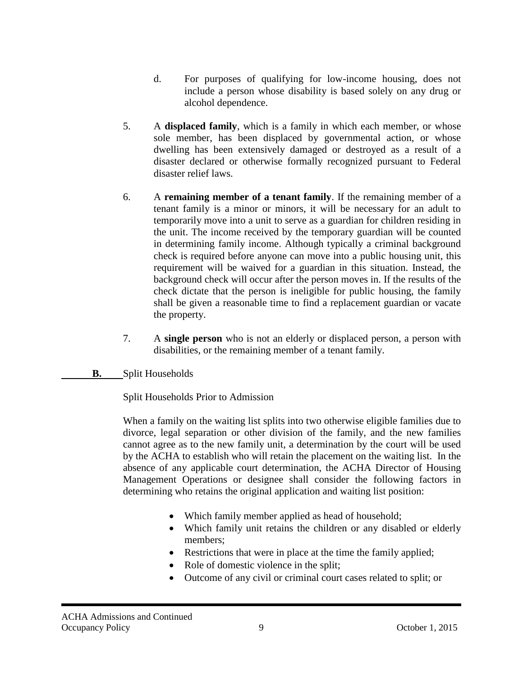- d. For purposes of qualifying for low-income housing, does not include a person whose disability is based solely on any drug or alcohol dependence.
- 5. A **displaced family**, which is a family in which each member, or whose sole member, has been displaced by governmental action, or whose dwelling has been extensively damaged or destroyed as a result of a disaster declared or otherwise formally recognized pursuant to Federal disaster relief laws.
- 6. A **remaining member of a tenant family**. If the remaining member of a tenant family is a minor or minors, it will be necessary for an adult to temporarily move into a unit to serve as a guardian for children residing in the unit. The income received by the temporary guardian will be counted in determining family income. Although typically a criminal background check is required before anyone can move into a public housing unit, this requirement will be waived for a guardian in this situation. Instead, the background check will occur after the person moves in. If the results of the check dictate that the person is ineligible for public housing, the family shall be given a reasonable time to find a replacement guardian or vacate the property.
- 7. A **single person** who is not an elderly or displaced person, a person with disabilities, or the remaining member of a tenant family.
- **B.** Split Households

Split Households Prior to Admission

When a family on the waiting list splits into two otherwise eligible families due to divorce, legal separation or other division of the family, and the new families cannot agree as to the new family unit, a determination by the court will be used by the ACHA to establish who will retain the placement on the waiting list. In the absence of any applicable court determination, the ACHA Director of Housing Management Operations or designee shall consider the following factors in determining who retains the original application and waiting list position:

- Which family member applied as head of household;
- Which family unit retains the children or any disabled or elderly members;
- Restrictions that were in place at the time the family applied;
- Role of domestic violence in the split;
- Outcome of any civil or criminal court cases related to split; or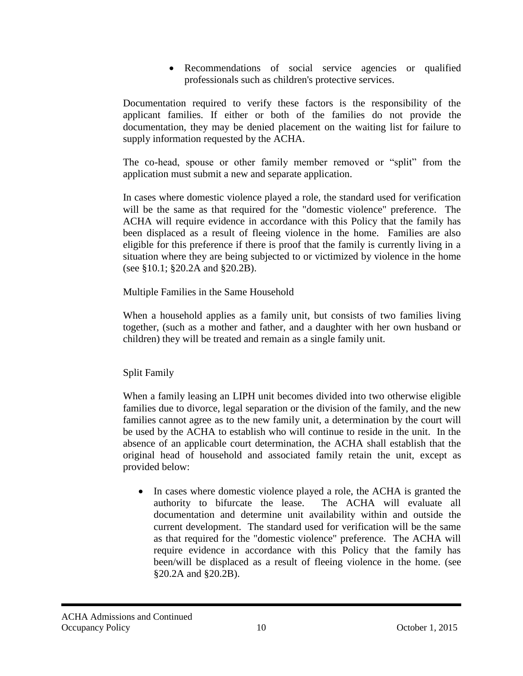• Recommendations of social service agencies or qualified professionals such as children's protective services.

Documentation required to verify these factors is the responsibility of the applicant families. If either or both of the families do not provide the documentation, they may be denied placement on the waiting list for failure to supply information requested by the ACHA.

The co-head, spouse or other family member removed or "split" from the application must submit a new and separate application.

In cases where domestic violence played a role, the standard used for verification will be the same as that required for the "domestic violence" preference. The ACHA will require evidence in accordance with this Policy that the family has been displaced as a result of fleeing violence in the home. Families are also eligible for this preference if there is proof that the family is currently living in a situation where they are being subjected to or victimized by violence in the home (see §10.1; §20.2A and §20.2B).

Multiple Families in the Same Household

When a household applies as a family unit, but consists of two families living together, (such as a mother and father, and a daughter with her own husband or children) they will be treated and remain as a single family unit.

## Split Family

When a family leasing an LIPH unit becomes divided into two otherwise eligible families due to divorce, legal separation or the division of the family, and the new families cannot agree as to the new family unit, a determination by the court will be used by the ACHA to establish who will continue to reside in the unit. In the absence of an applicable court determination, the ACHA shall establish that the original head of household and associated family retain the unit, except as provided below:

• In cases where domestic violence played a role, the ACHA is granted the authority to bifurcate the lease. The ACHA will evaluate all documentation and determine unit availability within and outside the current development. The standard used for verification will be the same as that required for the "domestic violence" preference. The ACHA will require evidence in accordance with this Policy that the family has been/will be displaced as a result of fleeing violence in the home. (see §20.2A and §20.2B).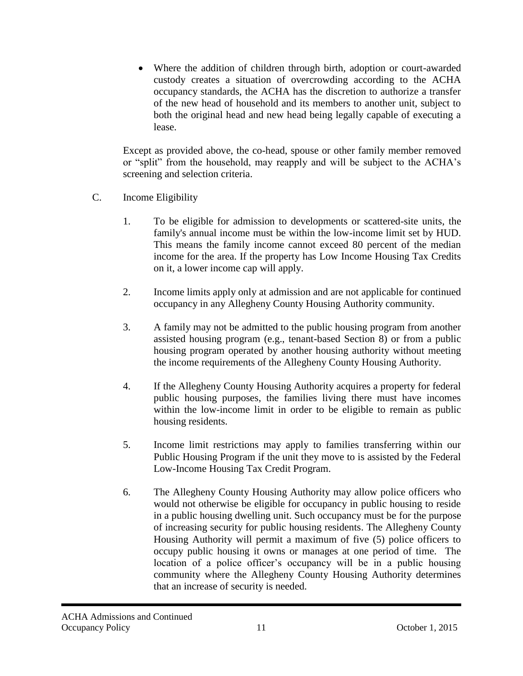Where the addition of children through birth, adoption or court-awarded custody creates a situation of overcrowding according to the ACHA occupancy standards, the ACHA has the discretion to authorize a transfer of the new head of household and its members to another unit, subject to both the original head and new head being legally capable of executing a lease.

Except as provided above, the co-head, spouse or other family member removed or "split" from the household, may reapply and will be subject to the ACHA's screening and selection criteria.

- C. Income Eligibility
	- 1. To be eligible for admission to developments or scattered-site units, the family's annual income must be within the low-income limit set by HUD. This means the family income cannot exceed 80 percent of the median income for the area. If the property has Low Income Housing Tax Credits on it, a lower income cap will apply.
	- 2. Income limits apply only at admission and are not applicable for continued occupancy in any Allegheny County Housing Authority community.
	- 3. A family may not be admitted to the public housing program from another assisted housing program (e.g., tenant-based Section 8) or from a public housing program operated by another housing authority without meeting the income requirements of the Allegheny County Housing Authority.
	- 4. If the Allegheny County Housing Authority acquires a property for federal public housing purposes, the families living there must have incomes within the low-income limit in order to be eligible to remain as public housing residents.
	- 5. Income limit restrictions may apply to families transferring within our Public Housing Program if the unit they move to is assisted by the Federal Low-Income Housing Tax Credit Program.
	- 6. The Allegheny County Housing Authority may allow police officers who would not otherwise be eligible for occupancy in public housing to reside in a public housing dwelling unit. Such occupancy must be for the purpose of increasing security for public housing residents. The Allegheny County Housing Authority will permit a maximum of five (5) police officers to occupy public housing it owns or manages at one period of time. The location of a police officer's occupancy will be in a public housing community where the Allegheny County Housing Authority determines that an increase of security is needed.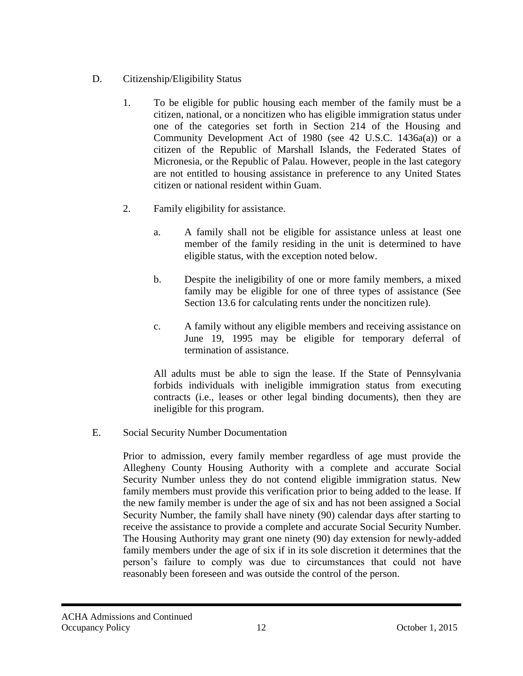#### D. Citizenship/Eligibility Status

- 1. To be eligible for public housing each member of the family must be a citizen, national, or a noncitizen who has eligible immigration status under one of the categories set forth in Section 214 of the Housing and Community Development Act of 1980 (see 42 U.S.C. 1436a(a)) or a citizen of the Republic of Marshall Islands, the Federated States of Micronesia, or the Republic of Palau. However, people in the last category are not entitled to housing assistance in preference to any United States citizen or national resident within Guam.
- 2. Family eligibility for assistance.
	- a. A family shall not be eligible for assistance unless at least one member of the family residing in the unit is determined to have eligible status, with the exception noted below.
	- b. Despite the ineligibility of one or more family members, a mixed family may be eligible for one of three types of assistance (See Section 13.6 for calculating rents under the noncitizen rule).
	- c. A family without any eligible members and receiving assistance on June 19, 1995 may be eligible for temporary deferral of termination of assistance.

All adults must be able to sign the lease. If the State of Pennsylvania forbids individuals with ineligible immigration status from executing contracts (i.e., leases or other legal binding documents), then they are ineligible for this program.

#### E. Social Security Number Documentation

Prior to admission, every family member regardless of age must provide the Allegheny County Housing Authority with a complete and accurate Social Security Number unless they do not contend eligible immigration status. New family members must provide this verification prior to being added to the lease. If the new family member is under the age of six and has not been assigned a Social Security Number, the family shall have ninety (90) calendar days after starting to receive the assistance to provide a complete and accurate Social Security Number. The Housing Authority may grant one ninety (90) day extension for newly-added family members under the age of six if in its sole discretion it determines that the person's failure to comply was due to circumstances that could not have reasonably been foreseen and was outside the control of the person.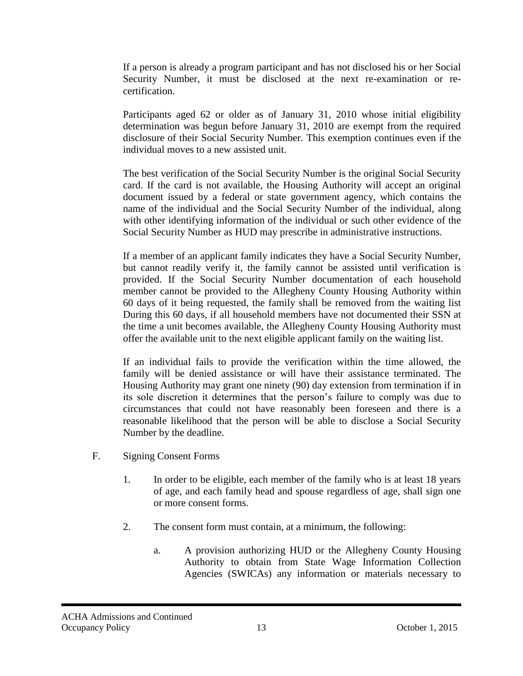If a person is already a program participant and has not disclosed his or her Social Security Number, it must be disclosed at the next re-examination or recertification.

Participants aged 62 or older as of January 31, 2010 whose initial eligibility determination was begun before January 31, 2010 are exempt from the required disclosure of their Social Security Number. This exemption continues even if the individual moves to a new assisted unit.

The best verification of the Social Security Number is the original Social Security card. If the card is not available, the Housing Authority will accept an original document issued by a federal or state government agency, which contains the name of the individual and the Social Security Number of the individual, along with other identifying information of the individual or such other evidence of the Social Security Number as HUD may prescribe in administrative instructions.

If a member of an applicant family indicates they have a Social Security Number, but cannot readily verify it, the family cannot be assisted until verification is provided. If the Social Security Number documentation of each household member cannot be provided to the Allegheny County Housing Authority within 60 days of it being requested, the family shall be removed from the waiting list During this 60 days, if all household members have not documented their SSN at the time a unit becomes available, the Allegheny County Housing Authority must offer the available unit to the next eligible applicant family on the waiting list.

If an individual fails to provide the verification within the time allowed, the family will be denied assistance or will have their assistance terminated. The Housing Authority may grant one ninety (90) day extension from termination if in its sole discretion it determines that the person's failure to comply was due to circumstances that could not have reasonably been foreseen and there is a reasonable likelihood that the person will be able to disclose a Social Security Number by the deadline.

- F. Signing Consent Forms
	- 1. In order to be eligible, each member of the family who is at least 18 years of age, and each family head and spouse regardless of age, shall sign one or more consent forms.
	- 2. The consent form must contain, at a minimum, the following:
		- a. A provision authorizing HUD or the Allegheny County Housing Authority to obtain from State Wage Information Collection Agencies (SWICAs) any information or materials necessary to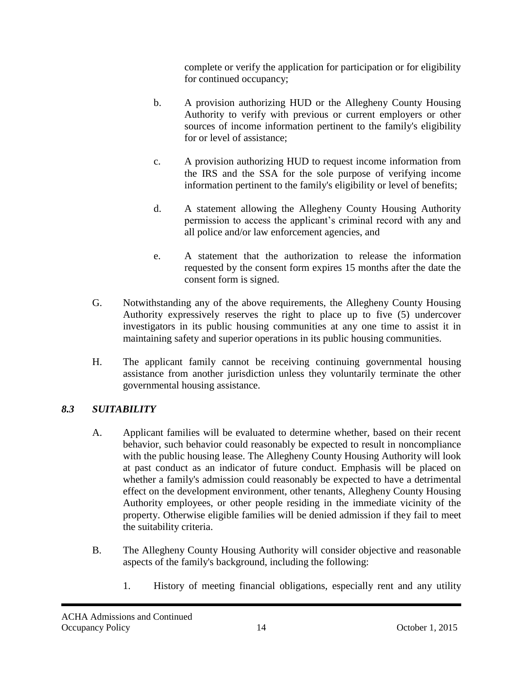complete or verify the application for participation or for eligibility for continued occupancy;

- b. A provision authorizing HUD or the Allegheny County Housing Authority to verify with previous or current employers or other sources of income information pertinent to the family's eligibility for or level of assistance;
- c. A provision authorizing HUD to request income information from the IRS and the SSA for the sole purpose of verifying income information pertinent to the family's eligibility or level of benefits;
- d. A statement allowing the Allegheny County Housing Authority permission to access the applicant's criminal record with any and all police and/or law enforcement agencies, and
- e. A statement that the authorization to release the information requested by the consent form expires 15 months after the date the consent form is signed.
- G. Notwithstanding any of the above requirements, the Allegheny County Housing Authority expressively reserves the right to place up to five (5) undercover investigators in its public housing communities at any one time to assist it in maintaining safety and superior operations in its public housing communities.
- H. The applicant family cannot be receiving continuing governmental housing assistance from another jurisdiction unless they voluntarily terminate the other governmental housing assistance.

## *8.3 SUITABILITY*

- A. Applicant families will be evaluated to determine whether, based on their recent behavior, such behavior could reasonably be expected to result in noncompliance with the public housing lease. The Allegheny County Housing Authority will look at past conduct as an indicator of future conduct. Emphasis will be placed on whether a family's admission could reasonably be expected to have a detrimental effect on the development environment, other tenants, Allegheny County Housing Authority employees, or other people residing in the immediate vicinity of the property. Otherwise eligible families will be denied admission if they fail to meet the suitability criteria.
- B. The Allegheny County Housing Authority will consider objective and reasonable aspects of the family's background, including the following:
	- 1. History of meeting financial obligations, especially rent and any utility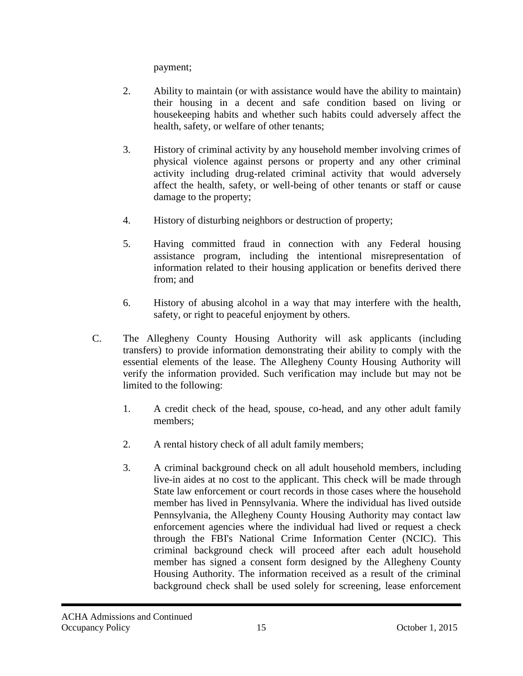payment;

- 2. Ability to maintain (or with assistance would have the ability to maintain) their housing in a decent and safe condition based on living or housekeeping habits and whether such habits could adversely affect the health, safety, or welfare of other tenants;
- 3. History of criminal activity by any household member involving crimes of physical violence against persons or property and any other criminal activity including drug-related criminal activity that would adversely affect the health, safety, or well-being of other tenants or staff or cause damage to the property;
- 4. History of disturbing neighbors or destruction of property;
- 5. Having committed fraud in connection with any Federal housing assistance program, including the intentional misrepresentation of information related to their housing application or benefits derived there from; and
- 6. History of abusing alcohol in a way that may interfere with the health, safety, or right to peaceful enjoyment by others.
- C. The Allegheny County Housing Authority will ask applicants (including transfers) to provide information demonstrating their ability to comply with the essential elements of the lease. The Allegheny County Housing Authority will verify the information provided. Such verification may include but may not be limited to the following:
	- 1. A credit check of the head, spouse, co-head, and any other adult family members;
	- 2. A rental history check of all adult family members;
	- 3. A criminal background check on all adult household members, including live-in aides at no cost to the applicant. This check will be made through State law enforcement or court records in those cases where the household member has lived in Pennsylvania. Where the individual has lived outside Pennsylvania, the Allegheny County Housing Authority may contact law enforcement agencies where the individual had lived or request a check through the FBI's National Crime Information Center (NCIC). This criminal background check will proceed after each adult household member has signed a consent form designed by the Allegheny County Housing Authority. The information received as a result of the criminal background check shall be used solely for screening, lease enforcement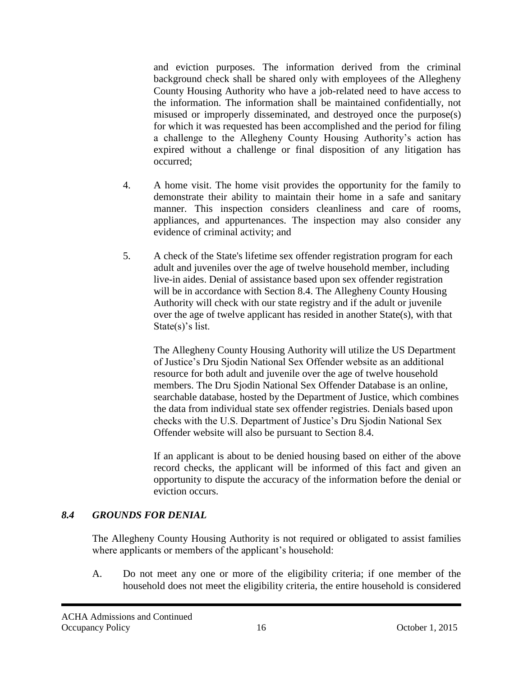and eviction purposes. The information derived from the criminal background check shall be shared only with employees of the Allegheny County Housing Authority who have a job-related need to have access to the information. The information shall be maintained confidentially, not misused or improperly disseminated, and destroyed once the purpose(s) for which it was requested has been accomplished and the period for filing a challenge to the Allegheny County Housing Authority's action has expired without a challenge or final disposition of any litigation has occurred;

- 4. A home visit. The home visit provides the opportunity for the family to demonstrate their ability to maintain their home in a safe and sanitary manner. This inspection considers cleanliness and care of rooms, appliances, and appurtenances. The inspection may also consider any evidence of criminal activity; and
- 5. A check of the State's lifetime sex offender registration program for each adult and juveniles over the age of twelve household member, including live-in aides. Denial of assistance based upon sex offender registration will be in accordance with Section 8.4. The Allegheny County Housing Authority will check with our state registry and if the adult or juvenile over the age of twelve applicant has resided in another State(s), with that State(s)'s list.

The Allegheny County Housing Authority will utilize the US Department of Justice's Dru Sjodin National Sex Offender website as an additional resource for both adult and juvenile over the age of twelve household members. The Dru Sjodin National Sex Offender Database is an online, searchable database, hosted by the Department of Justice, which combines the data from individual state sex offender registries. Denials based upon checks with the U.S. Department of Justice's Dru Sjodin National Sex Offender website will also be pursuant to Section 8.4.

If an applicant is about to be denied housing based on either of the above record checks, the applicant will be informed of this fact and given an opportunity to dispute the accuracy of the information before the denial or eviction occurs.

#### *8.4 GROUNDS FOR DENIAL*

The Allegheny County Housing Authority is not required or obligated to assist families where applicants or members of the applicant's household:

A. Do not meet any one or more of the eligibility criteria; if one member of the household does not meet the eligibility criteria, the entire household is considered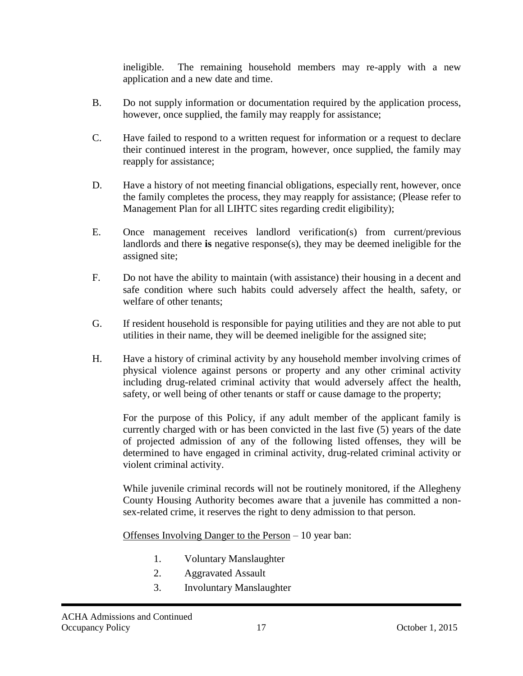ineligible. The remaining household members may re-apply with a new application and a new date and time.

- B. Do not supply information or documentation required by the application process, however, once supplied, the family may reapply for assistance;
- C. Have failed to respond to a written request for information or a request to declare their continued interest in the program, however, once supplied, the family may reapply for assistance;
- D. Have a history of not meeting financial obligations, especially rent, however, once the family completes the process, they may reapply for assistance; (Please refer to Management Plan for all LIHTC sites regarding credit eligibility);
- E. Once management receives landlord verification(s) from current/previous landlords and there **is** negative response(s), they may be deemed ineligible for the assigned site;
- F. Do not have the ability to maintain (with assistance) their housing in a decent and safe condition where such habits could adversely affect the health, safety, or welfare of other tenants;
- G. If resident household is responsible for paying utilities and they are not able to put utilities in their name, they will be deemed ineligible for the assigned site;
- H. Have a history of criminal activity by any household member involving crimes of physical violence against persons or property and any other criminal activity including drug-related criminal activity that would adversely affect the health, safety, or well being of other tenants or staff or cause damage to the property;

For the purpose of this Policy, if any adult member of the applicant family is currently charged with or has been convicted in the last five (5) years of the date of projected admission of any of the following listed offenses, they will be determined to have engaged in criminal activity, drug-related criminal activity or violent criminal activity.

While juvenile criminal records will not be routinely monitored, if the Allegheny County Housing Authority becomes aware that a juvenile has committed a nonsex-related crime, it reserves the right to deny admission to that person.

Offenses Involving Danger to the Person – 10 year ban:

- 1. Voluntary Manslaughter
- 2. Aggravated Assault
- 3. Involuntary Manslaughter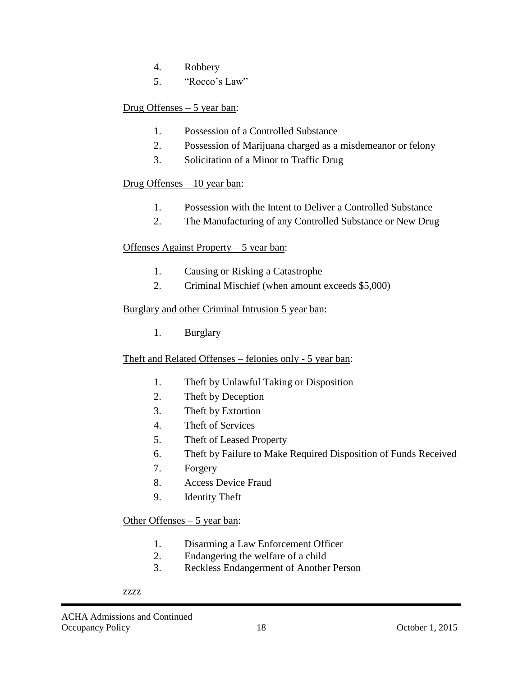- 4. Robbery
- 5. "Rocco's Law"

#### Drug Offenses – 5 year ban:

- 1. Possession of a Controlled Substance
- 2. Possession of Marijuana charged as a misdemeanor or felony
- 3. Solicitation of a Minor to Traffic Drug

#### Drug Offenses – 10 year ban:

- 1. Possession with the Intent to Deliver a Controlled Substance
- 2. The Manufacturing of any Controlled Substance or New Drug

#### Offenses Against Property – 5 year ban:

- 1. Causing or Risking a Catastrophe
- 2. Criminal Mischief (when amount exceeds \$5,000)

#### Burglary and other Criminal Intrusion 5 year ban:

1. Burglary

#### Theft and Related Offenses – felonies only - 5 year ban:

- 1. Theft by Unlawful Taking or Disposition
- 2. Theft by Deception
- 3. Theft by Extortion
- 4. Theft of Services
- 5. Theft of Leased Property
- 6. Theft by Failure to Make Required Disposition of Funds Received
- 7. Forgery
- 8. Access Device Fraud
- 9. Identity Theft

#### Other Offenses  $-5$  year ban:

- 1. Disarming a Law Enforcement Officer
- 2. Endangering the welfare of a child
- 3. Reckless Endangerment of Another Person
- zzzz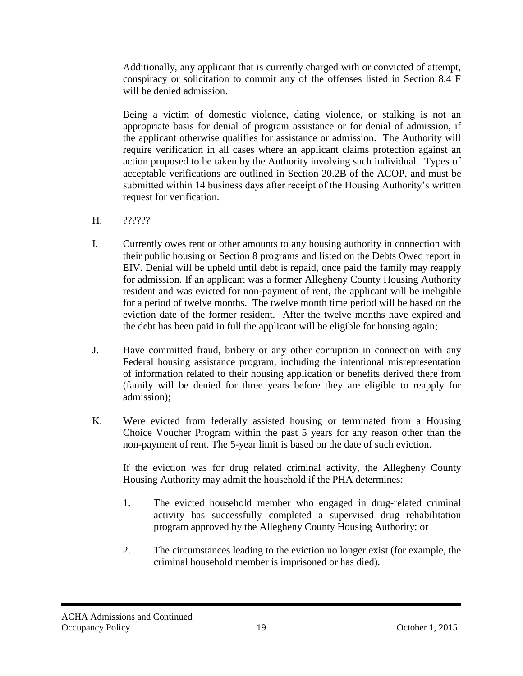Additionally, any applicant that is currently charged with or convicted of attempt, conspiracy or solicitation to commit any of the offenses listed in Section 8.4 F will be denied admission.

Being a victim of domestic violence, dating violence, or stalking is not an appropriate basis for denial of program assistance or for denial of admission, if the applicant otherwise qualifies for assistance or admission. The Authority will require verification in all cases where an applicant claims protection against an action proposed to be taken by the Authority involving such individual. Types of acceptable verifications are outlined in Section 20.2B of the ACOP, and must be submitted within 14 business days after receipt of the Housing Authority's written request for verification.

- H. ???????
- I. Currently owes rent or other amounts to any housing authority in connection with their public housing or Section 8 programs and listed on the Debts Owed report in EIV. Denial will be upheld until debt is repaid, once paid the family may reapply for admission. If an applicant was a former Allegheny County Housing Authority resident and was evicted for non-payment of rent, the applicant will be ineligible for a period of twelve months. The twelve month time period will be based on the eviction date of the former resident. After the twelve months have expired and the debt has been paid in full the applicant will be eligible for housing again;
- J. Have committed fraud, bribery or any other corruption in connection with any Federal housing assistance program, including the intentional misrepresentation of information related to their housing application or benefits derived there from (family will be denied for three years before they are eligible to reapply for admission);
- K. Were evicted from federally assisted housing or terminated from a Housing Choice Voucher Program within the past 5 years for any reason other than the non-payment of rent. The 5-year limit is based on the date of such eviction.

If the eviction was for drug related criminal activity, the Allegheny County Housing Authority may admit the household if the PHA determines:

- 1. The evicted household member who engaged in drug-related criminal activity has successfully completed a supervised drug rehabilitation program approved by the Allegheny County Housing Authority; or
- 2. The circumstances leading to the eviction no longer exist (for example, the criminal household member is imprisoned or has died).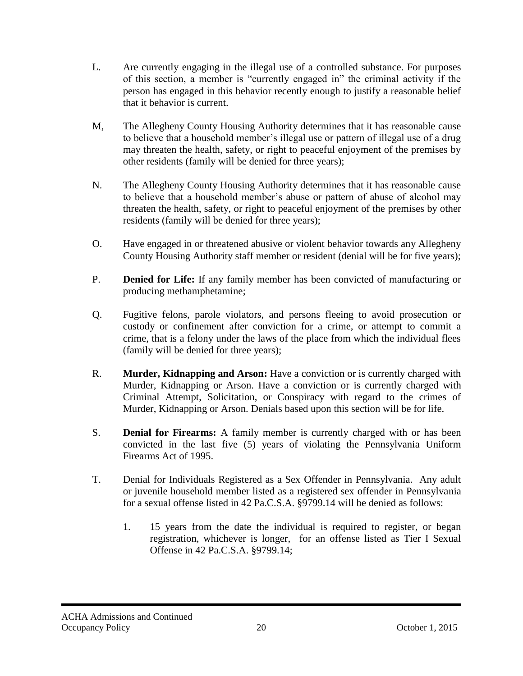- L. Are currently engaging in the illegal use of a controlled substance. For purposes of this section, a member is "currently engaged in" the criminal activity if the person has engaged in this behavior recently enough to justify a reasonable belief that it behavior is current.
- M, The Allegheny County Housing Authority determines that it has reasonable cause to believe that a household member's illegal use or pattern of illegal use of a drug may threaten the health, safety, or right to peaceful enjoyment of the premises by other residents (family will be denied for three years);
- N. The Allegheny County Housing Authority determines that it has reasonable cause to believe that a household member's abuse or pattern of abuse of alcohol may threaten the health, safety, or right to peaceful enjoyment of the premises by other residents (family will be denied for three years);
- O. Have engaged in or threatened abusive or violent behavior towards any Allegheny County Housing Authority staff member or resident (denial will be for five years);
- P. **Denied for Life:** If any family member has been convicted of manufacturing or producing methamphetamine;
- Q. Fugitive felons, parole violators, and persons fleeing to avoid prosecution or custody or confinement after conviction for a crime, or attempt to commit a crime, that is a felony under the laws of the place from which the individual flees (family will be denied for three years);
- R. **Murder, Kidnapping and Arson:** Have a conviction or is currently charged with Murder, Kidnapping or Arson. Have a conviction or is currently charged with Criminal Attempt, Solicitation, or Conspiracy with regard to the crimes of Murder, Kidnapping or Arson. Denials based upon this section will be for life.
- S. **Denial for Firearms:** A family member is currently charged with or has been convicted in the last five (5) years of violating the Pennsylvania Uniform Firearms Act of 1995.
- T. Denial for Individuals Registered as a Sex Offender in Pennsylvania. Any adult or juvenile household member listed as a registered sex offender in Pennsylvania for a sexual offense listed in 42 Pa.C.S.A. §9799.14 will be denied as follows:
	- 1. 15 years from the date the individual is required to register, or began registration, whichever is longer, for an offense listed as Tier I Sexual Offense in 42 Pa.C.S.A. §9799.14;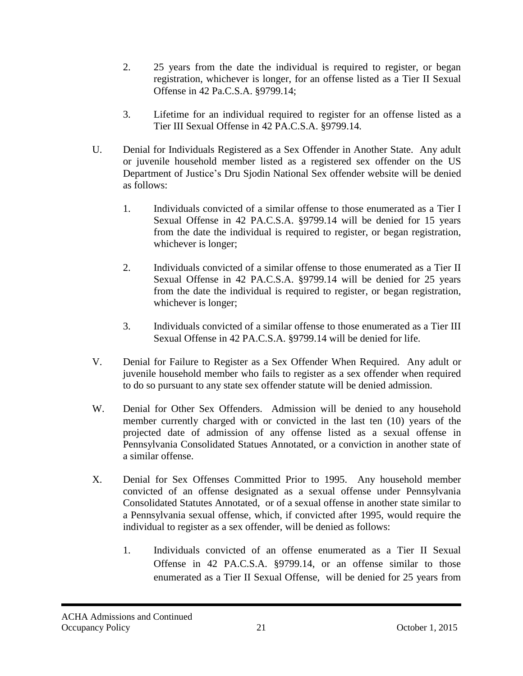- 2. 25 years from the date the individual is required to register, or began registration, whichever is longer, for an offense listed as a Tier II Sexual Offense in 42 Pa.C.S.A. §9799.14;
- 3. Lifetime for an individual required to register for an offense listed as a Tier III Sexual Offense in 42 PA.C.S.A. §9799.14.
- U. Denial for Individuals Registered as a Sex Offender in Another State. Any adult or juvenile household member listed as a registered sex offender on the US Department of Justice's Dru Sjodin National Sex offender website will be denied as follows:
	- 1. Individuals convicted of a similar offense to those enumerated as a Tier I Sexual Offense in 42 PA.C.S.A. §9799.14 will be denied for 15 years from the date the individual is required to register, or began registration, whichever is longer;
	- 2. Individuals convicted of a similar offense to those enumerated as a Tier II Sexual Offense in 42 PA.C.S.A. §9799.14 will be denied for 25 years from the date the individual is required to register, or began registration, whichever is longer;
	- 3. Individuals convicted of a similar offense to those enumerated as a Tier III Sexual Offense in 42 PA.C.S.A. §9799.14 will be denied for life.
- V. Denial for Failure to Register as a Sex Offender When Required. Any adult or juvenile household member who fails to register as a sex offender when required to do so pursuant to any state sex offender statute will be denied admission.
- W. Denial for Other Sex Offenders. Admission will be denied to any household member currently charged with or convicted in the last ten (10) years of the projected date of admission of any offense listed as a sexual offense in Pennsylvania Consolidated Statues Annotated, or a conviction in another state of a similar offense.
- X. Denial for Sex Offenses Committed Prior to 1995. Any household member convicted of an offense designated as a sexual offense under Pennsylvania Consolidated Statutes Annotated, or of a sexual offense in another state similar to a Pennsylvania sexual offense, which, if convicted after 1995, would require the individual to register as a sex offender, will be denied as follows:
	- 1. Individuals convicted of an offense enumerated as a Tier II Sexual Offense in 42 PA.C.S.A. §9799.14, or an offense similar to those enumerated as a Tier II Sexual Offense, will be denied for 25 years from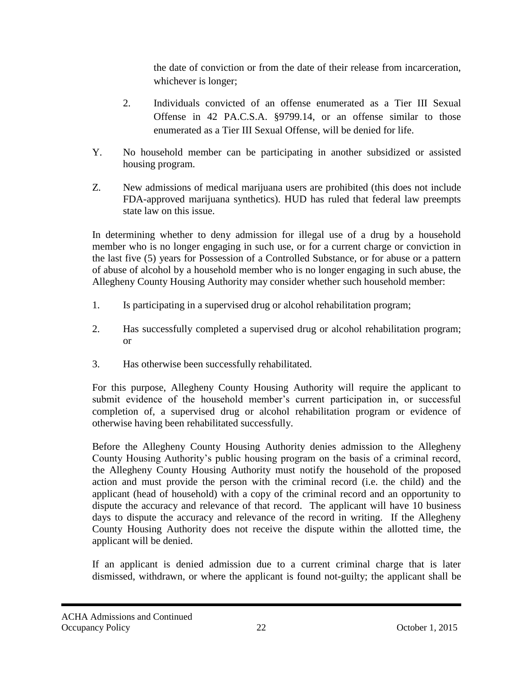the date of conviction or from the date of their release from incarceration, whichever is longer;

- 2. Individuals convicted of an offense enumerated as a Tier III Sexual Offense in 42 PA.C.S.A. §9799.14, or an offense similar to those enumerated as a Tier III Sexual Offense, will be denied for life.
- Y. No household member can be participating in another subsidized or assisted housing program.
- Z. New admissions of medical marijuana users are prohibited (this does not include FDA-approved marijuana synthetics). HUD has ruled that federal law preempts state law on this issue.

In determining whether to deny admission for illegal use of a drug by a household member who is no longer engaging in such use, or for a current charge or conviction in the last five (5) years for Possession of a Controlled Substance, or for abuse or a pattern of abuse of alcohol by a household member who is no longer engaging in such abuse, the Allegheny County Housing Authority may consider whether such household member:

- 1. Is participating in a supervised drug or alcohol rehabilitation program;
- 2. Has successfully completed a supervised drug or alcohol rehabilitation program; or
- 3. Has otherwise been successfully rehabilitated.

For this purpose, Allegheny County Housing Authority will require the applicant to submit evidence of the household member's current participation in, or successful completion of, a supervised drug or alcohol rehabilitation program or evidence of otherwise having been rehabilitated successfully.

Before the Allegheny County Housing Authority denies admission to the Allegheny County Housing Authority's public housing program on the basis of a criminal record, the Allegheny County Housing Authority must notify the household of the proposed action and must provide the person with the criminal record (i.e. the child) and the applicant (head of household) with a copy of the criminal record and an opportunity to dispute the accuracy and relevance of that record. The applicant will have 10 business days to dispute the accuracy and relevance of the record in writing. If the Allegheny County Housing Authority does not receive the dispute within the allotted time, the applicant will be denied.

If an applicant is denied admission due to a current criminal charge that is later dismissed, withdrawn, or where the applicant is found not-guilty; the applicant shall be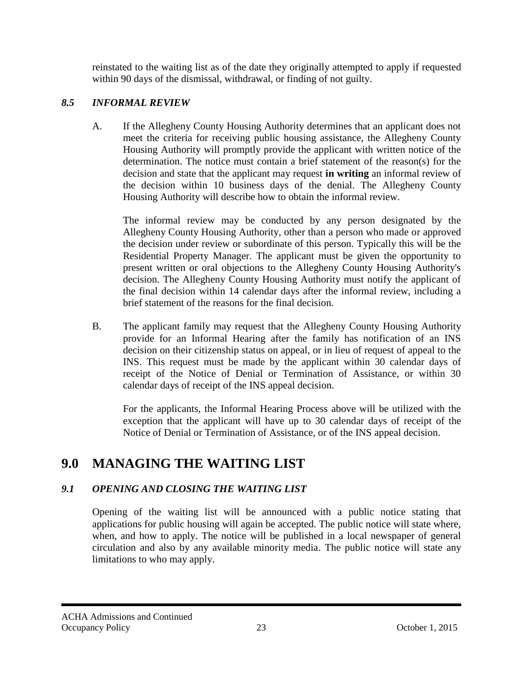reinstated to the waiting list as of the date they originally attempted to apply if requested within 90 days of the dismissal, withdrawal, or finding of not guilty.

### *8.5 INFORMAL REVIEW*

A. If the Allegheny County Housing Authority determines that an applicant does not meet the criteria for receiving public housing assistance, the Allegheny County Housing Authority will promptly provide the applicant with written notice of the determination. The notice must contain a brief statement of the reason(s) for the decision and state that the applicant may request **in writing** an informal review of the decision within 10 business days of the denial. The Allegheny County Housing Authority will describe how to obtain the informal review.

The informal review may be conducted by any person designated by the Allegheny County Housing Authority, other than a person who made or approved the decision under review or subordinate of this person. Typically this will be the Residential Property Manager. The applicant must be given the opportunity to present written or oral objections to the Allegheny County Housing Authority's decision. The Allegheny County Housing Authority must notify the applicant of the final decision within 14 calendar days after the informal review, including a brief statement of the reasons for the final decision.

B. The applicant family may request that the Allegheny County Housing Authority provide for an Informal Hearing after the family has notification of an INS decision on their citizenship status on appeal, or in lieu of request of appeal to the INS. This request must be made by the applicant within 30 calendar days of receipt of the Notice of Denial or Termination of Assistance, or within 30 calendar days of receipt of the INS appeal decision.

For the applicants, the Informal Hearing Process above will be utilized with the exception that the applicant will have up to 30 calendar days of receipt of the Notice of Denial or Termination of Assistance, or of the INS appeal decision.

# **9.0 MANAGING THE WAITING LIST**

## *9.1 OPENING AND CLOSING THE WAITING LIST*

Opening of the waiting list will be announced with a public notice stating that applications for public housing will again be accepted. The public notice will state where, when, and how to apply. The notice will be published in a local newspaper of general circulation and also by any available minority media. The public notice will state any limitations to who may apply.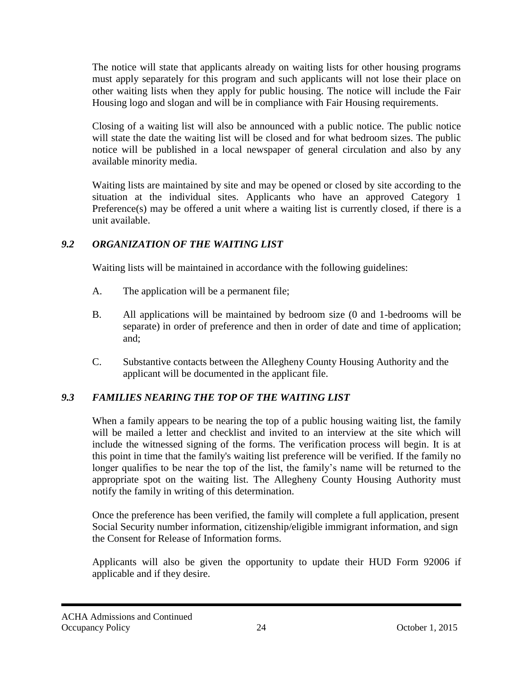The notice will state that applicants already on waiting lists for other housing programs must apply separately for this program and such applicants will not lose their place on other waiting lists when they apply for public housing. The notice will include the Fair Housing logo and slogan and will be in compliance with Fair Housing requirements.

Closing of a waiting list will also be announced with a public notice. The public notice will state the date the waiting list will be closed and for what bedroom sizes. The public notice will be published in a local newspaper of general circulation and also by any available minority media.

Waiting lists are maintained by site and may be opened or closed by site according to the situation at the individual sites. Applicants who have an approved Category 1 Preference(s) may be offered a unit where a waiting list is currently closed, if there is a unit available.

### *9.2 ORGANIZATION OF THE WAITING LIST*

Waiting lists will be maintained in accordance with the following guidelines:

- A. The application will be a permanent file;
- B. All applications will be maintained by bedroom size (0 and 1-bedrooms will be separate) in order of preference and then in order of date and time of application; and;
- C. Substantive contacts between the Allegheny County Housing Authority and the applicant will be documented in the applicant file.

#### *9.3 FAMILIES NEARING THE TOP OF THE WAITING LIST*

When a family appears to be nearing the top of a public housing waiting list, the family will be mailed a letter and checklist and invited to an interview at the site which will include the witnessed signing of the forms. The verification process will begin. It is at this point in time that the family's waiting list preference will be verified. If the family no longer qualifies to be near the top of the list, the family's name will be returned to the appropriate spot on the waiting list. The Allegheny County Housing Authority must notify the family in writing of this determination.

Once the preference has been verified, the family will complete a full application, present Social Security number information, citizenship/eligible immigrant information, and sign the Consent for Release of Information forms.

Applicants will also be given the opportunity to update their HUD Form 92006 if applicable and if they desire.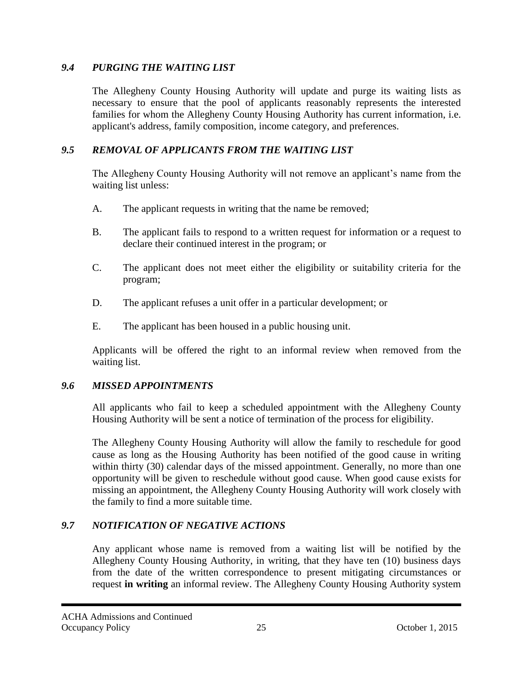#### *9.4 PURGING THE WAITING LIST*

The Allegheny County Housing Authority will update and purge its waiting lists as necessary to ensure that the pool of applicants reasonably represents the interested families for whom the Allegheny County Housing Authority has current information, i.e. applicant's address, family composition, income category, and preferences.

#### *9.5 REMOVAL OF APPLICANTS FROM THE WAITING LIST*

The Allegheny County Housing Authority will not remove an applicant's name from the waiting list unless:

- A. The applicant requests in writing that the name be removed;
- B. The applicant fails to respond to a written request for information or a request to declare their continued interest in the program; or
- C. The applicant does not meet either the eligibility or suitability criteria for the program;
- D. The applicant refuses a unit offer in a particular development; or
- E. The applicant has been housed in a public housing unit.

Applicants will be offered the right to an informal review when removed from the waiting list.

#### *9.6 MISSED APPOINTMENTS*

All applicants who fail to keep a scheduled appointment with the Allegheny County Housing Authority will be sent a notice of termination of the process for eligibility.

The Allegheny County Housing Authority will allow the family to reschedule for good cause as long as the Housing Authority has been notified of the good cause in writing within thirty (30) calendar days of the missed appointment. Generally, no more than one opportunity will be given to reschedule without good cause. When good cause exists for missing an appointment, the Allegheny County Housing Authority will work closely with the family to find a more suitable time.

#### *9.7 NOTIFICATION OF NEGATIVE ACTIONS*

Any applicant whose name is removed from a waiting list will be notified by the Allegheny County Housing Authority, in writing, that they have ten (10) business days from the date of the written correspondence to present mitigating circumstances or request **in writing** an informal review. The Allegheny County Housing Authority system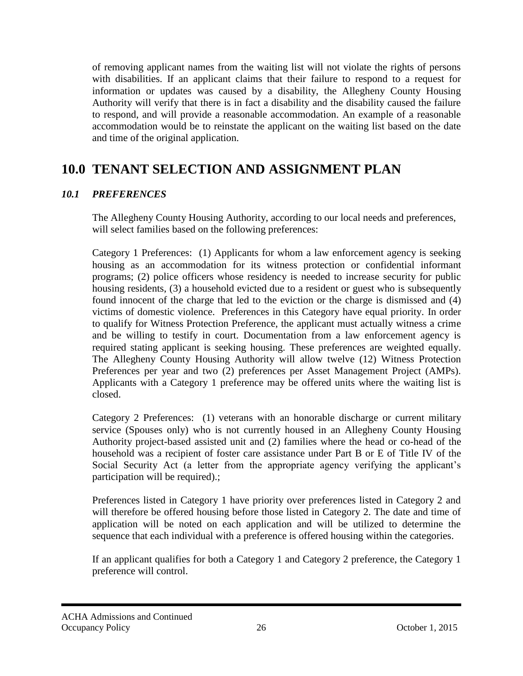of removing applicant names from the waiting list will not violate the rights of persons with disabilities. If an applicant claims that their failure to respond to a request for information or updates was caused by a disability, the Allegheny County Housing Authority will verify that there is in fact a disability and the disability caused the failure to respond, and will provide a reasonable accommodation. An example of a reasonable accommodation would be to reinstate the applicant on the waiting list based on the date and time of the original application.

## **10.0 TENANT SELECTION AND ASSIGNMENT PLAN**

#### *10.1 PREFERENCES*

The Allegheny County Housing Authority, according to our local needs and preferences, will select families based on the following preferences:

Category 1 Preferences: (1) Applicants for whom a law enforcement agency is seeking housing as an accommodation for its witness protection or confidential informant programs; (2) police officers whose residency is needed to increase security for public housing residents, (3) a household evicted due to a resident or guest who is subsequently found innocent of the charge that led to the eviction or the charge is dismissed and (4) victims of domestic violence. Preferences in this Category have equal priority. In order to qualify for Witness Protection Preference, the applicant must actually witness a crime and be willing to testify in court. Documentation from a law enforcement agency is required stating applicant is seeking housing. These preferences are weighted equally. The Allegheny County Housing Authority will allow twelve (12) Witness Protection Preferences per year and two (2) preferences per Asset Management Project (AMPs). Applicants with a Category 1 preference may be offered units where the waiting list is closed.

Category 2 Preferences: (1) veterans with an honorable discharge or current military service (Spouses only) who is not currently housed in an Allegheny County Housing Authority project-based assisted unit and (2) families where the head or co-head of the household was a recipient of foster care assistance under Part B or E of Title IV of the Social Security Act (a letter from the appropriate agency verifying the applicant's participation will be required).;

Preferences listed in Category 1 have priority over preferences listed in Category 2 and will therefore be offered housing before those listed in Category 2. The date and time of application will be noted on each application and will be utilized to determine the sequence that each individual with a preference is offered housing within the categories.

If an applicant qualifies for both a Category 1 and Category 2 preference, the Category 1 preference will control.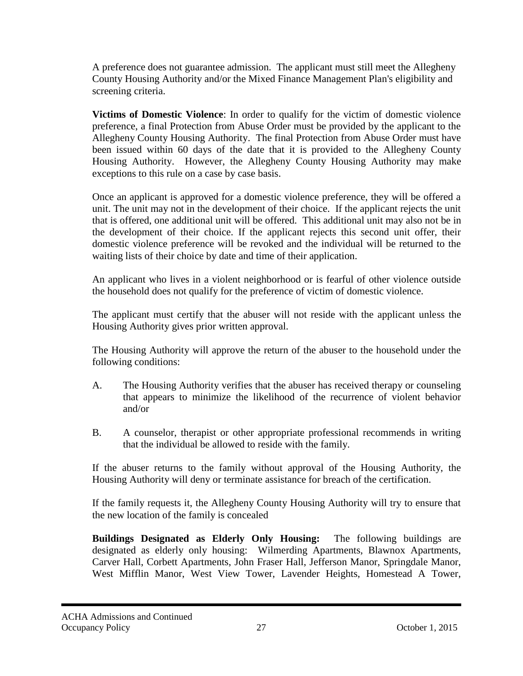A preference does not guarantee admission. The applicant must still meet the Allegheny County Housing Authority and/or the Mixed Finance Management Plan's eligibility and screening criteria.

**Victims of Domestic Violence**: In order to qualify for the victim of domestic violence preference, a final Protection from Abuse Order must be provided by the applicant to the Allegheny County Housing Authority. The final Protection from Abuse Order must have been issued within 60 days of the date that it is provided to the Allegheny County Housing Authority. However, the Allegheny County Housing Authority may make exceptions to this rule on a case by case basis.

Once an applicant is approved for a domestic violence preference, they will be offered a unit. The unit may not in the development of their choice. If the applicant rejects the unit that is offered, one additional unit will be offered. This additional unit may also not be in the development of their choice. If the applicant rejects this second unit offer, their domestic violence preference will be revoked and the individual will be returned to the waiting lists of their choice by date and time of their application.

An applicant who lives in a violent neighborhood or is fearful of other violence outside the household does not qualify for the preference of victim of domestic violence.

The applicant must certify that the abuser will not reside with the applicant unless the Housing Authority gives prior written approval.

The Housing Authority will approve the return of the abuser to the household under the following conditions:

- A. The Housing Authority verifies that the abuser has received therapy or counseling that appears to minimize the likelihood of the recurrence of violent behavior and/or
- B. A counselor, therapist or other appropriate professional recommends in writing that the individual be allowed to reside with the family.

If the abuser returns to the family without approval of the Housing Authority, the Housing Authority will deny or terminate assistance for breach of the certification.

If the family requests it, the Allegheny County Housing Authority will try to ensure that the new location of the family is concealed

**Buildings Designated as Elderly Only Housing:** The following buildings are designated as elderly only housing: Wilmerding Apartments, Blawnox Apartments, Carver Hall, Corbett Apartments, John Fraser Hall, Jefferson Manor, Springdale Manor, West Mifflin Manor, West View Tower, Lavender Heights, Homestead A Tower,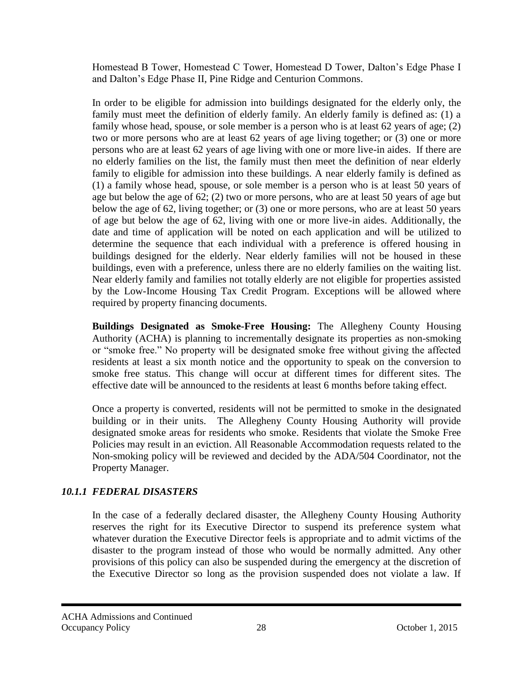Homestead B Tower, Homestead C Tower, Homestead D Tower, Dalton's Edge Phase I and Dalton's Edge Phase II, Pine Ridge and Centurion Commons.

In order to be eligible for admission into buildings designated for the elderly only, the family must meet the definition of elderly family. An elderly family is defined as: (1) a family whose head, spouse, or sole member is a person who is at least 62 years of age; (2) two or more persons who are at least 62 years of age living together; or (3) one or more persons who are at least 62 years of age living with one or more live-in aides. If there are no elderly families on the list, the family must then meet the definition of near elderly family to eligible for admission into these buildings. A near elderly family is defined as (1) a family whose head, spouse, or sole member is a person who is at least 50 years of age but below the age of 62; (2) two or more persons, who are at least 50 years of age but below the age of 62, living together; or (3) one or more persons, who are at least 50 years of age but below the age of 62, living with one or more live-in aides. Additionally, the date and time of application will be noted on each application and will be utilized to determine the sequence that each individual with a preference is offered housing in buildings designed for the elderly. Near elderly families will not be housed in these buildings, even with a preference, unless there are no elderly families on the waiting list. Near elderly family and families not totally elderly are not eligible for properties assisted by the Low-Income Housing Tax Credit Program. Exceptions will be allowed where required by property financing documents.

**Buildings Designated as Smoke-Free Housing:** The Allegheny County Housing Authority (ACHA) is planning to incrementally designate its properties as non-smoking or "smoke free." No property will be designated smoke free without giving the affected residents at least a six month notice and the opportunity to speak on the conversion to smoke free status. This change will occur at different times for different sites. The effective date will be announced to the residents at least 6 months before taking effect.

Once a property is converted, residents will not be permitted to smoke in the designated building or in their units. The Allegheny County Housing Authority will provide designated smoke areas for residents who smoke. Residents that violate the Smoke Free Policies may result in an eviction. All Reasonable Accommodation requests related to the Non-smoking policy will be reviewed and decided by the ADA/504 Coordinator, not the Property Manager.

## *10.1.1 FEDERAL DISASTERS*

In the case of a federally declared disaster, the Allegheny County Housing Authority reserves the right for its Executive Director to suspend its preference system what whatever duration the Executive Director feels is appropriate and to admit victims of the disaster to the program instead of those who would be normally admitted. Any other provisions of this policy can also be suspended during the emergency at the discretion of the Executive Director so long as the provision suspended does not violate a law. If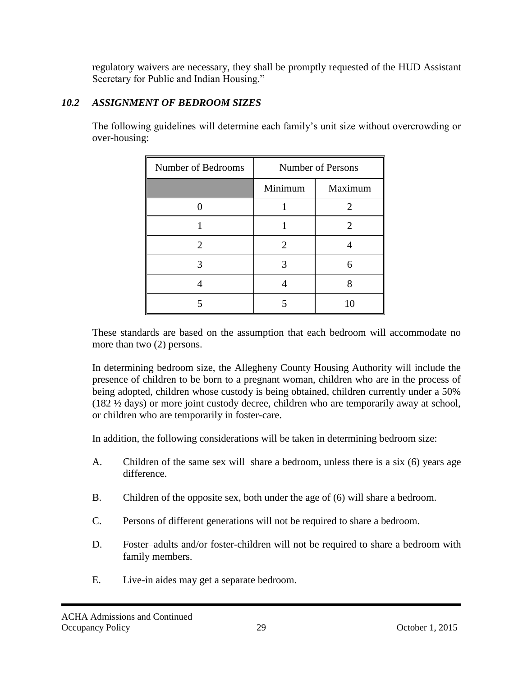regulatory waivers are necessary, they shall be promptly requested of the HUD Assistant Secretary for Public and Indian Housing."

#### *10.2 ASSIGNMENT OF BEDROOM SIZES*

The following guidelines will determine each family's unit size without overcrowding or over-housing:

| Number of Bedrooms          | Number of Persons |                       |
|-----------------------------|-------------------|-----------------------|
|                             | Minimum           | Maximum               |
|                             |                   | $\mathcal{D}_{\cdot}$ |
|                             |                   | 2                     |
| $\mathcal{D}_{\mathcal{L}}$ | 2                 |                       |
|                             |                   |                       |
|                             |                   |                       |
|                             |                   |                       |

These standards are based on the assumption that each bedroom will accommodate no more than two (2) persons.

In determining bedroom size, the Allegheny County Housing Authority will include the presence of children to be born to a pregnant woman, children who are in the process of being adopted, children whose custody is being obtained, children currently under a 50% (182 ½ days) or more joint custody decree, children who are temporarily away at school, or children who are temporarily in foster-care.

In addition, the following considerations will be taken in determining bedroom size:

- A. Children of the same sex will share a bedroom, unless there is a six (6) years age difference.
- B. Children of the opposite sex, both under the age of (6) will share a bedroom.
- C. Persons of different generations will not be required to share a bedroom.
- D. Foster–adults and/or foster-children will not be required to share a bedroom with family members.
- E. Live-in aides may get a separate bedroom.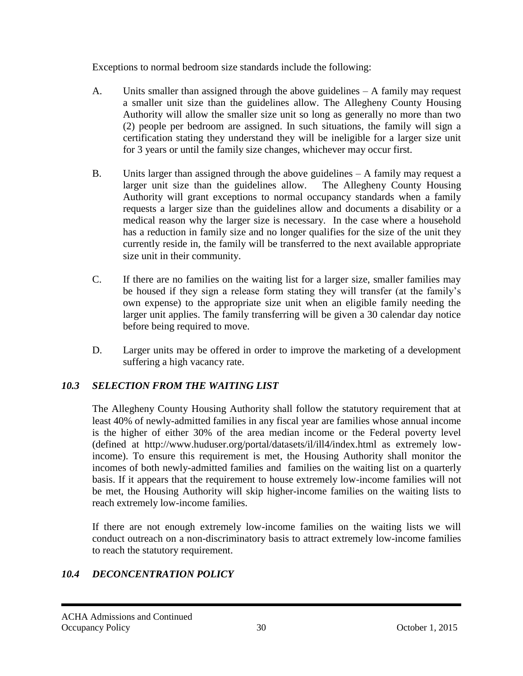Exceptions to normal bedroom size standards include the following:

- A. Units smaller than assigned through the above guidelines  $-A$  family may request a smaller unit size than the guidelines allow. The Allegheny County Housing Authority will allow the smaller size unit so long as generally no more than two (2) people per bedroom are assigned. In such situations, the family will sign a certification stating they understand they will be ineligible for a larger size unit for 3 years or until the family size changes, whichever may occur first.
- B. Units larger than assigned through the above guidelines A family may request a larger unit size than the guidelines allow. The Allegheny County Housing Authority will grant exceptions to normal occupancy standards when a family requests a larger size than the guidelines allow and documents a disability or a medical reason why the larger size is necessary. In the case where a household has a reduction in family size and no longer qualifies for the size of the unit they currently reside in, the family will be transferred to the next available appropriate size unit in their community.
- C. If there are no families on the waiting list for a larger size, smaller families may be housed if they sign a release form stating they will transfer (at the family's own expense) to the appropriate size unit when an eligible family needing the larger unit applies. The family transferring will be given a 30 calendar day notice before being required to move.
- D. Larger units may be offered in order to improve the marketing of a development suffering a high vacancy rate.

## *10.3 SELECTION FROM THE WAITING LIST*

The Allegheny County Housing Authority shall follow the statutory requirement that at least 40% of newly-admitted families in any fiscal year are families whose annual income is the higher of either 30% of the area median income or the Federal poverty level (defined at http://www.huduser.org/portal/datasets/il/ill4/index.html as extremely lowincome). To ensure this requirement is met, the Housing Authority shall monitor the incomes of both newly-admitted families and families on the waiting list on a quarterly basis. If it appears that the requirement to house extremely low-income families will not be met, the Housing Authority will skip higher-income families on the waiting lists to reach extremely low-income families.

If there are not enough extremely low-income families on the waiting lists we will conduct outreach on a non-discriminatory basis to attract extremely low-income families to reach the statutory requirement.

## *10.4 DECONCENTRATION POLICY*

ACHA Admissions and Continued Occupancy Policy 30 October 1, 2015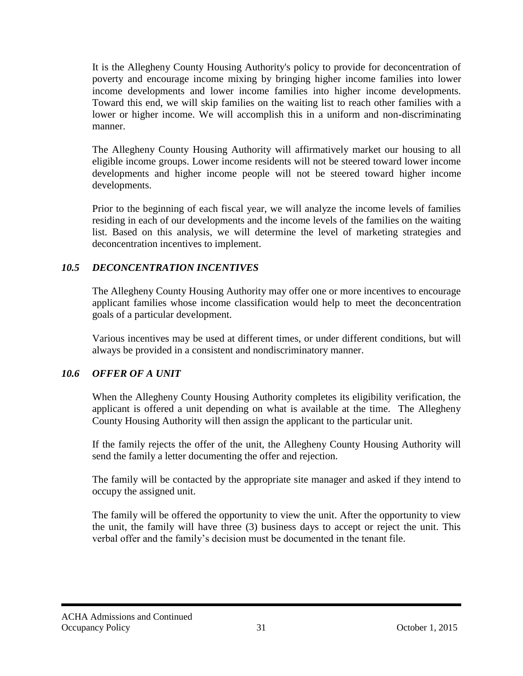It is the Allegheny County Housing Authority's policy to provide for deconcentration of poverty and encourage income mixing by bringing higher income families into lower income developments and lower income families into higher income developments. Toward this end, we will skip families on the waiting list to reach other families with a lower or higher income. We will accomplish this in a uniform and non-discriminating manner.

The Allegheny County Housing Authority will affirmatively market our housing to all eligible income groups. Lower income residents will not be steered toward lower income developments and higher income people will not be steered toward higher income developments.

Prior to the beginning of each fiscal year, we will analyze the income levels of families residing in each of our developments and the income levels of the families on the waiting list. Based on this analysis, we will determine the level of marketing strategies and deconcentration incentives to implement.

#### *10.5 DECONCENTRATION INCENTIVES*

The Allegheny County Housing Authority may offer one or more incentives to encourage applicant families whose income classification would help to meet the deconcentration goals of a particular development.

Various incentives may be used at different times, or under different conditions, but will always be provided in a consistent and nondiscriminatory manner.

#### *10.6 OFFER OF A UNIT*

When the Allegheny County Housing Authority completes its eligibility verification, the applicant is offered a unit depending on what is available at the time. The Allegheny County Housing Authority will then assign the applicant to the particular unit.

If the family rejects the offer of the unit, the Allegheny County Housing Authority will send the family a letter documenting the offer and rejection.

The family will be contacted by the appropriate site manager and asked if they intend to occupy the assigned unit.

The family will be offered the opportunity to view the unit. After the opportunity to view the unit, the family will have three (3) business days to accept or reject the unit. This verbal offer and the family's decision must be documented in the tenant file.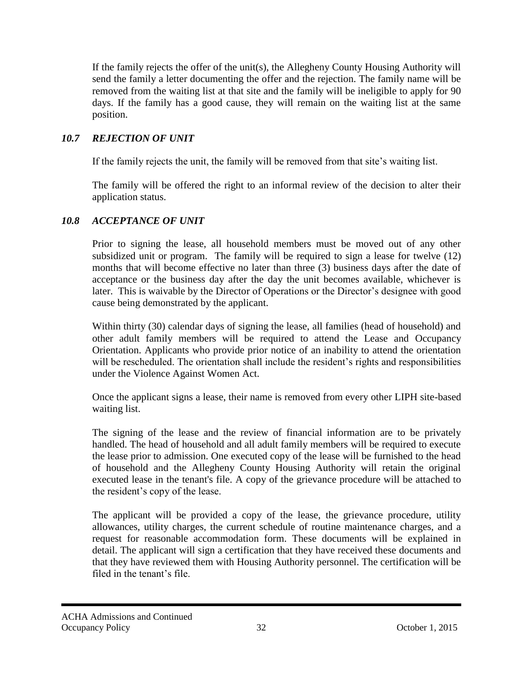If the family rejects the offer of the unit(s), the Allegheny County Housing Authority will send the family a letter documenting the offer and the rejection. The family name will be removed from the waiting list at that site and the family will be ineligible to apply for 90 days. If the family has a good cause, they will remain on the waiting list at the same position.

#### *10.7 REJECTION OF UNIT*

If the family rejects the unit, the family will be removed from that site's waiting list.

The family will be offered the right to an informal review of the decision to alter their application status.

### *10.8 ACCEPTANCE OF UNIT*

Prior to signing the lease, all household members must be moved out of any other subsidized unit or program. The family will be required to sign a lease for twelve (12) months that will become effective no later than three (3) business days after the date of acceptance or the business day after the day the unit becomes available, whichever is later. This is waivable by the Director of Operations or the Director's designee with good cause being demonstrated by the applicant.

Within thirty (30) calendar days of signing the lease, all families (head of household) and other adult family members will be required to attend the Lease and Occupancy Orientation. Applicants who provide prior notice of an inability to attend the orientation will be rescheduled. The orientation shall include the resident's rights and responsibilities under the Violence Against Women Act.

Once the applicant signs a lease, their name is removed from every other LIPH site-based waiting list.

The signing of the lease and the review of financial information are to be privately handled. The head of household and all adult family members will be required to execute the lease prior to admission. One executed copy of the lease will be furnished to the head of household and the Allegheny County Housing Authority will retain the original executed lease in the tenant's file. A copy of the grievance procedure will be attached to the resident's copy of the lease.

The applicant will be provided a copy of the lease, the grievance procedure, utility allowances, utility charges, the current schedule of routine maintenance charges, and a request for reasonable accommodation form. These documents will be explained in detail. The applicant will sign a certification that they have received these documents and that they have reviewed them with Housing Authority personnel. The certification will be filed in the tenant's file.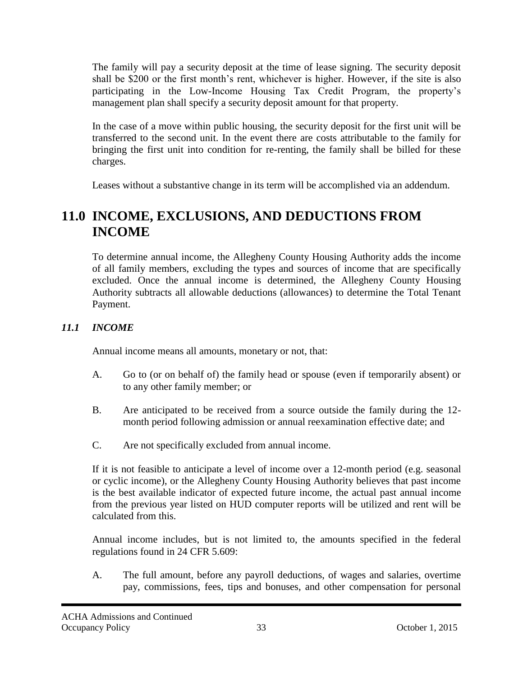The family will pay a security deposit at the time of lease signing. The security deposit shall be \$200 or the first month's rent, whichever is higher. However, if the site is also participating in the Low-Income Housing Tax Credit Program, the property's management plan shall specify a security deposit amount for that property.

In the case of a move within public housing, the security deposit for the first unit will be transferred to the second unit. In the event there are costs attributable to the family for bringing the first unit into condition for re-renting, the family shall be billed for these charges.

Leases without a substantive change in its term will be accomplished via an addendum.

## **11.0 INCOME, EXCLUSIONS, AND DEDUCTIONS FROM INCOME**

To determine annual income, the Allegheny County Housing Authority adds the income of all family members, excluding the types and sources of income that are specifically excluded. Once the annual income is determined, the Allegheny County Housing Authority subtracts all allowable deductions (allowances) to determine the Total Tenant Payment.

#### *11.1 INCOME*

Annual income means all amounts, monetary or not, that:

- A. Go to (or on behalf of) the family head or spouse (even if temporarily absent) or to any other family member; or
- B. Are anticipated to be received from a source outside the family during the 12 month period following admission or annual reexamination effective date; and
- C. Are not specifically excluded from annual income.

If it is not feasible to anticipate a level of income over a 12-month period (e.g. seasonal or cyclic income), or the Allegheny County Housing Authority believes that past income is the best available indicator of expected future income, the actual past annual income from the previous year listed on HUD computer reports will be utilized and rent will be calculated from this.

Annual income includes, but is not limited to, the amounts specified in the federal regulations found in 24 CFR 5.609:

A. The full amount, before any payroll deductions, of wages and salaries, overtime pay, commissions, fees, tips and bonuses, and other compensation for personal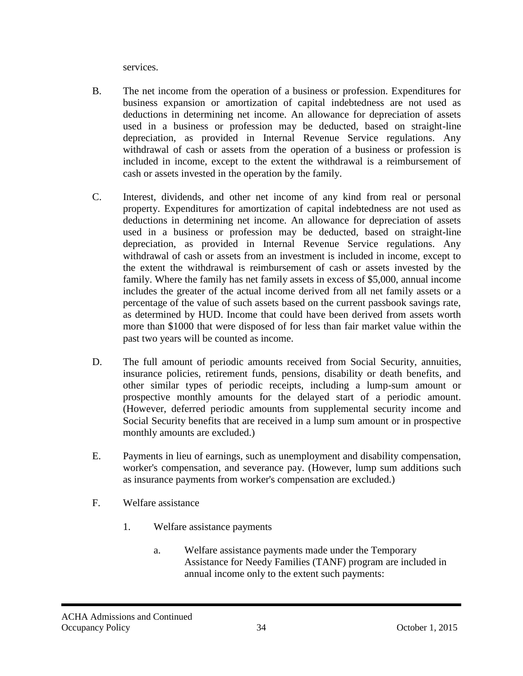services.

- B. The net income from the operation of a business or profession. Expenditures for business expansion or amortization of capital indebtedness are not used as deductions in determining net income. An allowance for depreciation of assets used in a business or profession may be deducted, based on straight-line depreciation, as provided in Internal Revenue Service regulations. Any withdrawal of cash or assets from the operation of a business or profession is included in income, except to the extent the withdrawal is a reimbursement of cash or assets invested in the operation by the family.
- C. Interest, dividends, and other net income of any kind from real or personal property. Expenditures for amortization of capital indebtedness are not used as deductions in determining net income. An allowance for depreciation of assets used in a business or profession may be deducted, based on straight-line depreciation, as provided in Internal Revenue Service regulations. Any withdrawal of cash or assets from an investment is included in income, except to the extent the withdrawal is reimbursement of cash or assets invested by the family. Where the family has net family assets in excess of \$5,000, annual income includes the greater of the actual income derived from all net family assets or a percentage of the value of such assets based on the current passbook savings rate, as determined by HUD. Income that could have been derived from assets worth more than \$1000 that were disposed of for less than fair market value within the past two years will be counted as income.
- D. The full amount of periodic amounts received from Social Security, annuities, insurance policies, retirement funds, pensions, disability or death benefits, and other similar types of periodic receipts, including a lump-sum amount or prospective monthly amounts for the delayed start of a periodic amount. (However, deferred periodic amounts from supplemental security income and Social Security benefits that are received in a lump sum amount or in prospective monthly amounts are excluded.)
- E. Payments in lieu of earnings, such as unemployment and disability compensation, worker's compensation, and severance pay. (However, lump sum additions such as insurance payments from worker's compensation are excluded.)
- F. Welfare assistance
	- 1. Welfare assistance payments
		- a. Welfare assistance payments made under the Temporary Assistance for Needy Families (TANF) program are included in annual income only to the extent such payments: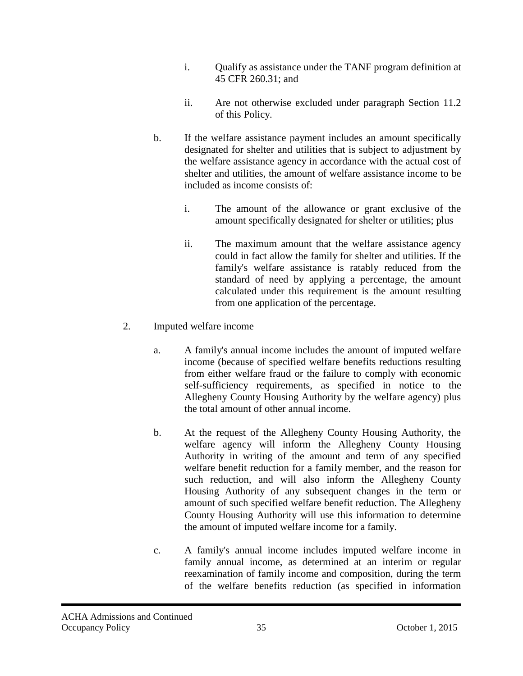- i. Qualify as assistance under the TANF program definition at 45 CFR 260.31; and
- ii. Are not otherwise excluded under paragraph Section 11.2 of this Policy.
- b. If the welfare assistance payment includes an amount specifically designated for shelter and utilities that is subject to adjustment by the welfare assistance agency in accordance with the actual cost of shelter and utilities, the amount of welfare assistance income to be included as income consists of:
	- i. The amount of the allowance or grant exclusive of the amount specifically designated for shelter or utilities; plus
	- ii. The maximum amount that the welfare assistance agency could in fact allow the family for shelter and utilities. If the family's welfare assistance is ratably reduced from the standard of need by applying a percentage, the amount calculated under this requirement is the amount resulting from one application of the percentage.
- 2. Imputed welfare income
	- a. A family's annual income includes the amount of imputed welfare income (because of specified welfare benefits reductions resulting from either welfare fraud or the failure to comply with economic self-sufficiency requirements, as specified in notice to the Allegheny County Housing Authority by the welfare agency) plus the total amount of other annual income.
	- b. At the request of the Allegheny County Housing Authority, the welfare agency will inform the Allegheny County Housing Authority in writing of the amount and term of any specified welfare benefit reduction for a family member, and the reason for such reduction, and will also inform the Allegheny County Housing Authority of any subsequent changes in the term or amount of such specified welfare benefit reduction. The Allegheny County Housing Authority will use this information to determine the amount of imputed welfare income for a family.
	- c. A family's annual income includes imputed welfare income in family annual income, as determined at an interim or regular reexamination of family income and composition, during the term of the welfare benefits reduction (as specified in information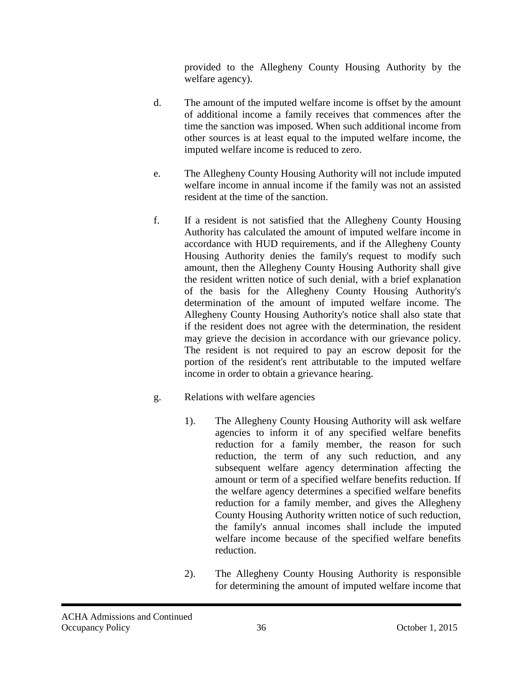provided to the Allegheny County Housing Authority by the welfare agency).

- d. The amount of the imputed welfare income is offset by the amount of additional income a family receives that commences after the time the sanction was imposed. When such additional income from other sources is at least equal to the imputed welfare income, the imputed welfare income is reduced to zero.
- e. The Allegheny County Housing Authority will not include imputed welfare income in annual income if the family was not an assisted resident at the time of the sanction.
- f. If a resident is not satisfied that the Allegheny County Housing Authority has calculated the amount of imputed welfare income in accordance with HUD requirements, and if the Allegheny County Housing Authority denies the family's request to modify such amount, then the Allegheny County Housing Authority shall give the resident written notice of such denial, with a brief explanation of the basis for the Allegheny County Housing Authority's determination of the amount of imputed welfare income. The Allegheny County Housing Authority's notice shall also state that if the resident does not agree with the determination, the resident may grieve the decision in accordance with our grievance policy. The resident is not required to pay an escrow deposit for the portion of the resident's rent attributable to the imputed welfare income in order to obtain a grievance hearing.
- g. Relations with welfare agencies
	- 1). The Allegheny County Housing Authority will ask welfare agencies to inform it of any specified welfare benefits reduction for a family member, the reason for such reduction, the term of any such reduction, and any subsequent welfare agency determination affecting the amount or term of a specified welfare benefits reduction. If the welfare agency determines a specified welfare benefits reduction for a family member, and gives the Allegheny County Housing Authority written notice of such reduction, the family's annual incomes shall include the imputed welfare income because of the specified welfare benefits reduction.
	- 2). The Allegheny County Housing Authority is responsible for determining the amount of imputed welfare income that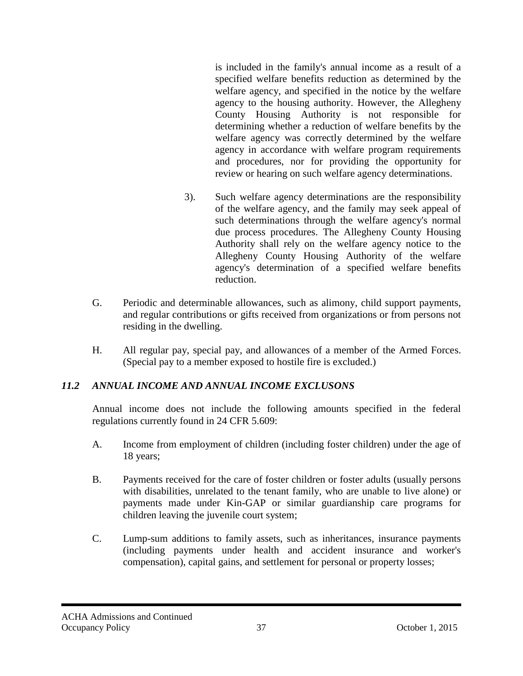is included in the family's annual income as a result of a specified welfare benefits reduction as determined by the welfare agency, and specified in the notice by the welfare agency to the housing authority. However, the Allegheny County Housing Authority is not responsible for determining whether a reduction of welfare benefits by the welfare agency was correctly determined by the welfare agency in accordance with welfare program requirements and procedures, nor for providing the opportunity for review or hearing on such welfare agency determinations.

- 3). Such welfare agency determinations are the responsibility of the welfare agency, and the family may seek appeal of such determinations through the welfare agency's normal due process procedures. The Allegheny County Housing Authority shall rely on the welfare agency notice to the Allegheny County Housing Authority of the welfare agency's determination of a specified welfare benefits reduction.
- G. Periodic and determinable allowances, such as alimony, child support payments, and regular contributions or gifts received from organizations or from persons not residing in the dwelling.
- H. All regular pay, special pay, and allowances of a member of the Armed Forces. (Special pay to a member exposed to hostile fire is excluded.)

#### *11.2 ANNUAL INCOME AND ANNUAL INCOME EXCLUSONS*

Annual income does not include the following amounts specified in the federal regulations currently found in 24 CFR 5.609:

- A. Income from employment of children (including foster children) under the age of 18 years;
- B. Payments received for the care of foster children or foster adults (usually persons with disabilities, unrelated to the tenant family, who are unable to live alone) or payments made under Kin-GAP or similar guardianship care programs for children leaving the juvenile court system;
- C. Lump-sum additions to family assets, such as inheritances, insurance payments (including payments under health and accident insurance and worker's compensation), capital gains, and settlement for personal or property losses;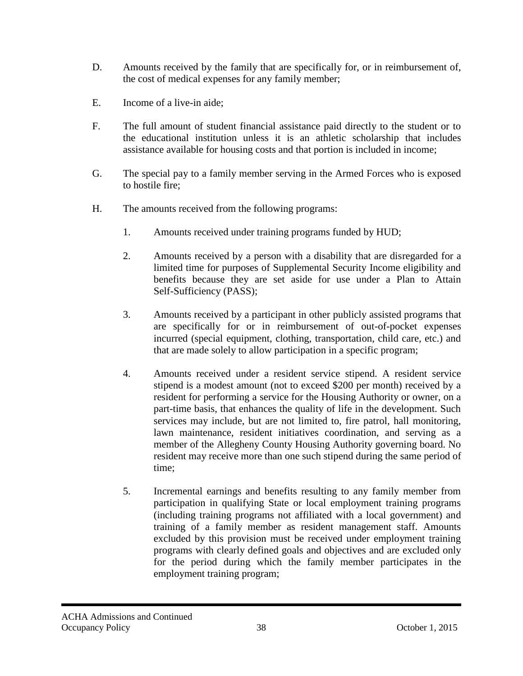- D. Amounts received by the family that are specifically for, or in reimbursement of, the cost of medical expenses for any family member;
- E. Income of a live-in aide;
- F. The full amount of student financial assistance paid directly to the student or to the educational institution unless it is an athletic scholarship that includes assistance available for housing costs and that portion is included in income;
- G. The special pay to a family member serving in the Armed Forces who is exposed to hostile fire;
- H. The amounts received from the following programs:
	- 1. Amounts received under training programs funded by HUD;
	- 2. Amounts received by a person with a disability that are disregarded for a limited time for purposes of Supplemental Security Income eligibility and benefits because they are set aside for use under a Plan to Attain Self-Sufficiency (PASS);
	- 3. Amounts received by a participant in other publicly assisted programs that are specifically for or in reimbursement of out-of-pocket expenses incurred (special equipment, clothing, transportation, child care, etc.) and that are made solely to allow participation in a specific program;
	- 4. Amounts received under a resident service stipend. A resident service stipend is a modest amount (not to exceed \$200 per month) received by a resident for performing a service for the Housing Authority or owner, on a part-time basis, that enhances the quality of life in the development. Such services may include, but are not limited to, fire patrol, hall monitoring, lawn maintenance, resident initiatives coordination, and serving as a member of the Allegheny County Housing Authority governing board. No resident may receive more than one such stipend during the same period of time;
	- 5. Incremental earnings and benefits resulting to any family member from participation in qualifying State or local employment training programs (including training programs not affiliated with a local government) and training of a family member as resident management staff. Amounts excluded by this provision must be received under employment training programs with clearly defined goals and objectives and are excluded only for the period during which the family member participates in the employment training program;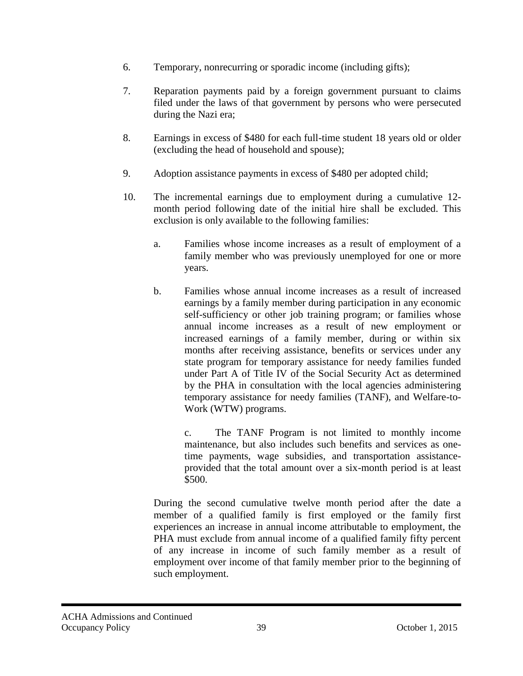- 6. Temporary, nonrecurring or sporadic income (including gifts);
- 7. Reparation payments paid by a foreign government pursuant to claims filed under the laws of that government by persons who were persecuted during the Nazi era;
- 8. Earnings in excess of \$480 for each full-time student 18 years old or older (excluding the head of household and spouse);
- 9. Adoption assistance payments in excess of \$480 per adopted child;
- 10. The incremental earnings due to employment during a cumulative 12 month period following date of the initial hire shall be excluded. This exclusion is only available to the following families:
	- a. Families whose income increases as a result of employment of a family member who was previously unemployed for one or more years.
	- b. Families whose annual income increases as a result of increased earnings by a family member during participation in any economic self-sufficiency or other job training program; or families whose annual income increases as a result of new employment or increased earnings of a family member, during or within six months after receiving assistance, benefits or services under any state program for temporary assistance for needy families funded under Part A of Title IV of the Social Security Act as determined by the PHA in consultation with the local agencies administering temporary assistance for needy families (TANF), and Welfare-to-Work (WTW) programs.

c. The TANF Program is not limited to monthly income maintenance, but also includes such benefits and services as onetime payments, wage subsidies, and transportation assistanceprovided that the total amount over a six-month period is at least \$500.

During the second cumulative twelve month period after the date a member of a qualified family is first employed or the family first experiences an increase in annual income attributable to employment, the PHA must exclude from annual income of a qualified family fifty percent of any increase in income of such family member as a result of employment over income of that family member prior to the beginning of such employment.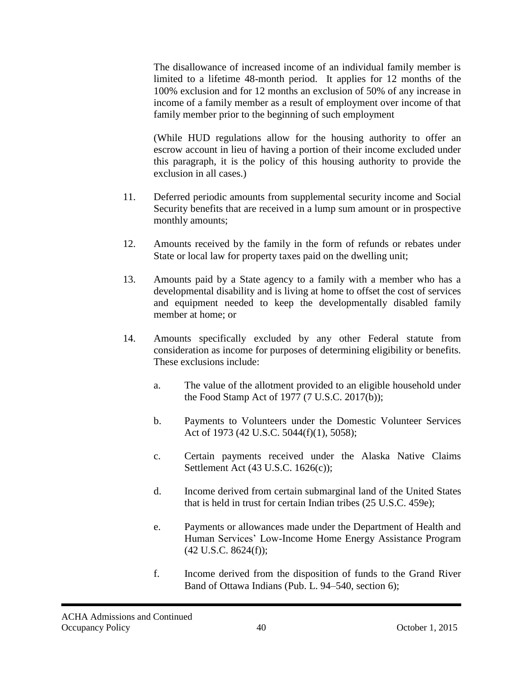The disallowance of increased income of an individual family member is limited to a lifetime 48-month period. It applies for 12 months of the 100% exclusion and for 12 months an exclusion of 50% of any increase in income of a family member as a result of employment over income of that family member prior to the beginning of such employment

(While HUD regulations allow for the housing authority to offer an escrow account in lieu of having a portion of their income excluded under this paragraph, it is the policy of this housing authority to provide the exclusion in all cases.)

- 11. Deferred periodic amounts from supplemental security income and Social Security benefits that are received in a lump sum amount or in prospective monthly amounts;
- 12. Amounts received by the family in the form of refunds or rebates under State or local law for property taxes paid on the dwelling unit;
- 13. Amounts paid by a State agency to a family with a member who has a developmental disability and is living at home to offset the cost of services and equipment needed to keep the developmentally disabled family member at home; or
- 14. Amounts specifically excluded by any other Federal statute from consideration as income for purposes of determining eligibility or benefits. These exclusions include:
	- a. The value of the allotment provided to an eligible household under the Food Stamp Act of 1977 (7 U.S.C. 2017(b));
	- b. Payments to Volunteers under the Domestic Volunteer Services Act of 1973 (42 U.S.C. 5044(f)(1), 5058);
	- c. Certain payments received under the Alaska Native Claims Settlement Act (43 U.S.C. 1626(c));
	- d. Income derived from certain submarginal land of the United States that is held in trust for certain Indian tribes (25 U.S.C. 459e);
	- e. Payments or allowances made under the Department of Health and Human Services' Low-Income Home Energy Assistance Program  $(42 \text{ U.S.C. } 8624 \text{ (f)});$
	- f. Income derived from the disposition of funds to the Grand River Band of Ottawa Indians (Pub. L. 94–540, section 6);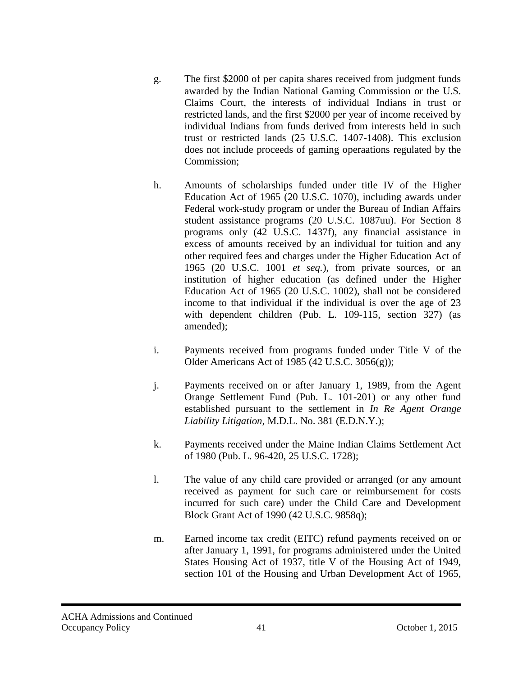- g. The first \$2000 of per capita shares received from judgment funds awarded by the Indian National Gaming Commission or the U.S. Claims Court, the interests of individual Indians in trust or restricted lands, and the first \$2000 per year of income received by individual Indians from funds derived from interests held in such trust or restricted lands (25 U.S.C. 1407-1408). This exclusion does not include proceeds of gaming operaations regulated by the Commission;
- h. Amounts of scholarships funded under title IV of the Higher Education Act of 1965 (20 U.S.C. 1070), including awards under Federal work-study program or under the Bureau of Indian Affairs student assistance programs (20 U.S.C. 1087uu). For Section 8 programs only (42 U.S.C. 1437f), any financial assistance in excess of amounts received by an individual for tuition and any other required fees and charges under the Higher Education Act of 1965 (20 U.S.C. 1001 *et seq.*), from private sources, or an institution of higher education (as defined under the Higher Education Act of 1965 (20 U.S.C. 1002), shall not be considered income to that individual if the individual is over the age of 23 with dependent children (Pub. L. 109-115, section 327) (as amended);
- i. Payments received from programs funded under Title V of the Older Americans Act of 1985 (42 U.S.C. 3056(g));
- j. Payments received on or after January 1, 1989, from the Agent Orange Settlement Fund (Pub. L. 101-201) or any other fund established pursuant to the settlement in *In Re Agent Orange Liability Litigation*, M.D.L. No. 381 (E.D.N.Y.);
- k. Payments received under the Maine Indian Claims Settlement Act of 1980 (Pub. L. 96-420, 25 U.S.C. 1728);
- l. The value of any child care provided or arranged (or any amount received as payment for such care or reimbursement for costs incurred for such care) under the Child Care and Development Block Grant Act of 1990 (42 U.S.C. 9858q);
- m. Earned income tax credit (EITC) refund payments received on or after January 1, 1991, for programs administered under the United States Housing Act of 1937, title V of the Housing Act of 1949, section 101 of the Housing and Urban Development Act of 1965,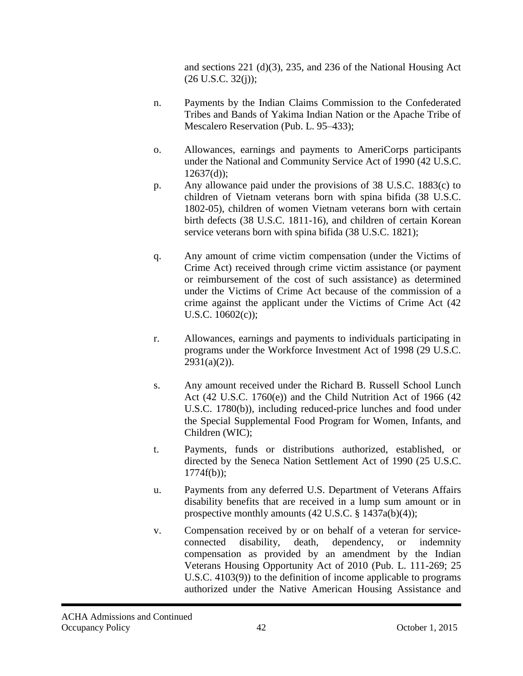and sections 221 (d)(3), 235, and 236 of the National Housing Act  $(26 \text{ U.S.C. } 32(i))$ ;

- n. Payments by the Indian Claims Commission to the Confederated Tribes and Bands of Yakima Indian Nation or the Apache Tribe of Mescalero Reservation (Pub. L. 95–433);
- o. Allowances, earnings and payments to AmeriCorps participants under the National and Community Service Act of 1990 (42 U.S.C.  $12637(d)$ :
- p. Any allowance paid under the provisions of 38 U.S.C. 1883(c) to children of Vietnam veterans born with spina bifida (38 U.S.C. 1802-05), children of women Vietnam veterans born with certain birth defects (38 U.S.C. 1811-16), and children of certain Korean service veterans born with spina bifida (38 U.S.C. 1821);
- q. Any amount of crime victim compensation (under the Victims of Crime Act) received through crime victim assistance (or payment or reimbursement of the cost of such assistance) as determined under the Victims of Crime Act because of the commission of a crime against the applicant under the Victims of Crime Act (42 U.S.C. 10602(c));
- r. Allowances, earnings and payments to individuals participating in programs under the Workforce Investment Act of 1998 (29 U.S.C.  $2931(a)(2)$ ).
- s. Any amount received under the Richard B. Russell School Lunch Act (42 U.S.C. 1760(e)) and the Child Nutrition Act of 1966 (42 U.S.C. 1780(b)), including reduced-price lunches and food under the Special Supplemental Food Program for Women, Infants, and Children (WIC);
- t. Payments, funds or distributions authorized, established, or directed by the Seneca Nation Settlement Act of 1990 (25 U.S.C. 1774f(b));
- u. Payments from any deferred U.S. Department of Veterans Affairs disability benefits that are received in a lump sum amount or in prospective monthly amounts  $(42 \text{ U.S.C.} \S 1437a(b)(4))$ ;
- v. Compensation received by or on behalf of a veteran for serviceconnected disability, death, dependency, or indemnity compensation as provided by an amendment by the Indian Veterans Housing Opportunity Act of 2010 (Pub. L. 111-269; 25 U.S.C. 4103(9)) to the definition of income applicable to programs authorized under the Native American Housing Assistance and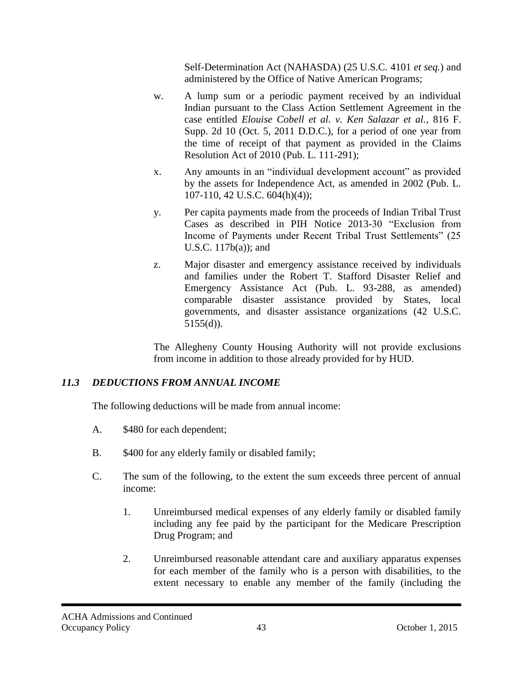Self-Determination Act (NAHASDA) (25 U.S.C. 4101 *et seq.*) and administered by the Office of Native American Programs;

- w. A lump sum or a periodic payment received by an individual Indian pursuant to the Class Action Settlement Agreement in the case entitled *Elouise Cobell et al. v. Ken Salazar et al.*, 816 F. Supp. 2d 10 (Oct. 5, 2011 D.D.C.), for a period of one year from the time of receipt of that payment as provided in the Claims Resolution Act of 2010 (Pub. L. 111-291);
- x. Any amounts in an "individual development account" as provided by the assets for Independence Act, as amended in 2002 (Pub. L. 107-110, 42 U.S.C. 604(h)(4));
- y. Per capita payments made from the proceeds of Indian Tribal Trust Cases as described in PIH Notice 2013-30 "Exclusion from Income of Payments under Recent Tribal Trust Settlements" (25 U.S.C. 117b(a)); and
- z. Major disaster and emergency assistance received by individuals and families under the Robert T. Stafford Disaster Relief and Emergency Assistance Act (Pub. L. 93-288, as amended) comparable disaster assistance provided by States, local governments, and disaster assistance organizations (42 U.S.C. 5155(d)).

The Allegheny County Housing Authority will not provide exclusions from income in addition to those already provided for by HUD.

# *11.3 DEDUCTIONS FROM ANNUAL INCOME*

The following deductions will be made from annual income:

- A. \$480 for each dependent;
- B. \$400 for any elderly family or disabled family;
- C. The sum of the following, to the extent the sum exceeds three percent of annual income:
	- 1. Unreimbursed medical expenses of any elderly family or disabled family including any fee paid by the participant for the Medicare Prescription Drug Program; and
	- 2. Unreimbursed reasonable attendant care and auxiliary apparatus expenses for each member of the family who is a person with disabilities, to the extent necessary to enable any member of the family (including the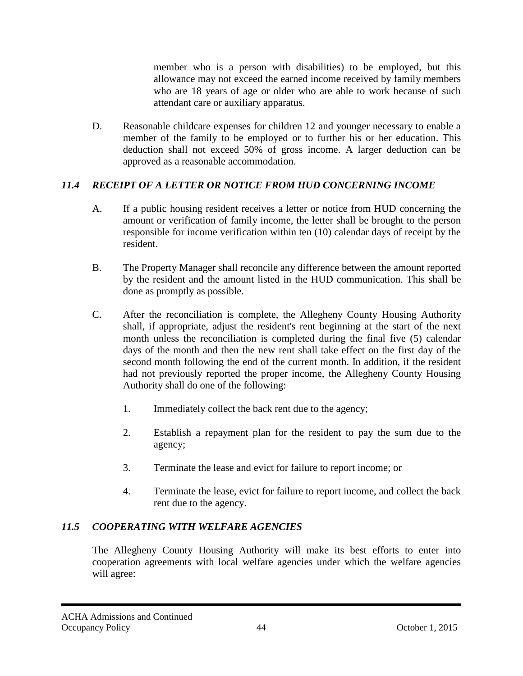member who is a person with disabilities) to be employed, but this allowance may not exceed the earned income received by family members who are 18 years of age or older who are able to work because of such attendant care or auxiliary apparatus.

D. Reasonable childcare expenses for children 12 and younger necessary to enable a member of the family to be employed or to further his or her education. This deduction shall not exceed 50% of gross income. A larger deduction can be approved as a reasonable accommodation.

# *11.4 RECEIPT OF A LETTER OR NOTICE FROM HUD CONCERNING INCOME*

- A. If a public housing resident receives a letter or notice from HUD concerning the amount or verification of family income, the letter shall be brought to the person responsible for income verification within ten (10) calendar days of receipt by the resident.
- B. The Property Manager shall reconcile any difference between the amount reported by the resident and the amount listed in the HUD communication. This shall be done as promptly as possible.
- C. After the reconciliation is complete, the Allegheny County Housing Authority shall, if appropriate, adjust the resident's rent beginning at the start of the next month unless the reconciliation is completed during the final five (5) calendar days of the month and then the new rent shall take effect on the first day of the second month following the end of the current month. In addition, if the resident had not previously reported the proper income, the Allegheny County Housing Authority shall do one of the following:
	- 1. Immediately collect the back rent due to the agency;
	- 2. Establish a repayment plan for the resident to pay the sum due to the agency;
	- 3. Terminate the lease and evict for failure to report income; or
	- 4. Terminate the lease, evict for failure to report income, and collect the back rent due to the agency.

# *11.5 COOPERATING WITH WELFARE AGENCIES*

The Allegheny County Housing Authority will make its best efforts to enter into cooperation agreements with local welfare agencies under which the welfare agencies will agree: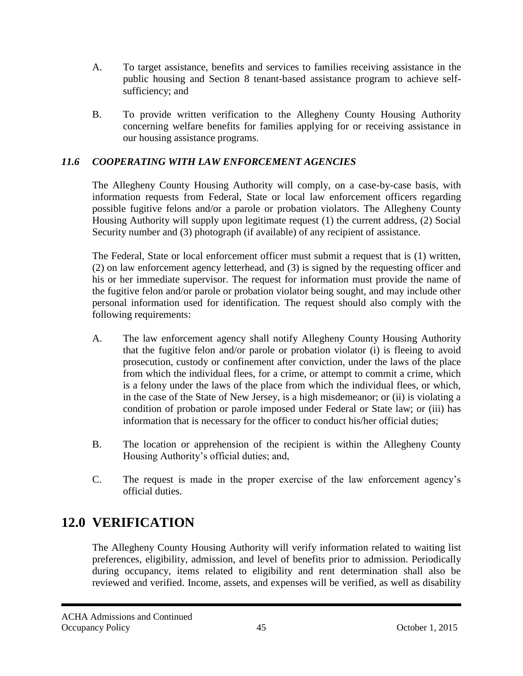- A. To target assistance, benefits and services to families receiving assistance in the public housing and Section 8 tenant-based assistance program to achieve selfsufficiency; and
- B. To provide written verification to the Allegheny County Housing Authority concerning welfare benefits for families applying for or receiving assistance in our housing assistance programs.

## *11.6 COOPERATING WITH LAW ENFORCEMENT AGENCIES*

The Allegheny County Housing Authority will comply, on a case-by-case basis, with information requests from Federal, State or local law enforcement officers regarding possible fugitive felons and/or a parole or probation violators. The Allegheny County Housing Authority will supply upon legitimate request (1) the current address, (2) Social Security number and (3) photograph (if available) of any recipient of assistance.

The Federal, State or local enforcement officer must submit a request that is (1) written, (2) on law enforcement agency letterhead, and (3) is signed by the requesting officer and his or her immediate supervisor. The request for information must provide the name of the fugitive felon and/or parole or probation violator being sought, and may include other personal information used for identification. The request should also comply with the following requirements:

- A. The law enforcement agency shall notify Allegheny County Housing Authority that the fugitive felon and/or parole or probation violator (i) is fleeing to avoid prosecution, custody or confinement after conviction, under the laws of the place from which the individual flees, for a crime, or attempt to commit a crime, which is a felony under the laws of the place from which the individual flees, or which, in the case of the State of New Jersey, is a high misdemeanor; or (ii) is violating a condition of probation or parole imposed under Federal or State law; or (iii) has information that is necessary for the officer to conduct his/her official duties;
- B. The location or apprehension of the recipient is within the Allegheny County Housing Authority's official duties; and,
- C. The request is made in the proper exercise of the law enforcement agency's official duties.

# **12.0 VERIFICATION**

The Allegheny County Housing Authority will verify information related to waiting list preferences, eligibility, admission, and level of benefits prior to admission. Periodically during occupancy, items related to eligibility and rent determination shall also be reviewed and verified. Income, assets, and expenses will be verified, as well as disability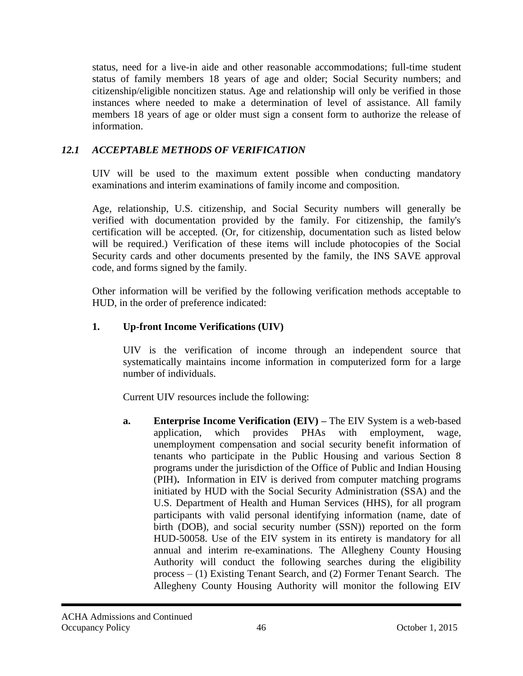status, need for a live-in aide and other reasonable accommodations; full-time student status of family members 18 years of age and older; Social Security numbers; and citizenship/eligible noncitizen status. Age and relationship will only be verified in those instances where needed to make a determination of level of assistance. All family members 18 years of age or older must sign a consent form to authorize the release of information.

## *12.1 ACCEPTABLE METHODS OF VERIFICATION*

UIV will be used to the maximum extent possible when conducting mandatory examinations and interim examinations of family income and composition.

Age, relationship, U.S. citizenship, and Social Security numbers will generally be verified with documentation provided by the family. For citizenship, the family's certification will be accepted. (Or, for citizenship, documentation such as listed below will be required.) Verification of these items will include photocopies of the Social Security cards and other documents presented by the family, the INS SAVE approval code, and forms signed by the family.

Other information will be verified by the following verification methods acceptable to HUD, in the order of preference indicated:

#### **1. Up-front Income Verifications (UIV)**

UIV is the verification of income through an independent source that systematically maintains income information in computerized form for a large number of individuals.

Current UIV resources include the following:

**a. Enterprise Income Verification (EIV) –** The EIV System is a web-based application, which provides PHAs with employment, wage, unemployment compensation and social security benefit information of tenants who participate in the Public Housing and various Section 8 programs under the jurisdiction of the Office of Public and Indian Housing (PIH)**.** Information in EIV is derived from computer matching programs initiated by HUD with the Social Security Administration (SSA) and the U.S. Department of Health and Human Services (HHS), for all program participants with valid personal identifying information (name, date of birth (DOB), and social security number (SSN)) reported on the form HUD-50058. Use of the EIV system in its entirety is mandatory for all annual and interim re-examinations. The Allegheny County Housing Authority will conduct the following searches during the eligibility process – (1) Existing Tenant Search, and (2) Former Tenant Search. The Allegheny County Housing Authority will monitor the following EIV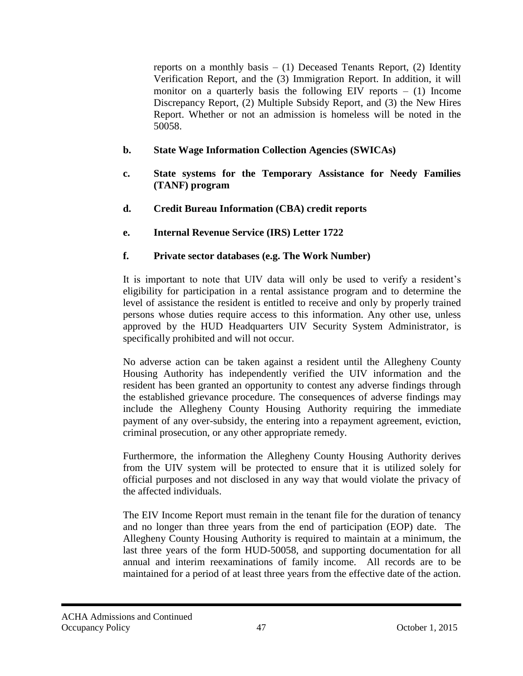reports on a monthly basis  $- (1)$  Deceased Tenants Report, (2) Identity Verification Report, and the (3) Immigration Report. In addition, it will monitor on a quarterly basis the following EIV reports  $-$  (1) Income Discrepancy Report, (2) Multiple Subsidy Report, and (3) the New Hires Report. Whether or not an admission is homeless will be noted in the 50058.

- **b. State Wage Information Collection Agencies (SWICAs)**
- **c. State systems for the Temporary Assistance for Needy Families (TANF) program**
- **d. Credit Bureau Information (CBA) credit reports**
- **e. Internal Revenue Service (IRS) Letter 1722**

#### **f. Private sector databases (e.g. The Work Number)**

It is important to note that UIV data will only be used to verify a resident's eligibility for participation in a rental assistance program and to determine the level of assistance the resident is entitled to receive and only by properly trained persons whose duties require access to this information. Any other use, unless approved by the HUD Headquarters UIV Security System Administrator*,* is specifically prohibited and will not occur.

No adverse action can be taken against a resident until the Allegheny County Housing Authority has independently verified the UIV information and the resident has been granted an opportunity to contest any adverse findings through the established grievance procedure. The consequences of adverse findings may include the Allegheny County Housing Authority requiring the immediate payment of any over-subsidy, the entering into a repayment agreement, eviction, criminal prosecution, or any other appropriate remedy.

Furthermore, the information the Allegheny County Housing Authority derives from the UIV system will be protected to ensure that it is utilized solely for official purposes and not disclosed in any way that would violate the privacy of the affected individuals.

The EIV Income Report must remain in the tenant file for the duration of tenancy and no longer than three years from the end of participation (EOP) date. The Allegheny County Housing Authority is required to maintain at a minimum, the last three years of the form HUD-50058, and supporting documentation for all annual and interim reexaminations of family income. All records are to be maintained for a period of at least three years from the effective date of the action.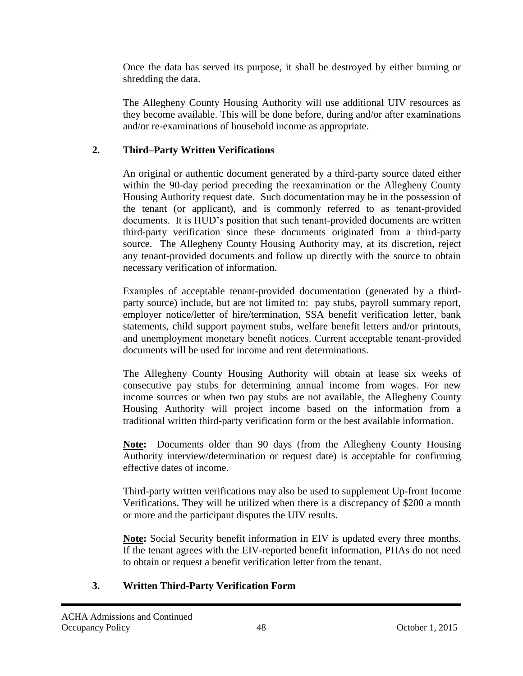Once the data has served its purpose, it shall be destroyed by either burning or shredding the data.

The Allegheny County Housing Authority will use additional UIV resources as they become available. This will be done before, during and/or after examinations and/or re-examinations of household income as appropriate.

#### **2. Third–Party Written Verifications**

An original or authentic document generated by a third-party source dated either within the 90-day period preceding the reexamination or the Allegheny County Housing Authority request date. Such documentation may be in the possession of the tenant (or applicant), and is commonly referred to as tenant-provided documents. It is HUD's position that such tenant-provided documents are written third-party verification since these documents originated from a third-party source. The Allegheny County Housing Authority may, at its discretion, reject any tenant-provided documents and follow up directly with the source to obtain necessary verification of information.

Examples of acceptable tenant-provided documentation (generated by a thirdparty source) include, but are not limited to: pay stubs, payroll summary report, employer notice/letter of hire/termination, SSA benefit verification letter, bank statements, child support payment stubs, welfare benefit letters and/or printouts, and unemployment monetary benefit notices. Current acceptable tenant-provided documents will be used for income and rent determinations.

The Allegheny County Housing Authority will obtain at lease six weeks of consecutive pay stubs for determining annual income from wages. For new income sources or when two pay stubs are not available, the Allegheny County Housing Authority will project income based on the information from a traditional written third-party verification form or the best available information.

**Note:** Documents older than 90 days (from the Allegheny County Housing Authority interview/determination or request date) is acceptable for confirming effective dates of income.

Third-party written verifications may also be used to supplement Up-front Income Verifications. They will be utilized when there is a discrepancy of \$200 a month or more and the participant disputes the UIV results.

**Note:** Social Security benefit information in EIV is updated every three months. If the tenant agrees with the EIV-reported benefit information, PHAs do not need to obtain or request a benefit verification letter from the tenant.

## **3. Written Third-Party Verification Form**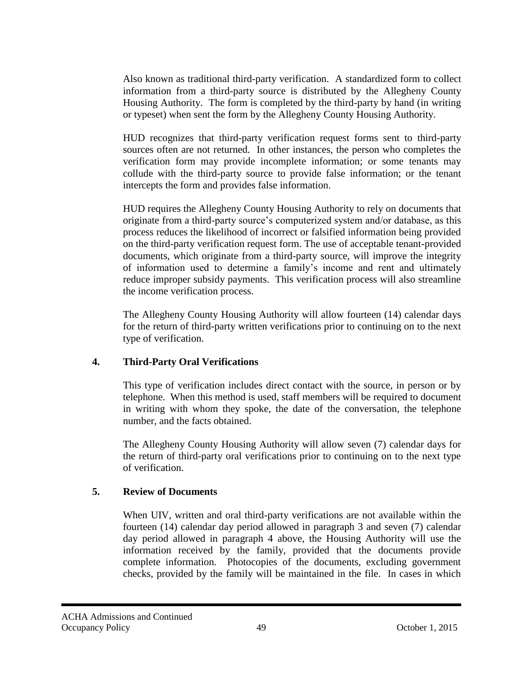Also known as traditional third-party verification. A standardized form to collect information from a third-party source is distributed by the Allegheny County Housing Authority. The form is completed by the third-party by hand (in writing or typeset) when sent the form by the Allegheny County Housing Authority.

HUD recognizes that third-party verification request forms sent to third-party sources often are not returned. In other instances, the person who completes the verification form may provide incomplete information; or some tenants may collude with the third-party source to provide false information; or the tenant intercepts the form and provides false information.

HUD requires the Allegheny County Housing Authority to rely on documents that originate from a third-party source's computerized system and/or database, as this process reduces the likelihood of incorrect or falsified information being provided on the third-party verification request form. The use of acceptable tenant-provided documents, which originate from a third-party source, will improve the integrity of information used to determine a family's income and rent and ultimately reduce improper subsidy payments. This verification process will also streamline the income verification process.

The Allegheny County Housing Authority will allow fourteen (14) calendar days for the return of third-party written verifications prior to continuing on to the next type of verification.

## **4. Third-Party Oral Verifications**

This type of verification includes direct contact with the source, in person or by telephone. When this method is used, staff members will be required to document in writing with whom they spoke, the date of the conversation, the telephone number, and the facts obtained.

The Allegheny County Housing Authority will allow seven (7) calendar days for the return of third-party oral verifications prior to continuing on to the next type of verification.

## **5. Review of Documents**

When UIV, written and oral third-party verifications are not available within the fourteen (14) calendar day period allowed in paragraph 3 and seven (7) calendar day period allowed in paragraph 4 above, the Housing Authority will use the information received by the family, provided that the documents provide complete information. Photocopies of the documents, excluding government checks, provided by the family will be maintained in the file. In cases in which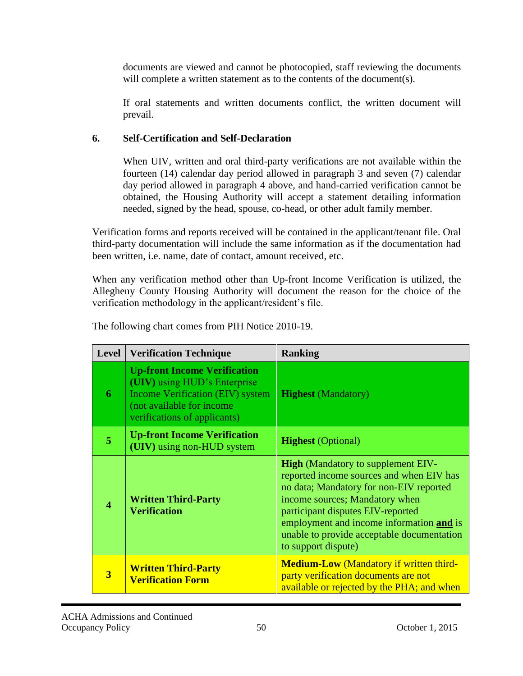documents are viewed and cannot be photocopied, staff reviewing the documents will complete a written statement as to the contents of the document(s).

If oral statements and written documents conflict, the written document will prevail.

## **6. Self-Certification and Self-Declaration**

When UIV, written and oral third-party verifications are not available within the fourteen (14) calendar day period allowed in paragraph 3 and seven (7) calendar day period allowed in paragraph 4 above, and hand-carried verification cannot be obtained, the Housing Authority will accept a statement detailing information needed, signed by the head, spouse, co-head, or other adult family member.

Verification forms and reports received will be contained in the applicant/tenant file. Oral third-party documentation will include the same information as if the documentation had been written, i.e. name, date of contact, amount received, etc.

When any verification method other than Up-front Income Verification is utilized, the Allegheny County Housing Authority will document the reason for the choice of the verification methodology in the applicant/resident's file.

| <b>Level</b>            | <b>Verification Technique</b>                                                                                                                                               | <b>Ranking</b>                                                                                                                                                                                                                                                                                                           |
|-------------------------|-----------------------------------------------------------------------------------------------------------------------------------------------------------------------------|--------------------------------------------------------------------------------------------------------------------------------------------------------------------------------------------------------------------------------------------------------------------------------------------------------------------------|
| 6                       | <b>Up-front Income Verification</b><br>(UIV) using HUD's Enterprise<br><b>Income Verification (EIV) system</b><br>(not available for income<br>verifications of applicants) | <b>Highest</b> (Mandatory)                                                                                                                                                                                                                                                                                               |
| 5                       | <b>Up-front Income Verification</b><br>(UIV) using non-HUD system                                                                                                           | <b>Highest</b> (Optional)                                                                                                                                                                                                                                                                                                |
| $\overline{\mathbf{4}}$ | <b>Written Third-Party</b><br><b>Verification</b>                                                                                                                           | <b>High</b> (Mandatory to supplement EIV-<br>reported income sources and when EIV has<br>no data; Mandatory for non-EIV reported<br>income sources; Mandatory when<br>participant disputes EIV-reported<br>employment and income information and is<br>unable to provide acceptable documentation<br>to support dispute) |
| $\overline{\mathbf{3}}$ | <b>Written Third-Party</b><br><b>Verification Form</b>                                                                                                                      | <b>Medium-Low</b> (Mandatory if written third-<br>party verification documents are not<br>available or rejected by the PHA; and when                                                                                                                                                                                     |

The following chart comes from PIH Notice 2010-19.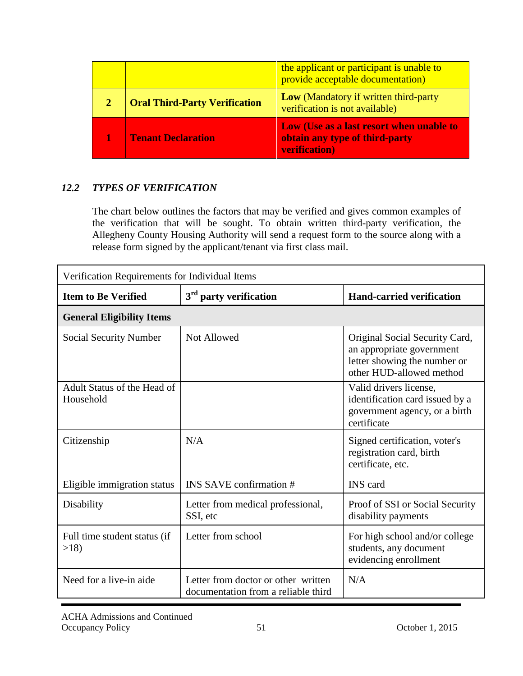|                                      | the applicant or participant is unable to<br>provide acceptable documentation)                      |
|--------------------------------------|-----------------------------------------------------------------------------------------------------|
| <b>Oral Third-Party Verification</b> | <b>Low</b> (Mandatory if written third-party<br>verification is not available)                      |
| <b>Tenant Declaration</b>            | Low (Use as a last resort when unable to<br>obtain any type of third-party<br><b>verification</b> ) |

# *12.2 TYPES OF VERIFICATION*

The chart below outlines the factors that may be verified and gives common examples of the verification that will be sought. To obtain written third-party verification, the Allegheny County Housing Authority will send a request form to the source along with a release form signed by the applicant/tenant via first class mail.

| Verification Requirements for Individual Items |                                                                            |                                                                                                                         |  |
|------------------------------------------------|----------------------------------------------------------------------------|-------------------------------------------------------------------------------------------------------------------------|--|
| <b>Item to Be Verified</b>                     | $3rd$ party verification                                                   | <b>Hand-carried verification</b>                                                                                        |  |
| <b>General Eligibility Items</b>               |                                                                            |                                                                                                                         |  |
| <b>Social Security Number</b>                  | Not Allowed                                                                | Original Social Security Card,<br>an appropriate government<br>letter showing the number or<br>other HUD-allowed method |  |
| Adult Status of the Head of<br>Household       |                                                                            | Valid drivers license,<br>identification card issued by a<br>government agency, or a birth<br>certificate               |  |
| Citizenship                                    | N/A                                                                        | Signed certification, voter's<br>registration card, birth<br>certificate, etc.                                          |  |
| Eligible immigration status                    | <b>INS SAVE confirmation #</b>                                             | <b>INS</b> card                                                                                                         |  |
| Disability                                     | Letter from medical professional,<br>SSI, etc                              | Proof of SSI or Social Security<br>disability payments                                                                  |  |
| Full time student status (if<br>>18            | Letter from school                                                         | For high school and/or college<br>students, any document<br>evidencing enrollment                                       |  |
| Need for a live-in aide                        | Letter from doctor or other written<br>documentation from a reliable third | N/A                                                                                                                     |  |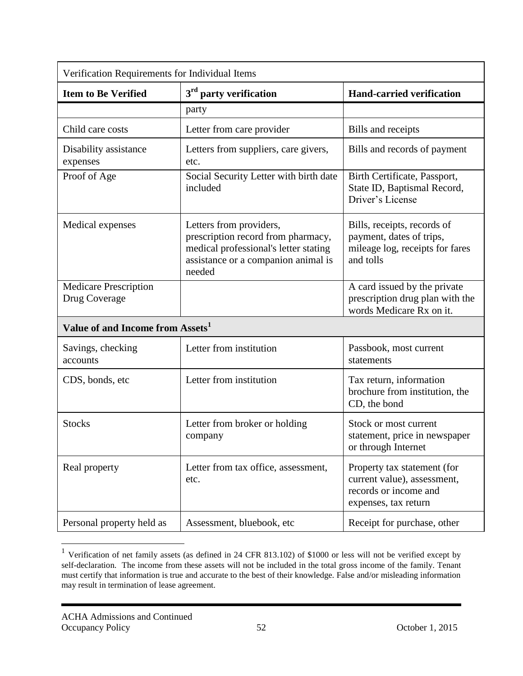| Verification Requirements for Individual Items |                                                                                                                                                         |                                                                                                             |  |
|------------------------------------------------|---------------------------------------------------------------------------------------------------------------------------------------------------------|-------------------------------------------------------------------------------------------------------------|--|
| <b>Item to Be Verified</b>                     | $3rd$ party verification                                                                                                                                | <b>Hand-carried verification</b>                                                                            |  |
|                                                | party                                                                                                                                                   |                                                                                                             |  |
| Child care costs                               | Letter from care provider                                                                                                                               | Bills and receipts                                                                                          |  |
| Disability assistance<br>expenses              | Letters from suppliers, care givers,<br>etc.                                                                                                            | Bills and records of payment                                                                                |  |
| Proof of Age                                   | Social Security Letter with birth date<br>included                                                                                                      | Birth Certificate, Passport,<br>State ID, Baptismal Record,<br>Driver's License                             |  |
| Medical expenses                               | Letters from providers,<br>prescription record from pharmacy,<br>medical professional's letter stating<br>assistance or a companion animal is<br>needed | Bills, receipts, records of<br>payment, dates of trips,<br>mileage log, receipts for fares<br>and tolls     |  |
| Medicare Prescription<br>Drug Coverage         |                                                                                                                                                         | A card issued by the private<br>prescription drug plan with the<br>words Medicare Rx on it.                 |  |
| Value of and Income from Assets <sup>1</sup>   |                                                                                                                                                         |                                                                                                             |  |
| Savings, checking<br>accounts                  | Letter from institution                                                                                                                                 | Passbook, most current<br>statements                                                                        |  |
| CDS, bonds, etc                                | Letter from institution                                                                                                                                 | Tax return, information<br>brochure from institution, the<br>CD, the bond                                   |  |
| <b>Stocks</b>                                  | Letter from broker or holding<br>company                                                                                                                | Stock or most current<br>statement, price in newspaper<br>or through Internet                               |  |
| Real property                                  | Letter from tax office, assessment,<br>etc.                                                                                                             | Property tax statement (for<br>current value), assessment,<br>records or income and<br>expenses, tax return |  |
| Personal property held as                      | Assessment, bluebook, etc                                                                                                                               | Receipt for purchase, other                                                                                 |  |

 1 Verification of net family assets (as defined in 24 CFR 813.102) of \$1000 or less will not be verified except by self-declaration. The income from these assets will not be included in the total gross income of the family. Tenant must certify that information is true and accurate to the best of their knowledge. False and/or misleading information may result in termination of lease agreement.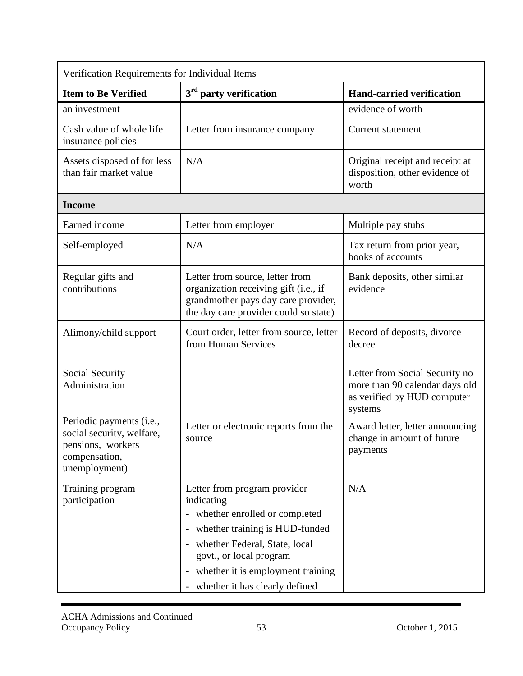| Verification Requirements for Individual Items                                                               |                                                                                                                                                                                                                                                                       |                                                                                                            |  |  |
|--------------------------------------------------------------------------------------------------------------|-----------------------------------------------------------------------------------------------------------------------------------------------------------------------------------------------------------------------------------------------------------------------|------------------------------------------------------------------------------------------------------------|--|--|
| <b>Item to Be Verified</b>                                                                                   | $3rd$ party verification                                                                                                                                                                                                                                              | <b>Hand-carried verification</b>                                                                           |  |  |
| an investment                                                                                                |                                                                                                                                                                                                                                                                       | evidence of worth                                                                                          |  |  |
| Cash value of whole life<br>insurance policies                                                               | Letter from insurance company                                                                                                                                                                                                                                         | Current statement                                                                                          |  |  |
| Assets disposed of for less<br>than fair market value                                                        | N/A                                                                                                                                                                                                                                                                   | Original receipt and receipt at<br>disposition, other evidence of<br>worth                                 |  |  |
| <b>Income</b>                                                                                                |                                                                                                                                                                                                                                                                       |                                                                                                            |  |  |
| Earned income                                                                                                | Letter from employer                                                                                                                                                                                                                                                  | Multiple pay stubs                                                                                         |  |  |
| Self-employed                                                                                                | N/A                                                                                                                                                                                                                                                                   | Tax return from prior year,<br>books of accounts                                                           |  |  |
| Regular gifts and<br>contributions                                                                           | Letter from source, letter from<br>organization receiving gift (i.e., if<br>grandmother pays day care provider,<br>the day care provider could so state)                                                                                                              | Bank deposits, other similar<br>evidence                                                                   |  |  |
| Alimony/child support                                                                                        | Court order, letter from source, letter<br>from Human Services                                                                                                                                                                                                        | Record of deposits, divorce<br>decree                                                                      |  |  |
| <b>Social Security</b><br>Administration                                                                     |                                                                                                                                                                                                                                                                       | Letter from Social Security no<br>more than 90 calendar days old<br>as verified by HUD computer<br>systems |  |  |
| Periodic payments (i.e.,<br>social security, welfare,<br>pensions, workers<br>compensation,<br>unemployment) | Letter or electronic reports from the<br>source                                                                                                                                                                                                                       | Award letter, letter announcing<br>change in amount of future<br>payments                                  |  |  |
| Training program<br>participation                                                                            | Letter from program provider<br>indicating<br>whether enrolled or completed<br>whether training is HUD-funded<br>whether Federal, State, local<br>govt., or local program<br>whether it is employment training<br>whether it has clearly defined<br>$\qquad \qquad -$ | N/A                                                                                                        |  |  |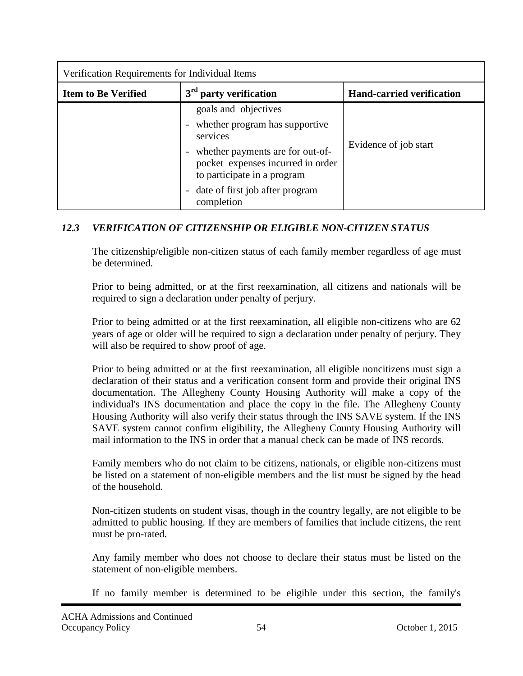| Verification Requirements for Individual Items |                                                                                                                                                    |                                  |  |
|------------------------------------------------|----------------------------------------------------------------------------------------------------------------------------------------------------|----------------------------------|--|
| <b>Item to Be Verified</b>                     | $3rd$ party verification                                                                                                                           | <b>Hand-carried verification</b> |  |
|                                                | goals and objectives                                                                                                                               |                                  |  |
|                                                | whether program has supportive<br>services<br>whether payments are for out-of-<br>pocket expenses incurred in order<br>to participate in a program | Evidence of job start            |  |
|                                                | date of first job after program<br>completion                                                                                                      |                                  |  |

## *12.3 VERIFICATION OF CITIZENSHIP OR ELIGIBLE NON-CITIZEN STATUS*

The citizenship/eligible non-citizen status of each family member regardless of age must be determined.

Prior to being admitted, or at the first reexamination, all citizens and nationals will be required to sign a declaration under penalty of perjury.

Prior to being admitted or at the first reexamination, all eligible non-citizens who are 62 years of age or older will be required to sign a declaration under penalty of perjury. They will also be required to show proof of age.

Prior to being admitted or at the first reexamination, all eligible noncitizens must sign a declaration of their status and a verification consent form and provide their original INS documentation. The Allegheny County Housing Authority will make a copy of the individual's INS documentation and place the copy in the file. The Allegheny County Housing Authority will also verify their status through the INS SAVE system. If the INS SAVE system cannot confirm eligibility, the Allegheny County Housing Authority will mail information to the INS in order that a manual check can be made of INS records.

Family members who do not claim to be citizens, nationals, or eligible non-citizens must be listed on a statement of non-eligible members and the list must be signed by the head of the household.

Non-citizen students on student visas, though in the country legally, are not eligible to be admitted to public housing. If they are members of families that include citizens, the rent must be pro-rated.

Any family member who does not choose to declare their status must be listed on the statement of non-eligible members.

If no family member is determined to be eligible under this section, the family's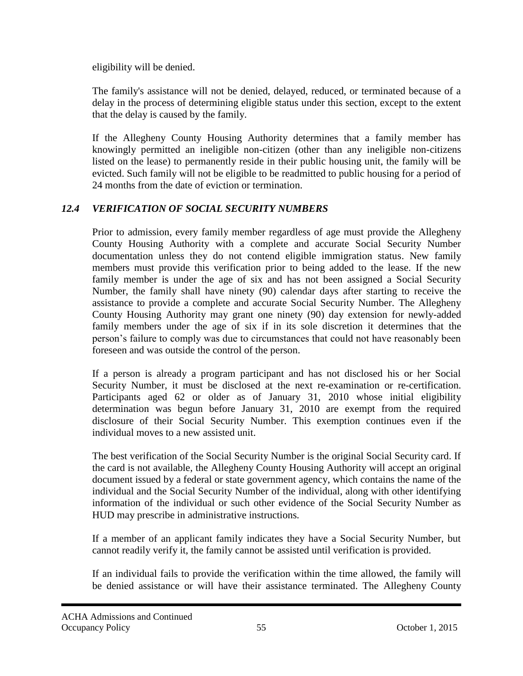eligibility will be denied.

The family's assistance will not be denied, delayed, reduced, or terminated because of a delay in the process of determining eligible status under this section, except to the extent that the delay is caused by the family.

If the Allegheny County Housing Authority determines that a family member has knowingly permitted an ineligible non-citizen (other than any ineligible non-citizens listed on the lease) to permanently reside in their public housing unit, the family will be evicted. Such family will not be eligible to be readmitted to public housing for a period of 24 months from the date of eviction or termination.

## *12.4 VERIFICATION OF SOCIAL SECURITY NUMBERS*

Prior to admission, every family member regardless of age must provide the Allegheny County Housing Authority with a complete and accurate Social Security Number documentation unless they do not contend eligible immigration status. New family members must provide this verification prior to being added to the lease. If the new family member is under the age of six and has not been assigned a Social Security Number, the family shall have ninety (90) calendar days after starting to receive the assistance to provide a complete and accurate Social Security Number. The Allegheny County Housing Authority may grant one ninety (90) day extension for newly-added family members under the age of six if in its sole discretion it determines that the person's failure to comply was due to circumstances that could not have reasonably been foreseen and was outside the control of the person.

If a person is already a program participant and has not disclosed his or her Social Security Number, it must be disclosed at the next re-examination or re-certification. Participants aged 62 or older as of January 31, 2010 whose initial eligibility determination was begun before January 31, 2010 are exempt from the required disclosure of their Social Security Number. This exemption continues even if the individual moves to a new assisted unit.

The best verification of the Social Security Number is the original Social Security card. If the card is not available, the Allegheny County Housing Authority will accept an original document issued by a federal or state government agency, which contains the name of the individual and the Social Security Number of the individual, along with other identifying information of the individual or such other evidence of the Social Security Number as HUD may prescribe in administrative instructions.

If a member of an applicant family indicates they have a Social Security Number, but cannot readily verify it, the family cannot be assisted until verification is provided.

If an individual fails to provide the verification within the time allowed, the family will be denied assistance or will have their assistance terminated. The Allegheny County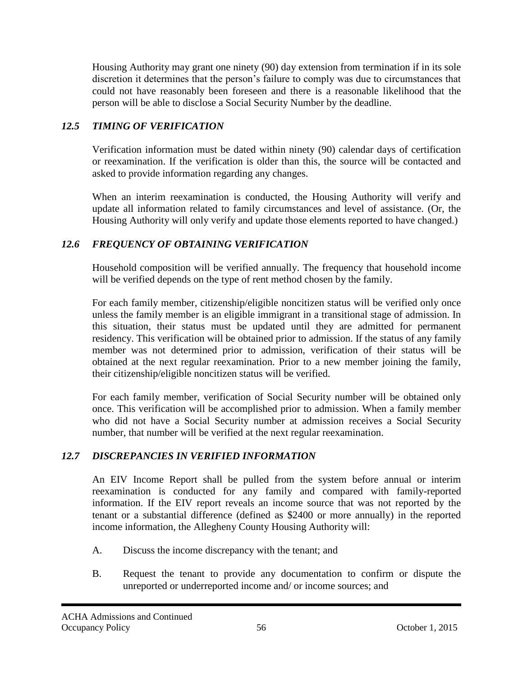Housing Authority may grant one ninety (90) day extension from termination if in its sole discretion it determines that the person's failure to comply was due to circumstances that could not have reasonably been foreseen and there is a reasonable likelihood that the person will be able to disclose a Social Security Number by the deadline.

## *12.5 TIMING OF VERIFICATION*

Verification information must be dated within ninety (90) calendar days of certification or reexamination. If the verification is older than this, the source will be contacted and asked to provide information regarding any changes.

When an interim reexamination is conducted, the Housing Authority will verify and update all information related to family circumstances and level of assistance. (Or, the Housing Authority will only verify and update those elements reported to have changed.)

# *12.6 FREQUENCY OF OBTAINING VERIFICATION*

Household composition will be verified annually. The frequency that household income will be verified depends on the type of rent method chosen by the family.

For each family member, citizenship/eligible noncitizen status will be verified only once unless the family member is an eligible immigrant in a transitional stage of admission. In this situation, their status must be updated until they are admitted for permanent residency. This verification will be obtained prior to admission. If the status of any family member was not determined prior to admission, verification of their status will be obtained at the next regular reexamination. Prior to a new member joining the family, their citizenship/eligible noncitizen status will be verified.

For each family member, verification of Social Security number will be obtained only once. This verification will be accomplished prior to admission. When a family member who did not have a Social Security number at admission receives a Social Security number, that number will be verified at the next regular reexamination.

## *12.7 DISCREPANCIES IN VERIFIED INFORMATION*

An EIV Income Report shall be pulled from the system before annual or interim reexamination is conducted for any family and compared with family-reported information. If the EIV report reveals an income source that was not reported by the tenant or a substantial difference (defined as \$2400 or more annually) in the reported income information, the Allegheny County Housing Authority will:

- A. Discuss the income discrepancy with the tenant; and
- B. Request the tenant to provide any documentation to confirm or dispute the unreported or underreported income and/ or income sources; and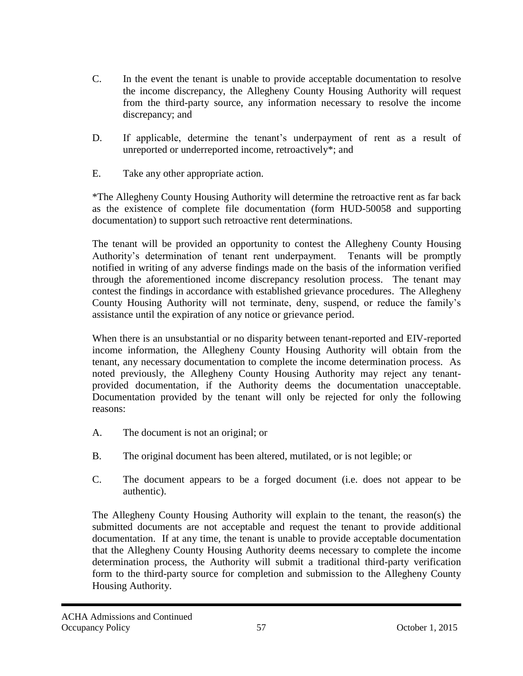- C. In the event the tenant is unable to provide acceptable documentation to resolve the income discrepancy, the Allegheny County Housing Authority will request from the third-party source, any information necessary to resolve the income discrepancy; and
- D. If applicable, determine the tenant's underpayment of rent as a result of unreported or underreported income, retroactively\*; and
- E. Take any other appropriate action.

\*The Allegheny County Housing Authority will determine the retroactive rent as far back as the existence of complete file documentation (form HUD-50058 and supporting documentation) to support such retroactive rent determinations.

The tenant will be provided an opportunity to contest the Allegheny County Housing Authority's determination of tenant rent underpayment. Tenants will be promptly notified in writing of any adverse findings made on the basis of the information verified through the aforementioned income discrepancy resolution process. The tenant may contest the findings in accordance with established grievance procedures. The Allegheny County Housing Authority will not terminate, deny, suspend, or reduce the family's assistance until the expiration of any notice or grievance period.

When there is an unsubstantial or no disparity between tenant-reported and EIV-reported income information, the Allegheny County Housing Authority will obtain from the tenant, any necessary documentation to complete the income determination process. As noted previously, the Allegheny County Housing Authority may reject any tenantprovided documentation, if the Authority deems the documentation unacceptable. Documentation provided by the tenant will only be rejected for only the following reasons:

- A. The document is not an original; or
- B. The original document has been altered, mutilated, or is not legible; or
- C. The document appears to be a forged document (i.e. does not appear to be authentic).

The Allegheny County Housing Authority will explain to the tenant, the reason(s) the submitted documents are not acceptable and request the tenant to provide additional documentation. If at any time, the tenant is unable to provide acceptable documentation that the Allegheny County Housing Authority deems necessary to complete the income determination process, the Authority will submit a traditional third-party verification form to the third-party source for completion and submission to the Allegheny County Housing Authority.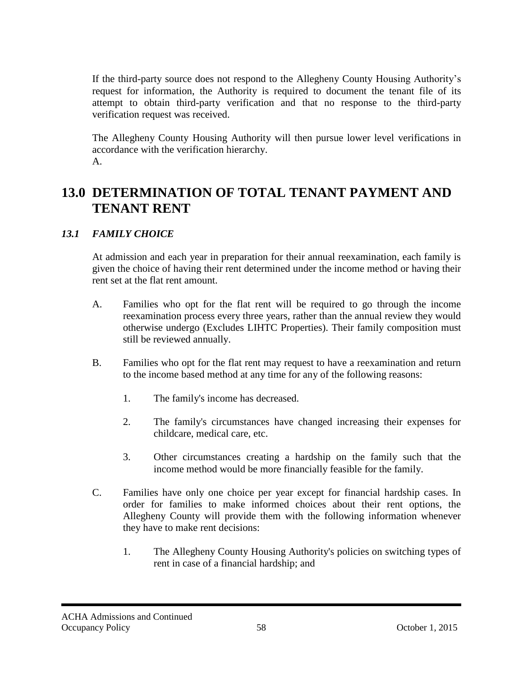If the third-party source does not respond to the Allegheny County Housing Authority's request for information, the Authority is required to document the tenant file of its attempt to obtain third-party verification and that no response to the third-party verification request was received.

The Allegheny County Housing Authority will then pursue lower level verifications in accordance with the verification hierarchy. A.

# **13.0 DETERMINATION OF TOTAL TENANT PAYMENT AND TENANT RENT**

#### *13.1 FAMILY CHOICE*

At admission and each year in preparation for their annual reexamination, each family is given the choice of having their rent determined under the income method or having their rent set at the flat rent amount.

- A. Families who opt for the flat rent will be required to go through the income reexamination process every three years, rather than the annual review they would otherwise undergo (Excludes LIHTC Properties). Their family composition must still be reviewed annually.
- B. Families who opt for the flat rent may request to have a reexamination and return to the income based method at any time for any of the following reasons:
	- 1. The family's income has decreased.
	- 2. The family's circumstances have changed increasing their expenses for childcare, medical care, etc.
	- 3. Other circumstances creating a hardship on the family such that the income method would be more financially feasible for the family.
- C. Families have only one choice per year except for financial hardship cases. In order for families to make informed choices about their rent options, the Allegheny County will provide them with the following information whenever they have to make rent decisions:
	- 1. The Allegheny County Housing Authority's policies on switching types of rent in case of a financial hardship; and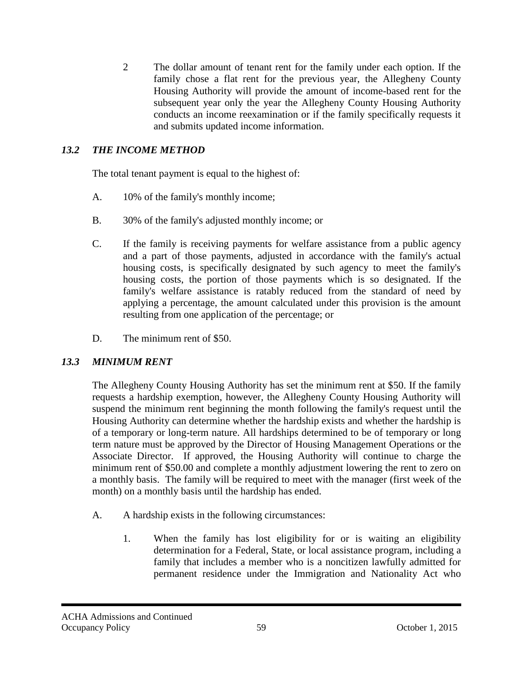2 The dollar amount of tenant rent for the family under each option. If the family chose a flat rent for the previous year, the Allegheny County Housing Authority will provide the amount of income-based rent for the subsequent year only the year the Allegheny County Housing Authority conducts an income reexamination or if the family specifically requests it and submits updated income information.

## *13.2 THE INCOME METHOD*

The total tenant payment is equal to the highest of:

- A. 10% of the family's monthly income;
- B. 30% of the family's adjusted monthly income; or
- C. If the family is receiving payments for welfare assistance from a public agency and a part of those payments, adjusted in accordance with the family's actual housing costs, is specifically designated by such agency to meet the family's housing costs, the portion of those payments which is so designated. If the family's welfare assistance is ratably reduced from the standard of need by applying a percentage, the amount calculated under this provision is the amount resulting from one application of the percentage; or
- D. The minimum rent of \$50.

## *13.3 MINIMUM RENT*

The Allegheny County Housing Authority has set the minimum rent at \$50. If the family requests a hardship exemption, however, the Allegheny County Housing Authority will suspend the minimum rent beginning the month following the family's request until the Housing Authority can determine whether the hardship exists and whether the hardship is of a temporary or long-term nature. All hardships determined to be of temporary or long term nature must be approved by the Director of Housing Management Operations or the Associate Director. If approved, the Housing Authority will continue to charge the minimum rent of \$50.00 and complete a monthly adjustment lowering the rent to zero on a monthly basis. The family will be required to meet with the manager (first week of the month) on a monthly basis until the hardship has ended.

- A. A hardship exists in the following circumstances:
	- 1. When the family has lost eligibility for or is waiting an eligibility determination for a Federal, State, or local assistance program, including a family that includes a member who is a noncitizen lawfully admitted for permanent residence under the Immigration and Nationality Act who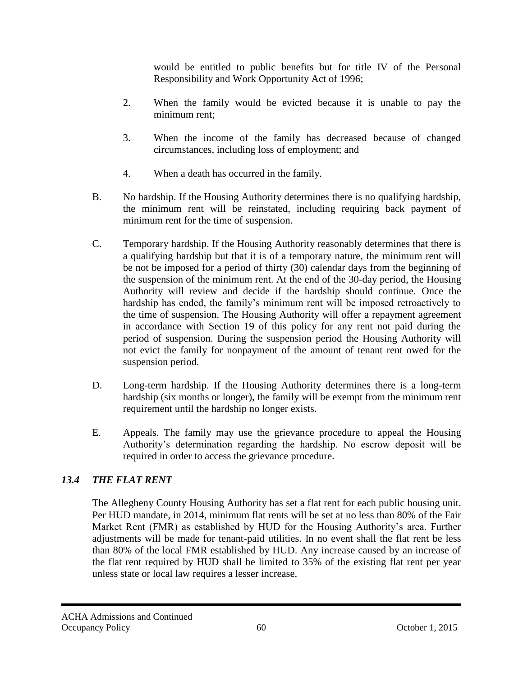would be entitled to public benefits but for title IV of the Personal Responsibility and Work Opportunity Act of 1996;

- 2. When the family would be evicted because it is unable to pay the minimum rent;
- 3. When the income of the family has decreased because of changed circumstances, including loss of employment; and
- 4. When a death has occurred in the family.
- B. No hardship. If the Housing Authority determines there is no qualifying hardship, the minimum rent will be reinstated, including requiring back payment of minimum rent for the time of suspension.
- C. Temporary hardship. If the Housing Authority reasonably determines that there is a qualifying hardship but that it is of a temporary nature, the minimum rent will be not be imposed for a period of thirty (30) calendar days from the beginning of the suspension of the minimum rent. At the end of the 30-day period, the Housing Authority will review and decide if the hardship should continue. Once the hardship has ended, the family's minimum rent will be imposed retroactively to the time of suspension. The Housing Authority will offer a repayment agreement in accordance with Section 19 of this policy for any rent not paid during the period of suspension. During the suspension period the Housing Authority will not evict the family for nonpayment of the amount of tenant rent owed for the suspension period.
- D. Long-term hardship. If the Housing Authority determines there is a long-term hardship (six months or longer), the family will be exempt from the minimum rent requirement until the hardship no longer exists.
- E. Appeals. The family may use the grievance procedure to appeal the Housing Authority's determination regarding the hardship. No escrow deposit will be required in order to access the grievance procedure.

# *13.4 THE FLAT RENT*

The Allegheny County Housing Authority has set a flat rent for each public housing unit. Per HUD mandate, in 2014, minimum flat rents will be set at no less than 80% of the Fair Market Rent (FMR) as established by HUD for the Housing Authority's area. Further adjustments will be made for tenant-paid utilities. In no event shall the flat rent be less than 80% of the local FMR established by HUD. Any increase caused by an increase of the flat rent required by HUD shall be limited to 35% of the existing flat rent per year unless state or local law requires a lesser increase.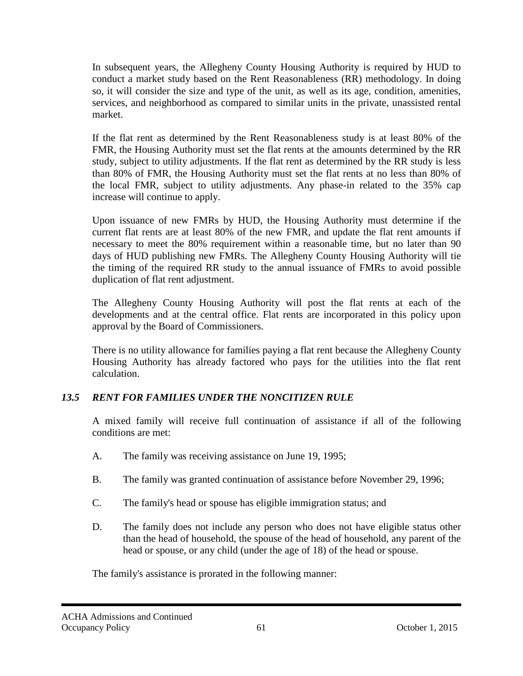In subsequent years, the Allegheny County Housing Authority is required by HUD to conduct a market study based on the Rent Reasonableness (RR) methodology. In doing so, it will consider the size and type of the unit, as well as its age, condition, amenities, services, and neighborhood as compared to similar units in the private, unassisted rental market.

If the flat rent as determined by the Rent Reasonableness study is at least 80% of the FMR, the Housing Authority must set the flat rents at the amounts determined by the RR study, subject to utility adjustments. If the flat rent as determined by the RR study is less than 80% of FMR, the Housing Authority must set the flat rents at no less than 80% of the local FMR, subject to utility adjustments. Any phase-in related to the 35% cap increase will continue to apply.

Upon issuance of new FMRs by HUD, the Housing Authority must determine if the current flat rents are at least 80% of the new FMR, and update the flat rent amounts if necessary to meet the 80% requirement within a reasonable time, but no later than 90 days of HUD publishing new FMRs. The Allegheny County Housing Authority will tie the timing of the required RR study to the annual issuance of FMRs to avoid possible duplication of flat rent adjustment.

The Allegheny County Housing Authority will post the flat rents at each of the developments and at the central office. Flat rents are incorporated in this policy upon approval by the Board of Commissioners.

There is no utility allowance for families paying a flat rent because the Allegheny County Housing Authority has already factored who pays for the utilities into the flat rent calculation.

## *13.5 RENT FOR FAMILIES UNDER THE NONCITIZEN RULE*

A mixed family will receive full continuation of assistance if all of the following conditions are met:

- A. The family was receiving assistance on June 19, 1995;
- B. The family was granted continuation of assistance before November 29, 1996;
- C. The family's head or spouse has eligible immigration status; and
- D. The family does not include any person who does not have eligible status other than the head of household, the spouse of the head of household, any parent of the head or spouse, or any child (under the age of 18) of the head or spouse.

The family's assistance is prorated in the following manner: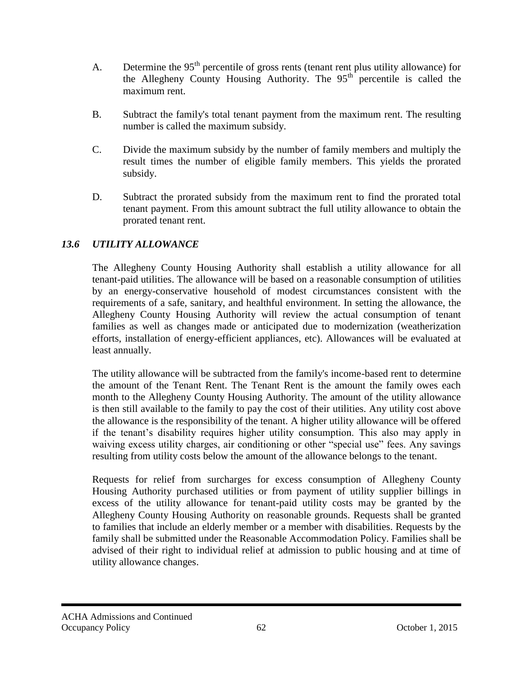- A. Determine the  $95<sup>th</sup>$  percentile of gross rents (tenant rent plus utility allowance) for the Allegheny County Housing Authority. The  $95<sup>th</sup>$  percentile is called the maximum rent.
- B. Subtract the family's total tenant payment from the maximum rent. The resulting number is called the maximum subsidy.
- C. Divide the maximum subsidy by the number of family members and multiply the result times the number of eligible family members. This yields the prorated subsidy.
- D. Subtract the prorated subsidy from the maximum rent to find the prorated total tenant payment. From this amount subtract the full utility allowance to obtain the prorated tenant rent.

#### *13.6 UTILITY ALLOWANCE*

The Allegheny County Housing Authority shall establish a utility allowance for all tenant-paid utilities. The allowance will be based on a reasonable consumption of utilities by an energy-conservative household of modest circumstances consistent with the requirements of a safe, sanitary, and healthful environment. In setting the allowance, the Allegheny County Housing Authority will review the actual consumption of tenant families as well as changes made or anticipated due to modernization (weatherization efforts, installation of energy-efficient appliances, etc). Allowances will be evaluated at least annually.

The utility allowance will be subtracted from the family's income-based rent to determine the amount of the Tenant Rent. The Tenant Rent is the amount the family owes each month to the Allegheny County Housing Authority. The amount of the utility allowance is then still available to the family to pay the cost of their utilities. Any utility cost above the allowance is the responsibility of the tenant. A higher utility allowance will be offered if the tenant's disability requires higher utility consumption. This also may apply in waiving excess utility charges, air conditioning or other "special use" fees. Any savings resulting from utility costs below the amount of the allowance belongs to the tenant.

Requests for relief from surcharges for excess consumption of Allegheny County Housing Authority purchased utilities or from payment of utility supplier billings in excess of the utility allowance for tenant-paid utility costs may be granted by the Allegheny County Housing Authority on reasonable grounds. Requests shall be granted to families that include an elderly member or a member with disabilities. Requests by the family shall be submitted under the Reasonable Accommodation Policy. Families shall be advised of their right to individual relief at admission to public housing and at time of utility allowance changes.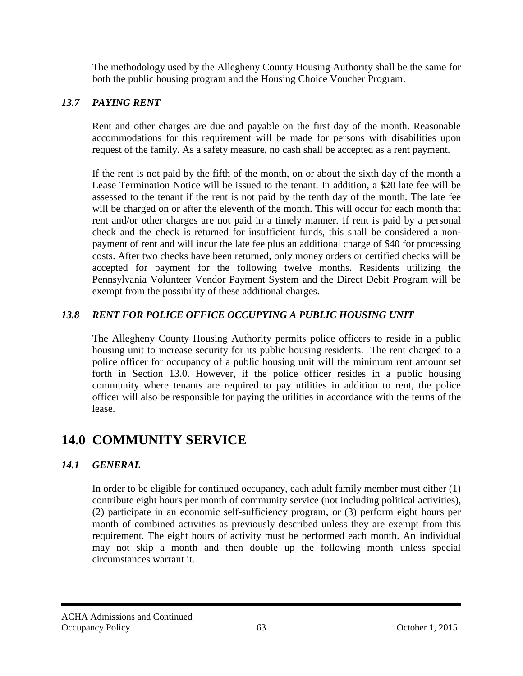The methodology used by the Allegheny County Housing Authority shall be the same for both the public housing program and the Housing Choice Voucher Program.

# *13.7 PAYING RENT*

Rent and other charges are due and payable on the first day of the month. Reasonable accommodations for this requirement will be made for persons with disabilities upon request of the family. As a safety measure, no cash shall be accepted as a rent payment.

If the rent is not paid by the fifth of the month, on or about the sixth day of the month a Lease Termination Notice will be issued to the tenant. In addition, a \$20 late fee will be assessed to the tenant if the rent is not paid by the tenth day of the month. The late fee will be charged on or after the eleventh of the month. This will occur for each month that rent and/or other charges are not paid in a timely manner. If rent is paid by a personal check and the check is returned for insufficient funds, this shall be considered a nonpayment of rent and will incur the late fee plus an additional charge of \$40 for processing costs. After two checks have been returned, only money orders or certified checks will be accepted for payment for the following twelve months. Residents utilizing the Pennsylvania Volunteer Vendor Payment System and the Direct Debit Program will be exempt from the possibility of these additional charges.

# *13.8 RENT FOR POLICE OFFICE OCCUPYING A PUBLIC HOUSING UNIT*

The Allegheny County Housing Authority permits police officers to reside in a public housing unit to increase security for its public housing residents. The rent charged to a police officer for occupancy of a public housing unit will the minimum rent amount set forth in Section 13.0. However, if the police officer resides in a public housing community where tenants are required to pay utilities in addition to rent, the police officer will also be responsible for paying the utilities in accordance with the terms of the lease.

# **14.0 COMMUNITY SERVICE**

# *14.1 GENERAL*

In order to be eligible for continued occupancy, each adult family member must either (1) contribute eight hours per month of community service (not including political activities), (2) participate in an economic self-sufficiency program, or (3) perform eight hours per month of combined activities as previously described unless they are exempt from this requirement. The eight hours of activity must be performed each month. An individual may not skip a month and then double up the following month unless special circumstances warrant it.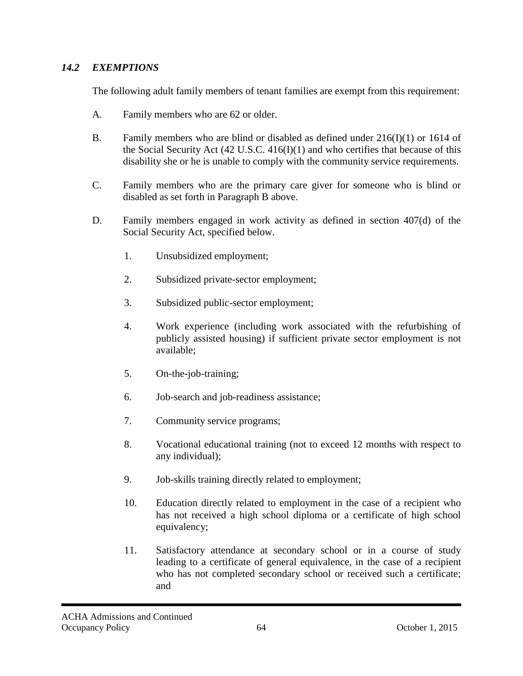#### *14.2 EXEMPTIONS*

The following adult family members of tenant families are exempt from this requirement:

- A. Family members who are 62 or older.
- B. Family members who are blind or disabled as defined under  $216(I)(1)$  or 1614 of the Social Security Act (42 U.S.C. 416(I)(1) and who certifies that because of this disability she or he is unable to comply with the community service requirements.
- C. Family members who are the primary care giver for someone who is blind or disabled as set forth in Paragraph B above.
- D. Family members engaged in work activity as defined in section 407(d) of the Social Security Act, specified below.
	- 1. Unsubsidized employment;
	- 2. Subsidized private-sector employment;
	- 3. Subsidized public-sector employment;
	- 4. Work experience (including work associated with the refurbishing of publicly assisted housing) if sufficient private sector employment is not available;
	- 5. On-the-job-training;
	- 6. Job-search and job-readiness assistance;
	- 7. Community service programs;
	- 8. Vocational educational training (not to exceed 12 months with respect to any individual);
	- 9. Job-skills training directly related to employment;
	- 10. Education directly related to employment in the case of a recipient who has not received a high school diploma or a certificate of high school equivalency;
	- 11. Satisfactory attendance at secondary school or in a course of study leading to a certificate of general equivalence, in the case of a recipient who has not completed secondary school or received such a certificate; and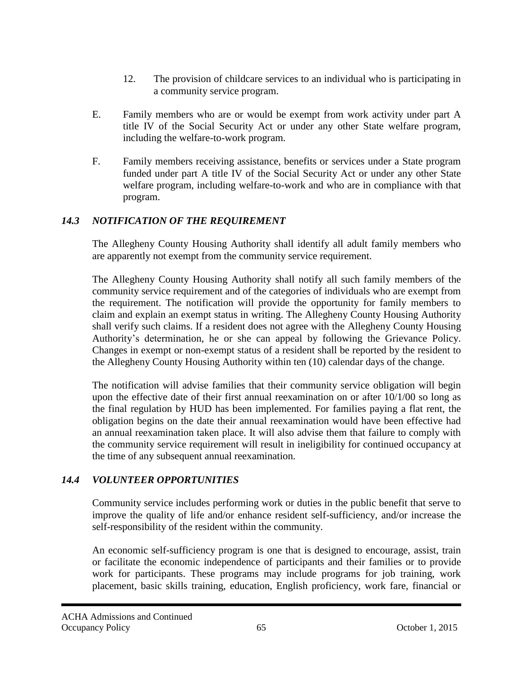- 12. The provision of childcare services to an individual who is participating in a community service program.
- E. Family members who are or would be exempt from work activity under part A title IV of the Social Security Act or under any other State welfare program, including the welfare-to-work program.
- F. Family members receiving assistance, benefits or services under a State program funded under part A title IV of the Social Security Act or under any other State welfare program, including welfare-to-work and who are in compliance with that program.

#### *14.3 NOTIFICATION OF THE REQUIREMENT*

The Allegheny County Housing Authority shall identify all adult family members who are apparently not exempt from the community service requirement.

The Allegheny County Housing Authority shall notify all such family members of the community service requirement and of the categories of individuals who are exempt from the requirement. The notification will provide the opportunity for family members to claim and explain an exempt status in writing. The Allegheny County Housing Authority shall verify such claims. If a resident does not agree with the Allegheny County Housing Authority's determination, he or she can appeal by following the Grievance Policy. Changes in exempt or non-exempt status of a resident shall be reported by the resident to the Allegheny County Housing Authority within ten (10) calendar days of the change.

The notification will advise families that their community service obligation will begin upon the effective date of their first annual reexamination on or after 10/1/00 so long as the final regulation by HUD has been implemented. For families paying a flat rent, the obligation begins on the date their annual reexamination would have been effective had an annual reexamination taken place. It will also advise them that failure to comply with the community service requirement will result in ineligibility for continued occupancy at the time of any subsequent annual reexamination.

#### *14.4 VOLUNTEER OPPORTUNITIES*

Community service includes performing work or duties in the public benefit that serve to improve the quality of life and/or enhance resident self-sufficiency, and/or increase the self-responsibility of the resident within the community.

An economic self-sufficiency program is one that is designed to encourage, assist, train or facilitate the economic independence of participants and their families or to provide work for participants. These programs may include programs for job training, work placement, basic skills training, education, English proficiency, work fare, financial or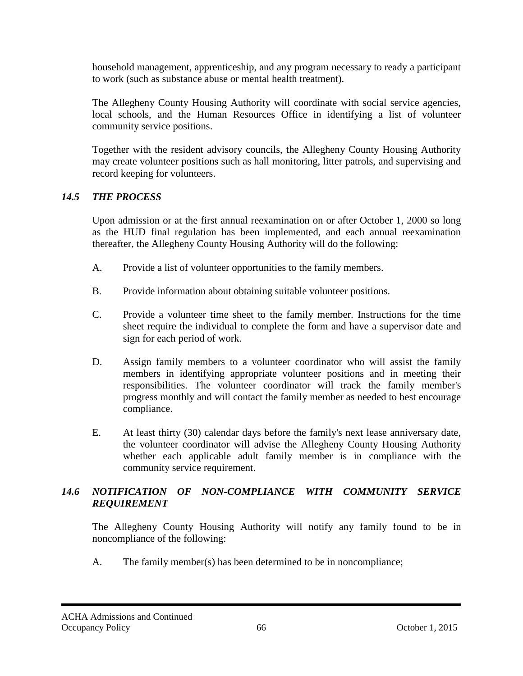household management, apprenticeship, and any program necessary to ready a participant to work (such as substance abuse or mental health treatment).

The Allegheny County Housing Authority will coordinate with social service agencies, local schools, and the Human Resources Office in identifying a list of volunteer community service positions.

Together with the resident advisory councils, the Allegheny County Housing Authority may create volunteer positions such as hall monitoring, litter patrols, and supervising and record keeping for volunteers.

#### *14.5 THE PROCESS*

Upon admission or at the first annual reexamination on or after October 1, 2000 so long as the HUD final regulation has been implemented, and each annual reexamination thereafter, the Allegheny County Housing Authority will do the following:

- A. Provide a list of volunteer opportunities to the family members.
- B. Provide information about obtaining suitable volunteer positions.
- C. Provide a volunteer time sheet to the family member. Instructions for the time sheet require the individual to complete the form and have a supervisor date and sign for each period of work.
- D. Assign family members to a volunteer coordinator who will assist the family members in identifying appropriate volunteer positions and in meeting their responsibilities. The volunteer coordinator will track the family member's progress monthly and will contact the family member as needed to best encourage compliance.
- E. At least thirty (30) calendar days before the family's next lease anniversary date, the volunteer coordinator will advise the Allegheny County Housing Authority whether each applicable adult family member is in compliance with the community service requirement.

#### *14.6 NOTIFICATION OF NON-COMPLIANCE WITH COMMUNITY SERVICE REQUIREMENT*

The Allegheny County Housing Authority will notify any family found to be in noncompliance of the following:

A. The family member(s) has been determined to be in noncompliance;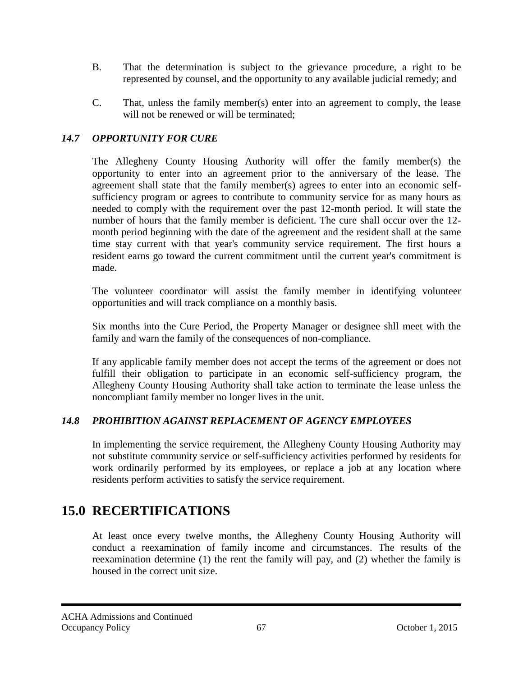- B. That the determination is subject to the grievance procedure, a right to be represented by counsel, and the opportunity to any available judicial remedy; and
- C. That, unless the family member(s) enter into an agreement to comply, the lease will not be renewed or will be terminated:

## *14.7 OPPORTUNITY FOR CURE*

The Allegheny County Housing Authority will offer the family member(s) the opportunity to enter into an agreement prior to the anniversary of the lease. The agreement shall state that the family member(s) agrees to enter into an economic selfsufficiency program or agrees to contribute to community service for as many hours as needed to comply with the requirement over the past 12-month period. It will state the number of hours that the family member is deficient. The cure shall occur over the 12 month period beginning with the date of the agreement and the resident shall at the same time stay current with that year's community service requirement. The first hours a resident earns go toward the current commitment until the current year's commitment is made.

The volunteer coordinator will assist the family member in identifying volunteer opportunities and will track compliance on a monthly basis.

Six months into the Cure Period, the Property Manager or designee shll meet with the family and warn the family of the consequences of non-compliance.

If any applicable family member does not accept the terms of the agreement or does not fulfill their obligation to participate in an economic self-sufficiency program, the Allegheny County Housing Authority shall take action to terminate the lease unless the noncompliant family member no longer lives in the unit.

## *14.8 PROHIBITION AGAINST REPLACEMENT OF AGENCY EMPLOYEES*

In implementing the service requirement, the Allegheny County Housing Authority may not substitute community service or self-sufficiency activities performed by residents for work ordinarily performed by its employees, or replace a job at any location where residents perform activities to satisfy the service requirement.

# **15.0 RECERTIFICATIONS**

At least once every twelve months, the Allegheny County Housing Authority will conduct a reexamination of family income and circumstances. The results of the reexamination determine (1) the rent the family will pay, and (2) whether the family is housed in the correct unit size.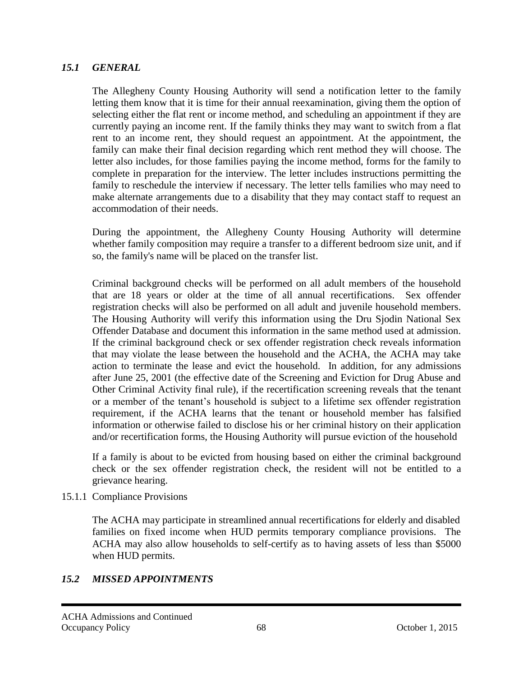#### *15.1 GENERAL*

The Allegheny County Housing Authority will send a notification letter to the family letting them know that it is time for their annual reexamination, giving them the option of selecting either the flat rent or income method, and scheduling an appointment if they are currently paying an income rent. If the family thinks they may want to switch from a flat rent to an income rent, they should request an appointment. At the appointment, the family can make their final decision regarding which rent method they will choose. The letter also includes, for those families paying the income method, forms for the family to complete in preparation for the interview. The letter includes instructions permitting the family to reschedule the interview if necessary. The letter tells families who may need to make alternate arrangements due to a disability that they may contact staff to request an accommodation of their needs.

During the appointment, the Allegheny County Housing Authority will determine whether family composition may require a transfer to a different bedroom size unit, and if so, the family's name will be placed on the transfer list.

Criminal background checks will be performed on all adult members of the household that are 18 years or older at the time of all annual recertifications. Sex offender registration checks will also be performed on all adult and juvenile household members. The Housing Authority will verify this information using the Dru Sjodin National Sex Offender Database and document this information in the same method used at admission. If the criminal background check or sex offender registration check reveals information that may violate the lease between the household and the ACHA, the ACHA may take action to terminate the lease and evict the household. In addition, for any admissions after June 25, 2001 (the effective date of the Screening and Eviction for Drug Abuse and Other Criminal Activity final rule), if the recertification screening reveals that the tenant or a member of the tenant's household is subject to a lifetime sex offender registration requirement, if the ACHA learns that the tenant or household member has falsified information or otherwise failed to disclose his or her criminal history on their application and/or recertification forms, the Housing Authority will pursue eviction of the household

If a family is about to be evicted from housing based on either the criminal background check or the sex offender registration check, the resident will not be entitled to a grievance hearing.

15.1.1 Compliance Provisions

The ACHA may participate in streamlined annual recertifications for elderly and disabled families on fixed income when HUD permits temporary compliance provisions. The ACHA may also allow households to self-certify as to having assets of less than \$5000 when HUD permits.

## *15.2 MISSED APPOINTMENTS*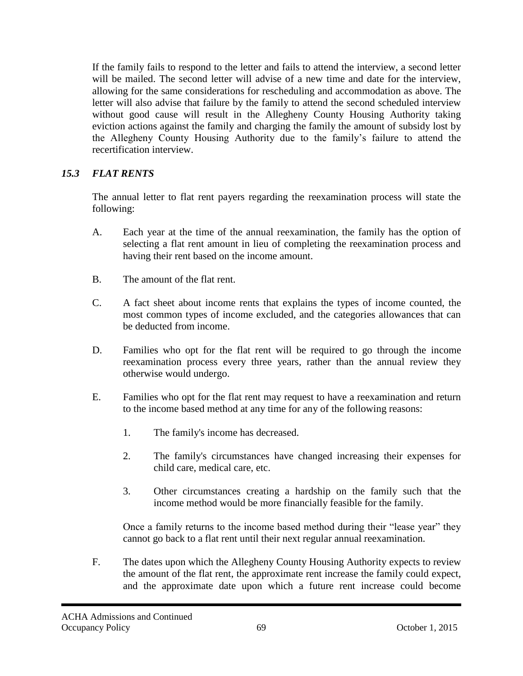If the family fails to respond to the letter and fails to attend the interview, a second letter will be mailed. The second letter will advise of a new time and date for the interview, allowing for the same considerations for rescheduling and accommodation as above. The letter will also advise that failure by the family to attend the second scheduled interview without good cause will result in the Allegheny County Housing Authority taking eviction actions against the family and charging the family the amount of subsidy lost by the Allegheny County Housing Authority due to the family's failure to attend the recertification interview.

#### *15.3 FLAT RENTS*

The annual letter to flat rent payers regarding the reexamination process will state the following:

- A. Each year at the time of the annual reexamination, the family has the option of selecting a flat rent amount in lieu of completing the reexamination process and having their rent based on the income amount.
- B. The amount of the flat rent.
- C. A fact sheet about income rents that explains the types of income counted, the most common types of income excluded, and the categories allowances that can be deducted from income.
- D. Families who opt for the flat rent will be required to go through the income reexamination process every three years, rather than the annual review they otherwise would undergo.
- E. Families who opt for the flat rent may request to have a reexamination and return to the income based method at any time for any of the following reasons:
	- 1. The family's income has decreased.
	- 2. The family's circumstances have changed increasing their expenses for child care, medical care, etc.
	- 3. Other circumstances creating a hardship on the family such that the income method would be more financially feasible for the family.

Once a family returns to the income based method during their "lease year" they cannot go back to a flat rent until their next regular annual reexamination.

F. The dates upon which the Allegheny County Housing Authority expects to review the amount of the flat rent, the approximate rent increase the family could expect, and the approximate date upon which a future rent increase could become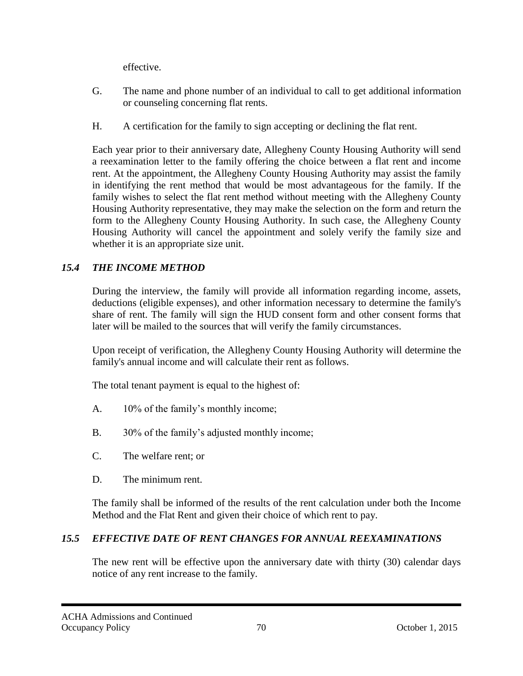effective.

- G. The name and phone number of an individual to call to get additional information or counseling concerning flat rents.
- H. A certification for the family to sign accepting or declining the flat rent.

Each year prior to their anniversary date, Allegheny County Housing Authority will send a reexamination letter to the family offering the choice between a flat rent and income rent. At the appointment, the Allegheny County Housing Authority may assist the family in identifying the rent method that would be most advantageous for the family. If the family wishes to select the flat rent method without meeting with the Allegheny County Housing Authority representative, they may make the selection on the form and return the form to the Allegheny County Housing Authority. In such case, the Allegheny County Housing Authority will cancel the appointment and solely verify the family size and whether it is an appropriate size unit.

### *15.4 THE INCOME METHOD*

During the interview, the family will provide all information regarding income, assets, deductions (eligible expenses), and other information necessary to determine the family's share of rent. The family will sign the HUD consent form and other consent forms that later will be mailed to the sources that will verify the family circumstances.

Upon receipt of verification, the Allegheny County Housing Authority will determine the family's annual income and will calculate their rent as follows.

The total tenant payment is equal to the highest of:

- A. 10% of the family's monthly income;
- B. 30% of the family's adjusted monthly income;
- C. The welfare rent; or
- D. The minimum rent.

The family shall be informed of the results of the rent calculation under both the Income Method and the Flat Rent and given their choice of which rent to pay.

### *15.5 EFFECTIVE DATE OF RENT CHANGES FOR ANNUAL REEXAMINATIONS*

The new rent will be effective upon the anniversary date with thirty (30) calendar days notice of any rent increase to the family.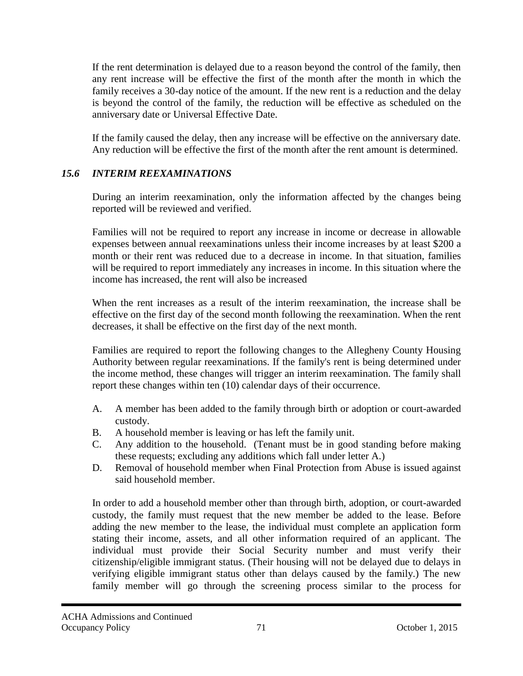If the rent determination is delayed due to a reason beyond the control of the family, then any rent increase will be effective the first of the month after the month in which the family receives a 30-day notice of the amount. If the new rent is a reduction and the delay is beyond the control of the family, the reduction will be effective as scheduled on the anniversary date or Universal Effective Date.

If the family caused the delay, then any increase will be effective on the anniversary date. Any reduction will be effective the first of the month after the rent amount is determined.

### *15.6 INTERIM REEXAMINATIONS*

During an interim reexamination, only the information affected by the changes being reported will be reviewed and verified.

Families will not be required to report any increase in income or decrease in allowable expenses between annual reexaminations unless their income increases by at least \$200 a month or their rent was reduced due to a decrease in income. In that situation, families will be required to report immediately any increases in income. In this situation where the income has increased, the rent will also be increased

When the rent increases as a result of the interim reexamination, the increase shall be effective on the first day of the second month following the reexamination. When the rent decreases, it shall be effective on the first day of the next month.

Families are required to report the following changes to the Allegheny County Housing Authority between regular reexaminations. If the family's rent is being determined under the income method, these changes will trigger an interim reexamination. The family shall report these changes within ten (10) calendar days of their occurrence.

- A. A member has been added to the family through birth or adoption or court-awarded custody.
- B. A household member is leaving or has left the family unit.
- C. Any addition to the household. (Tenant must be in good standing before making these requests; excluding any additions which fall under letter A.)
- D. Removal of household member when Final Protection from Abuse is issued against said household member.

In order to add a household member other than through birth, adoption, or court-awarded custody, the family must request that the new member be added to the lease. Before adding the new member to the lease, the individual must complete an application form stating their income, assets, and all other information required of an applicant. The individual must provide their Social Security number and must verify their citizenship/eligible immigrant status. (Their housing will not be delayed due to delays in verifying eligible immigrant status other than delays caused by the family.) The new family member will go through the screening process similar to the process for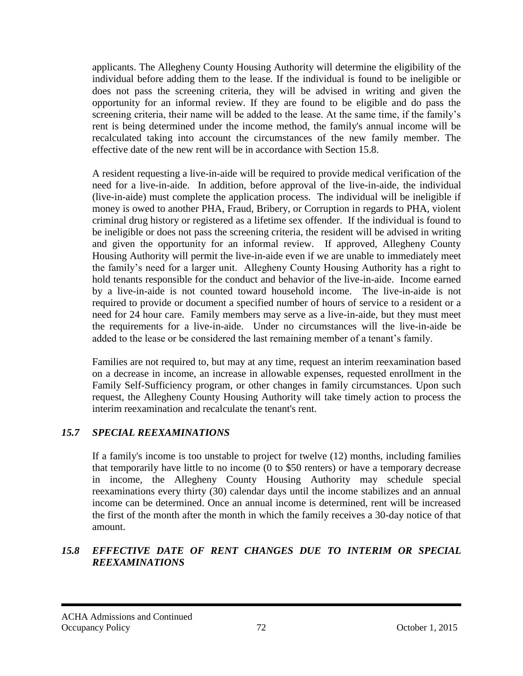applicants. The Allegheny County Housing Authority will determine the eligibility of the individual before adding them to the lease. If the individual is found to be ineligible or does not pass the screening criteria, they will be advised in writing and given the opportunity for an informal review. If they are found to be eligible and do pass the screening criteria, their name will be added to the lease. At the same time, if the family's rent is being determined under the income method, the family's annual income will be recalculated taking into account the circumstances of the new family member. The effective date of the new rent will be in accordance with Section 15.8.

A resident requesting a live-in-aide will be required to provide medical verification of the need for a live-in-aide. In addition, before approval of the live-in-aide, the individual (live-in-aide) must complete the application process. The individual will be ineligible if money is owed to another PHA, Fraud, Bribery, or Corruption in regards to PHA, violent criminal drug history or registered as a lifetime sex offender. If the individual is found to be ineligible or does not pass the screening criteria, the resident will be advised in writing and given the opportunity for an informal review. If approved, Allegheny County Housing Authority will permit the live-in-aide even if we are unable to immediately meet the family's need for a larger unit. Allegheny County Housing Authority has a right to hold tenants responsible for the conduct and behavior of the live-in-aide. Income earned by a live-in-aide is not counted toward household income. The live-in-aide is not required to provide or document a specified number of hours of service to a resident or a need for 24 hour care. Family members may serve as a live-in-aide, but they must meet the requirements for a live-in-aide. Under no circumstances will the live-in-aide be added to the lease or be considered the last remaining member of a tenant's family.

Families are not required to, but may at any time, request an interim reexamination based on a decrease in income, an increase in allowable expenses, requested enrollment in the Family Self-Sufficiency program, or other changes in family circumstances. Upon such request, the Allegheny County Housing Authority will take timely action to process the interim reexamination and recalculate the tenant's rent.

### *15.7 SPECIAL REEXAMINATIONS*

If a family's income is too unstable to project for twelve (12) months, including families that temporarily have little to no income (0 to \$50 renters) or have a temporary decrease in income, the Allegheny County Housing Authority may schedule special reexaminations every thirty (30) calendar days until the income stabilizes and an annual income can be determined. Once an annual income is determined, rent will be increased the first of the month after the month in which the family receives a 30-day notice of that amount.

### *15.8 EFFECTIVE DATE OF RENT CHANGES DUE TO INTERIM OR SPECIAL REEXAMINATIONS*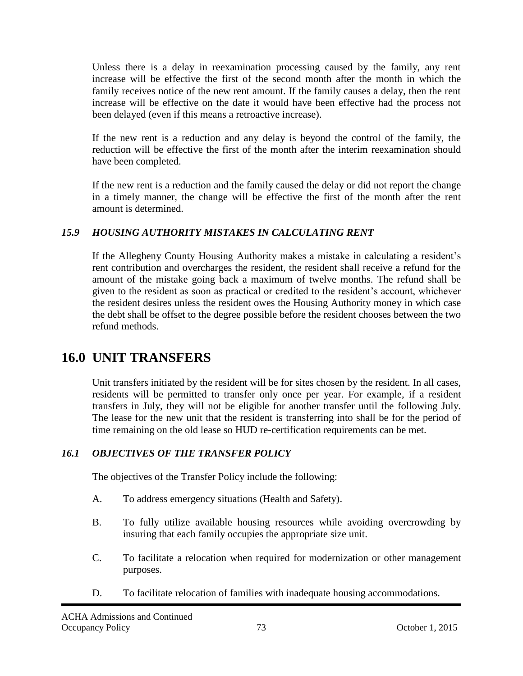Unless there is a delay in reexamination processing caused by the family, any rent increase will be effective the first of the second month after the month in which the family receives notice of the new rent amount. If the family causes a delay, then the rent increase will be effective on the date it would have been effective had the process not been delayed (even if this means a retroactive increase).

If the new rent is a reduction and any delay is beyond the control of the family, the reduction will be effective the first of the month after the interim reexamination should have been completed.

If the new rent is a reduction and the family caused the delay or did not report the change in a timely manner, the change will be effective the first of the month after the rent amount is determined.

### *15.9 HOUSING AUTHORITY MISTAKES IN CALCULATING RENT*

If the Allegheny County Housing Authority makes a mistake in calculating a resident's rent contribution and overcharges the resident, the resident shall receive a refund for the amount of the mistake going back a maximum of twelve months. The refund shall be given to the resident as soon as practical or credited to the resident's account, whichever the resident desires unless the resident owes the Housing Authority money in which case the debt shall be offset to the degree possible before the resident chooses between the two refund methods.

# **16.0 UNIT TRANSFERS**

Unit transfers initiated by the resident will be for sites chosen by the resident. In all cases, residents will be permitted to transfer only once per year. For example, if a resident transfers in July, they will not be eligible for another transfer until the following July. The lease for the new unit that the resident is transferring into shall be for the period of time remaining on the old lease so HUD re-certification requirements can be met.

### *16.1 OBJECTIVES OF THE TRANSFER POLICY*

The objectives of the Transfer Policy include the following:

- A. To address emergency situations (Health and Safety).
- B. To fully utilize available housing resources while avoiding overcrowding by insuring that each family occupies the appropriate size unit.
- C. To facilitate a relocation when required for modernization or other management purposes.
- D. To facilitate relocation of families with inadequate housing accommodations.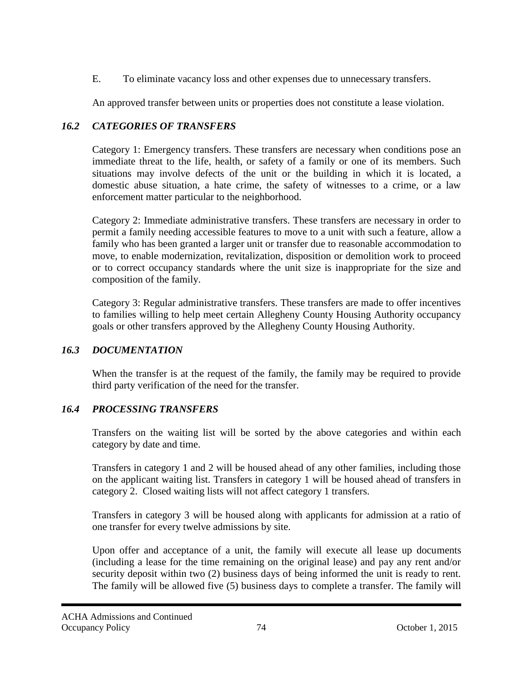E. To eliminate vacancy loss and other expenses due to unnecessary transfers.

An approved transfer between units or properties does not constitute a lease violation.

### *16.2 CATEGORIES OF TRANSFERS*

Category 1: Emergency transfers. These transfers are necessary when conditions pose an immediate threat to the life, health, or safety of a family or one of its members. Such situations may involve defects of the unit or the building in which it is located, a domestic abuse situation, a hate crime, the safety of witnesses to a crime, or a law enforcement matter particular to the neighborhood.

Category 2: Immediate administrative transfers. These transfers are necessary in order to permit a family needing accessible features to move to a unit with such a feature, allow a family who has been granted a larger unit or transfer due to reasonable accommodation to move, to enable modernization, revitalization, disposition or demolition work to proceed or to correct occupancy standards where the unit size is inappropriate for the size and composition of the family.

Category 3: Regular administrative transfers. These transfers are made to offer incentives to families willing to help meet certain Allegheny County Housing Authority occupancy goals or other transfers approved by the Allegheny County Housing Authority.

### *16.3 DOCUMENTATION*

When the transfer is at the request of the family, the family may be required to provide third party verification of the need for the transfer.

### *16.4 PROCESSING TRANSFERS*

Transfers on the waiting list will be sorted by the above categories and within each category by date and time.

Transfers in category 1 and 2 will be housed ahead of any other families, including those on the applicant waiting list. Transfers in category 1 will be housed ahead of transfers in category 2. Closed waiting lists will not affect category 1 transfers.

Transfers in category 3 will be housed along with applicants for admission at a ratio of one transfer for every twelve admissions by site.

Upon offer and acceptance of a unit, the family will execute all lease up documents (including a lease for the time remaining on the original lease) and pay any rent and/or security deposit within two (2) business days of being informed the unit is ready to rent. The family will be allowed five (5) business days to complete a transfer. The family will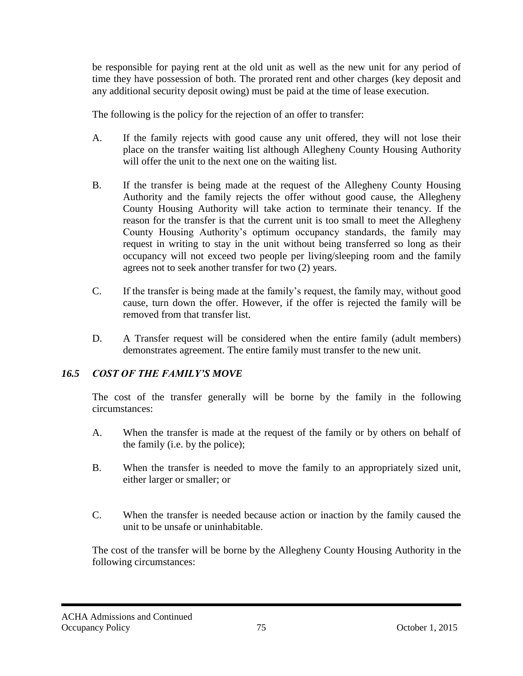be responsible for paying rent at the old unit as well as the new unit for any period of time they have possession of both. The prorated rent and other charges (key deposit and any additional security deposit owing) must be paid at the time of lease execution.

The following is the policy for the rejection of an offer to transfer:

- A. If the family rejects with good cause any unit offered, they will not lose their place on the transfer waiting list although Allegheny County Housing Authority will offer the unit to the next one on the waiting list.
- B. If the transfer is being made at the request of the Allegheny County Housing Authority and the family rejects the offer without good cause, the Allegheny County Housing Authority will take action to terminate their tenancy. If the reason for the transfer is that the current unit is too small to meet the Allegheny County Housing Authority's optimum occupancy standards, the family may request in writing to stay in the unit without being transferred so long as their occupancy will not exceed two people per living/sleeping room and the family agrees not to seek another transfer for two (2) years.
- C. If the transfer is being made at the family's request, the family may, without good cause, turn down the offer. However, if the offer is rejected the family will be removed from that transfer list.
- D. A Transfer request will be considered when the entire family (adult members) demonstrates agreement. The entire family must transfer to the new unit.

### *16.5 COST OF THE FAMILY'S MOVE*

The cost of the transfer generally will be borne by the family in the following circumstances:

- A. When the transfer is made at the request of the family or by others on behalf of the family (i.e. by the police);
- B. When the transfer is needed to move the family to an appropriately sized unit, either larger or smaller; or
- C. When the transfer is needed because action or inaction by the family caused the unit to be unsafe or uninhabitable.

The cost of the transfer will be borne by the Allegheny County Housing Authority in the following circumstances: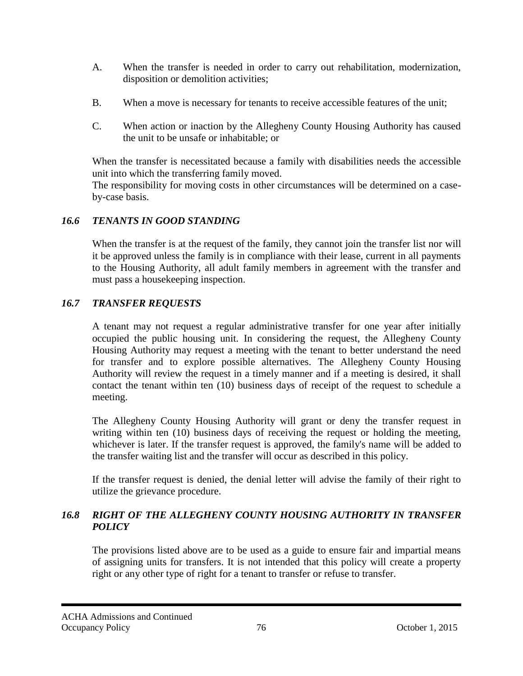- A. When the transfer is needed in order to carry out rehabilitation, modernization, disposition or demolition activities;
- B. When a move is necessary for tenants to receive accessible features of the unit;
- C. When action or inaction by the Allegheny County Housing Authority has caused the unit to be unsafe or inhabitable; or

When the transfer is necessitated because a family with disabilities needs the accessible unit into which the transferring family moved.

The responsibility for moving costs in other circumstances will be determined on a caseby-case basis.

### *16.6 TENANTS IN GOOD STANDING*

When the transfer is at the request of the family, they cannot join the transfer list nor will it be approved unless the family is in compliance with their lease, current in all payments to the Housing Authority, all adult family members in agreement with the transfer and must pass a housekeeping inspection.

### *16.7 TRANSFER REQUESTS*

A tenant may not request a regular administrative transfer for one year after initially occupied the public housing unit. In considering the request, the Allegheny County Housing Authority may request a meeting with the tenant to better understand the need for transfer and to explore possible alternatives. The Allegheny County Housing Authority will review the request in a timely manner and if a meeting is desired, it shall contact the tenant within ten (10) business days of receipt of the request to schedule a meeting.

The Allegheny County Housing Authority will grant or deny the transfer request in writing within ten (10) business days of receiving the request or holding the meeting, whichever is later. If the transfer request is approved, the family's name will be added to the transfer waiting list and the transfer will occur as described in this policy.

If the transfer request is denied, the denial letter will advise the family of their right to utilize the grievance procedure.

#### *16.8 RIGHT OF THE ALLEGHENY COUNTY HOUSING AUTHORITY IN TRANSFER POLICY*

The provisions listed above are to be used as a guide to ensure fair and impartial means of assigning units for transfers. It is not intended that this policy will create a property right or any other type of right for a tenant to transfer or refuse to transfer.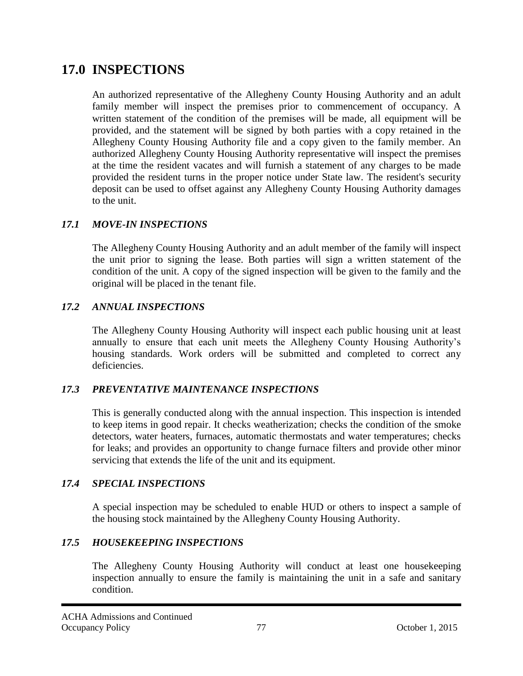# **17.0 INSPECTIONS**

An authorized representative of the Allegheny County Housing Authority and an adult family member will inspect the premises prior to commencement of occupancy. A written statement of the condition of the premises will be made, all equipment will be provided, and the statement will be signed by both parties with a copy retained in the Allegheny County Housing Authority file and a copy given to the family member. An authorized Allegheny County Housing Authority representative will inspect the premises at the time the resident vacates and will furnish a statement of any charges to be made provided the resident turns in the proper notice under State law. The resident's security deposit can be used to offset against any Allegheny County Housing Authority damages to the unit.

#### *17.1 MOVE-IN INSPECTIONS*

The Allegheny County Housing Authority and an adult member of the family will inspect the unit prior to signing the lease. Both parties will sign a written statement of the condition of the unit. A copy of the signed inspection will be given to the family and the original will be placed in the tenant file.

### *17.2 ANNUAL INSPECTIONS*

The Allegheny County Housing Authority will inspect each public housing unit at least annually to ensure that each unit meets the Allegheny County Housing Authority's housing standards. Work orders will be submitted and completed to correct any deficiencies.

### *17.3 PREVENTATIVE MAINTENANCE INSPECTIONS*

This is generally conducted along with the annual inspection. This inspection is intended to keep items in good repair. It checks weatherization; checks the condition of the smoke detectors, water heaters, furnaces, automatic thermostats and water temperatures; checks for leaks; and provides an opportunity to change furnace filters and provide other minor servicing that extends the life of the unit and its equipment.

### *17.4 SPECIAL INSPECTIONS*

A special inspection may be scheduled to enable HUD or others to inspect a sample of the housing stock maintained by the Allegheny County Housing Authority.

### *17.5 HOUSEKEEPING INSPECTIONS*

The Allegheny County Housing Authority will conduct at least one housekeeping inspection annually to ensure the family is maintaining the unit in a safe and sanitary condition.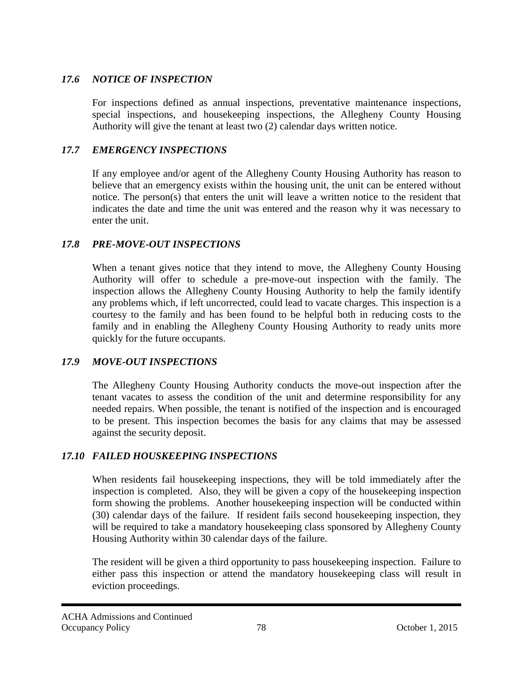### *17.6 NOTICE OF INSPECTION*

For inspections defined as annual inspections, preventative maintenance inspections, special inspections, and housekeeping inspections, the Allegheny County Housing Authority will give the tenant at least two (2) calendar days written notice.

### *17.7 EMERGENCY INSPECTIONS*

If any employee and/or agent of the Allegheny County Housing Authority has reason to believe that an emergency exists within the housing unit, the unit can be entered without notice. The person(s) that enters the unit will leave a written notice to the resident that indicates the date and time the unit was entered and the reason why it was necessary to enter the unit.

### *17.8 PRE-MOVE-OUT INSPECTIONS*

When a tenant gives notice that they intend to move, the Allegheny County Housing Authority will offer to schedule a pre-move-out inspection with the family. The inspection allows the Allegheny County Housing Authority to help the family identify any problems which, if left uncorrected, could lead to vacate charges. This inspection is a courtesy to the family and has been found to be helpful both in reducing costs to the family and in enabling the Allegheny County Housing Authority to ready units more quickly for the future occupants.

### *17.9 MOVE-OUT INSPECTIONS*

The Allegheny County Housing Authority conducts the move-out inspection after the tenant vacates to assess the condition of the unit and determine responsibility for any needed repairs. When possible, the tenant is notified of the inspection and is encouraged to be present. This inspection becomes the basis for any claims that may be assessed against the security deposit.

### *17.10 FAILED HOUSKEEPING INSPECTIONS*

When residents fail housekeeping inspections, they will be told immediately after the inspection is completed. Also, they will be given a copy of the housekeeping inspection form showing the problems. Another housekeeping inspection will be conducted within (30) calendar days of the failure. If resident fails second housekeeping inspection, they will be required to take a mandatory house keeping class sponsored by Allegheny County Housing Authority within 30 calendar days of the failure.

The resident will be given a third opportunity to pass housekeeping inspection. Failure to either pass this inspection or attend the mandatory housekeeping class will result in eviction proceedings.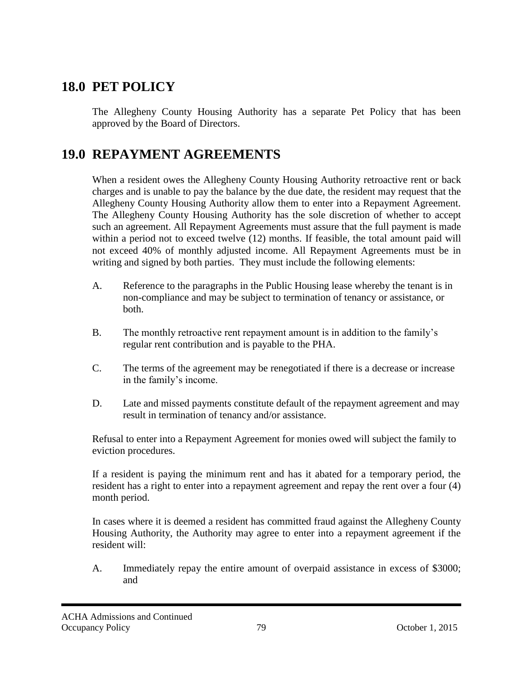## **18.0 PET POLICY**

The Allegheny County Housing Authority has a separate Pet Policy that has been approved by the Board of Directors.

# **19.0 REPAYMENT AGREEMENTS**

When a resident owes the Allegheny County Housing Authority retroactive rent or back charges and is unable to pay the balance by the due date, the resident may request that the Allegheny County Housing Authority allow them to enter into a Repayment Agreement. The Allegheny County Housing Authority has the sole discretion of whether to accept such an agreement. All Repayment Agreements must assure that the full payment is made within a period not to exceed twelve (12) months. If feasible, the total amount paid will not exceed 40% of monthly adjusted income. All Repayment Agreements must be in writing and signed by both parties. They must include the following elements:

- A. Reference to the paragraphs in the Public Housing lease whereby the tenant is in non-compliance and may be subject to termination of tenancy or assistance, or both.
- B. The monthly retroactive rent repayment amount is in addition to the family's regular rent contribution and is payable to the PHA.
- C. The terms of the agreement may be renegotiated if there is a decrease or increase in the family's income.
- D. Late and missed payments constitute default of the repayment agreement and may result in termination of tenancy and/or assistance.

Refusal to enter into a Repayment Agreement for monies owed will subject the family to eviction procedures.

If a resident is paying the minimum rent and has it abated for a temporary period, the resident has a right to enter into a repayment agreement and repay the rent over a four (4) month period.

In cases where it is deemed a resident has committed fraud against the Allegheny County Housing Authority, the Authority may agree to enter into a repayment agreement if the resident will:

A. Immediately repay the entire amount of overpaid assistance in excess of \$3000; and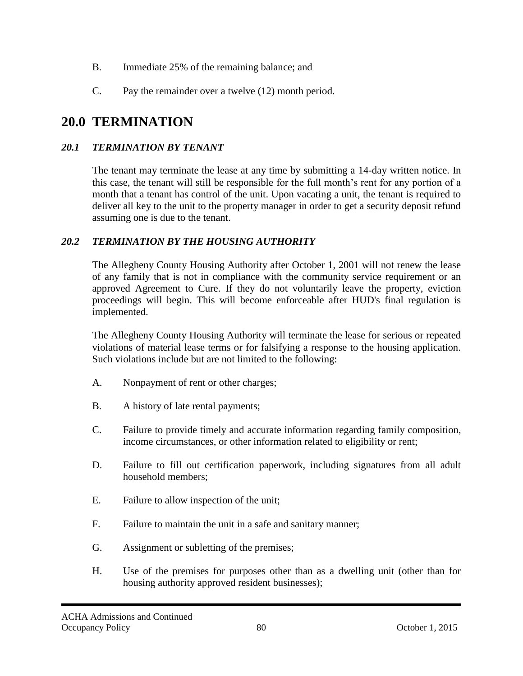- B. Immediate 25% of the remaining balance; and
- C. Pay the remainder over a twelve (12) month period.

## **20.0 TERMINATION**

### *20.1 TERMINATION BY TENANT*

The tenant may terminate the lease at any time by submitting a 14-day written notice. In this case, the tenant will still be responsible for the full month's rent for any portion of a month that a tenant has control of the unit. Upon vacating a unit, the tenant is required to deliver all key to the unit to the property manager in order to get a security deposit refund assuming one is due to the tenant.

### *20.2 TERMINATION BY THE HOUSING AUTHORITY*

The Allegheny County Housing Authority after October 1, 2001 will not renew the lease of any family that is not in compliance with the community service requirement or an approved Agreement to Cure. If they do not voluntarily leave the property, eviction proceedings will begin. This will become enforceable after HUD's final regulation is implemented.

The Allegheny County Housing Authority will terminate the lease for serious or repeated violations of material lease terms or for falsifying a response to the housing application. Such violations include but are not limited to the following:

- A. Nonpayment of rent or other charges;
- B. A history of late rental payments;
- C. Failure to provide timely and accurate information regarding family composition, income circumstances, or other information related to eligibility or rent;
- D. Failure to fill out certification paperwork, including signatures from all adult household members;
- E. Failure to allow inspection of the unit;
- F. Failure to maintain the unit in a safe and sanitary manner;
- G. Assignment or subletting of the premises;
- H. Use of the premises for purposes other than as a dwelling unit (other than for housing authority approved resident businesses);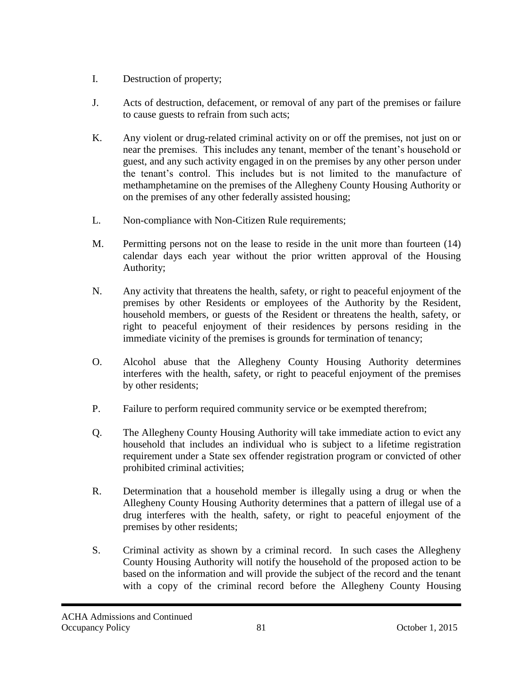- I. Destruction of property;
- J. Acts of destruction, defacement, or removal of any part of the premises or failure to cause guests to refrain from such acts;
- K. Any violent or drug-related criminal activity on or off the premises, not just on or near the premises. This includes any tenant, member of the tenant's household or guest, and any such activity engaged in on the premises by any other person under the tenant's control. This includes but is not limited to the manufacture of methamphetamine on the premises of the Allegheny County Housing Authority or on the premises of any other federally assisted housing;
- L. Non-compliance with Non-Citizen Rule requirements;
- M. Permitting persons not on the lease to reside in the unit more than fourteen (14) calendar days each year without the prior written approval of the Housing Authority;
- N. Any activity that threatens the health, safety, or right to peaceful enjoyment of the premises by other Residents or employees of the Authority by the Resident, household members, or guests of the Resident or threatens the health, safety, or right to peaceful enjoyment of their residences by persons residing in the immediate vicinity of the premises is grounds for termination of tenancy;
- O. Alcohol abuse that the Allegheny County Housing Authority determines interferes with the health, safety, or right to peaceful enjoyment of the premises by other residents;
- P. Failure to perform required community service or be exempted therefrom;
- Q. The Allegheny County Housing Authority will take immediate action to evict any household that includes an individual who is subject to a lifetime registration requirement under a State sex offender registration program or convicted of other prohibited criminal activities;
- R. Determination that a household member is illegally using a drug or when the Allegheny County Housing Authority determines that a pattern of illegal use of a drug interferes with the health, safety, or right to peaceful enjoyment of the premises by other residents;
- S. Criminal activity as shown by a criminal record. In such cases the Allegheny County Housing Authority will notify the household of the proposed action to be based on the information and will provide the subject of the record and the tenant with a copy of the criminal record before the Allegheny County Housing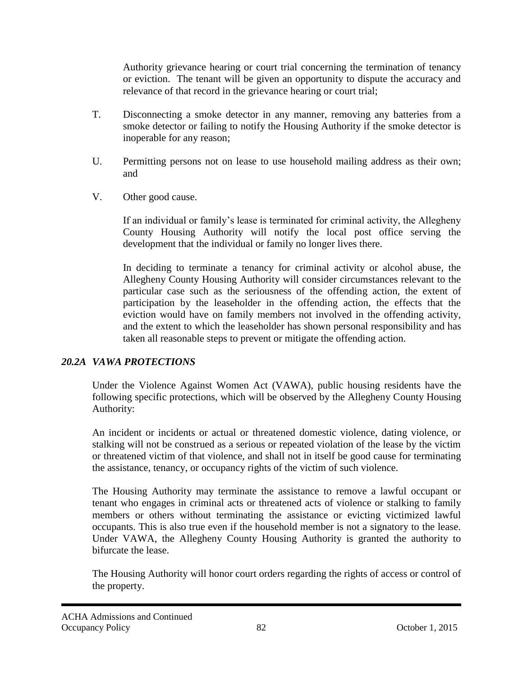Authority grievance hearing or court trial concerning the termination of tenancy or eviction. The tenant will be given an opportunity to dispute the accuracy and relevance of that record in the grievance hearing or court trial;

- T. Disconnecting a smoke detector in any manner, removing any batteries from a smoke detector or failing to notify the Housing Authority if the smoke detector is inoperable for any reason;
- U. Permitting persons not on lease to use household mailing address as their own; and
- V. Other good cause.

If an individual or family's lease is terminated for criminal activity, the Allegheny County Housing Authority will notify the local post office serving the development that the individual or family no longer lives there.

In deciding to terminate a tenancy for criminal activity or alcohol abuse, the Allegheny County Housing Authority will consider circumstances relevant to the particular case such as the seriousness of the offending action, the extent of participation by the leaseholder in the offending action, the effects that the eviction would have on family members not involved in the offending activity, and the extent to which the leaseholder has shown personal responsibility and has taken all reasonable steps to prevent or mitigate the offending action.

### *20.2A VAWA PROTECTIONS*

Under the Violence Against Women Act (VAWA), public housing residents have the following specific protections, which will be observed by the Allegheny County Housing Authority:

An incident or incidents or actual or threatened domestic violence, dating violence, or stalking will not be construed as a serious or repeated violation of the lease by the victim or threatened victim of that violence, and shall not in itself be good cause for terminating the assistance, tenancy, or occupancy rights of the victim of such violence.

The Housing Authority may terminate the assistance to remove a lawful occupant or tenant who engages in criminal acts or threatened acts of violence or stalking to family members or others without terminating the assistance or evicting victimized lawful occupants. This is also true even if the household member is not a signatory to the lease. Under VAWA, the Allegheny County Housing Authority is granted the authority to bifurcate the lease.

The Housing Authority will honor court orders regarding the rights of access or control of the property.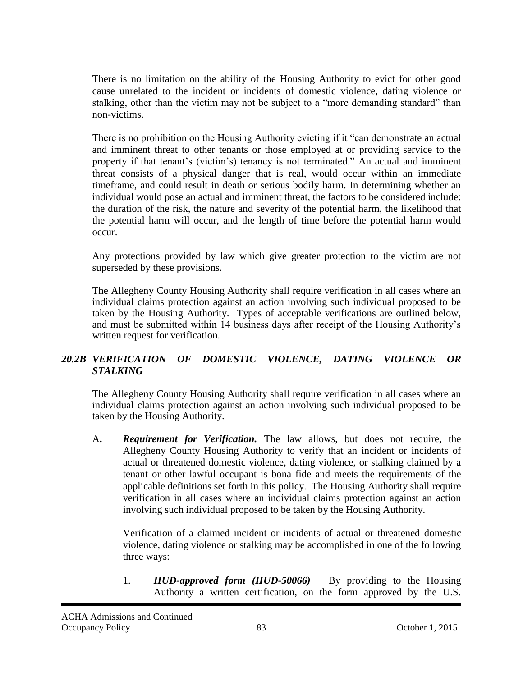There is no limitation on the ability of the Housing Authority to evict for other good cause unrelated to the incident or incidents of domestic violence, dating violence or stalking, other than the victim may not be subject to a "more demanding standard" than non-victims.

There is no prohibition on the Housing Authority evicting if it "can demonstrate an actual and imminent threat to other tenants or those employed at or providing service to the property if that tenant's (victim's) tenancy is not terminated." An actual and imminent threat consists of a physical danger that is real, would occur within an immediate timeframe, and could result in death or serious bodily harm. In determining whether an individual would pose an actual and imminent threat, the factors to be considered include: the duration of the risk, the nature and severity of the potential harm, the likelihood that the potential harm will occur, and the length of time before the potential harm would occur.

Any protections provided by law which give greater protection to the victim are not superseded by these provisions.

The Allegheny County Housing Authority shall require verification in all cases where an individual claims protection against an action involving such individual proposed to be taken by the Housing Authority. Types of acceptable verifications are outlined below, and must be submitted within 14 business days after receipt of the Housing Authority's written request for verification.

### *20.2B VERIFICATION OF DOMESTIC VIOLENCE, DATING VIOLENCE OR STALKING*

The Allegheny County Housing Authority shall require verification in all cases where an individual claims protection against an action involving such individual proposed to be taken by the Housing Authority.

A**.** *Requirement for Verification.* The law allows, but does not require, the Allegheny County Housing Authority to verify that an incident or incidents of actual or threatened domestic violence, dating violence, or stalking claimed by a tenant or other lawful occupant is bona fide and meets the requirements of the applicable definitions set forth in this policy. The Housing Authority shall require verification in all cases where an individual claims protection against an action involving such individual proposed to be taken by the Housing Authority.

Verification of a claimed incident or incidents of actual or threatened domestic violence, dating violence or stalking may be accomplished in one of the following three ways:

1. *HUD-approved form (HUD-50066)* – By providing to the Housing Authority a written certification, on the form approved by the U.S.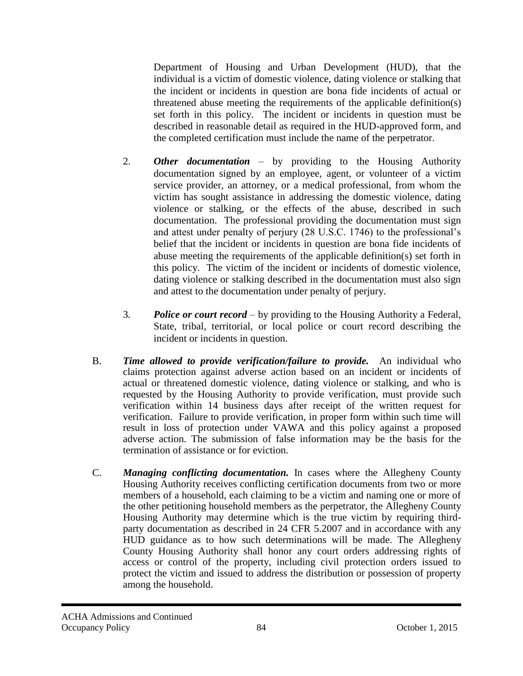Department of Housing and Urban Development (HUD), that the individual is a victim of domestic violence, dating violence or stalking that the incident or incidents in question are bona fide incidents of actual or threatened abuse meeting the requirements of the applicable definition(s) set forth in this policy. The incident or incidents in question must be described in reasonable detail as required in the HUD-approved form, and the completed certification must include the name of the perpetrator.

- 2. *Other documentation* by providing to the Housing Authority documentation signed by an employee, agent, or volunteer of a victim service provider, an attorney, or a medical professional, from whom the victim has sought assistance in addressing the domestic violence, dating violence or stalking, or the effects of the abuse, described in such documentation. The professional providing the documentation must sign and attest under penalty of perjury (28 U.S.C. 1746) to the professional's belief that the incident or incidents in question are bona fide incidents of abuse meeting the requirements of the applicable definition(s) set forth in this policy. The victim of the incident or incidents of domestic violence, dating violence or stalking described in the documentation must also sign and attest to the documentation under penalty of perjury.
- 3*. Police or court record* by providing to the Housing Authority a Federal, State, tribal, territorial, or local police or court record describing the incident or incidents in question.
- B. *Time allowed to provide verification/failure to provide.* An individual who claims protection against adverse action based on an incident or incidents of actual or threatened domestic violence, dating violence or stalking, and who is requested by the Housing Authority to provide verification, must provide such verification within 14 business days after receipt of the written request for verification. Failure to provide verification, in proper form within such time will result in loss of protection under VAWA and this policy against a proposed adverse action. The submission of false information may be the basis for the termination of assistance or for eviction.
- C. *Managing conflicting documentation.* In cases where the Allegheny County Housing Authority receives conflicting certification documents from two or more members of a household, each claiming to be a victim and naming one or more of the other petitioning household members as the perpetrator, the Allegheny County Housing Authority may determine which is the true victim by requiring thirdparty documentation as described in 24 CFR 5.2007 and in accordance with any HUD guidance as to how such determinations will be made. The Allegheny County Housing Authority shall honor any court orders addressing rights of access or control of the property, including civil protection orders issued to protect the victim and issued to address the distribution or possession of property among the household.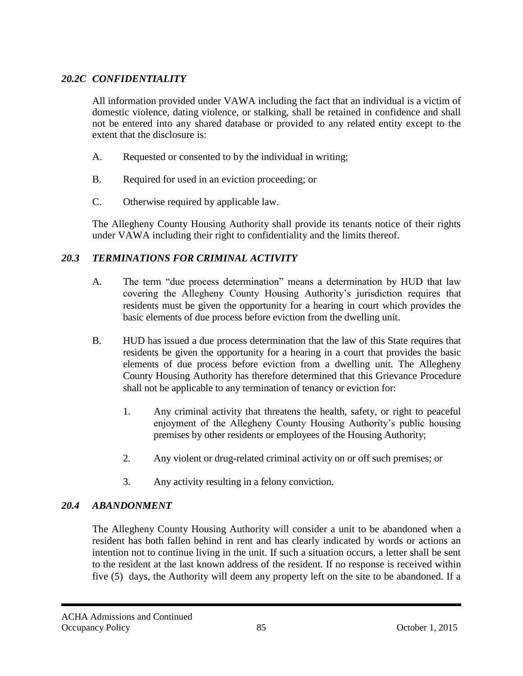### *20.2C CONFIDENTIALITY*

All information provided under VAWA including the fact that an individual is a victim of domestic violence, dating violence, or stalking, shall be retained in confidence and shall not be entered into any shared database or provided to any related entity except to the extent that the disclosure is:

- A. Requested or consented to by the individual in writing;
- B. Required for used in an eviction proceeding; or
- C. Otherwise required by applicable law.

The Allegheny County Housing Authority shall provide its tenants notice of their rights under VAWA including their right to confidentiality and the limits thereof.

### *20.3 TERMINATIONS FOR CRIMINAL ACTIVITY*

- A. The term "due process determination" means a determination by HUD that law covering the Allegheny County Housing Authority's jurisdiction requires that residents must be given the opportunity for a hearing in court which provides the basic elements of due process before eviction from the dwelling unit.
- B. HUD has issued a due process determination that the law of this State requires that residents be given the opportunity for a hearing in a court that provides the basic elements of due process before eviction from a dwelling unit. The Allegheny County Housing Authority has therefore determined that this Grievance Procedure shall not be applicable to any termination of tenancy or eviction for:
	- 1. Any criminal activity that threatens the health, safety, or right to peaceful enjoyment of the Allegheny County Housing Authority's public housing premises by other residents or employees of the Housing Authority;
	- 2. Any violent or drug-related criminal activity on or off such premises; or
	- 3. Any activity resulting in a felony conviction.

### *20.4 ABANDONMENT*

The Allegheny County Housing Authority will consider a unit to be abandoned when a resident has both fallen behind in rent and has clearly indicated by words or actions an intention not to continue living in the unit. If such a situation occurs, a letter shall be sent to the resident at the last known address of the resident. If no response is received within five (5) days, the Authority will deem any property left on the site to be abandoned. If a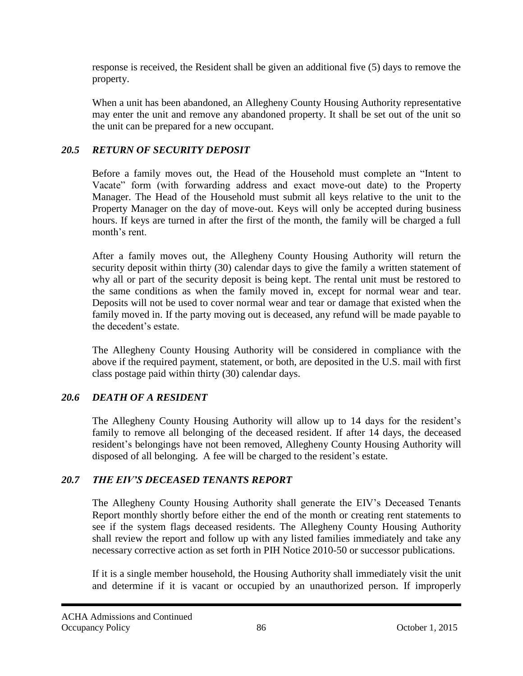response is received, the Resident shall be given an additional five (5) days to remove the property.

When a unit has been abandoned, an Allegheny County Housing Authority representative may enter the unit and remove any abandoned property. It shall be set out of the unit so the unit can be prepared for a new occupant.

### *20.5 RETURN OF SECURITY DEPOSIT*

Before a family moves out, the Head of the Household must complete an "Intent to Vacate" form (with forwarding address and exact move-out date) to the Property Manager. The Head of the Household must submit all keys relative to the unit to the Property Manager on the day of move-out. Keys will only be accepted during business hours. If keys are turned in after the first of the month, the family will be charged a full month's rent.

After a family moves out, the Allegheny County Housing Authority will return the security deposit within thirty (30) calendar days to give the family a written statement of why all or part of the security deposit is being kept. The rental unit must be restored to the same conditions as when the family moved in, except for normal wear and tear. Deposits will not be used to cover normal wear and tear or damage that existed when the family moved in. If the party moving out is deceased, any refund will be made payable to the decedent's estate.

The Allegheny County Housing Authority will be considered in compliance with the above if the required payment, statement, or both, are deposited in the U.S. mail with first class postage paid within thirty (30) calendar days.

### *20.6 DEATH OF A RESIDENT*

The Allegheny County Housing Authority will allow up to 14 days for the resident's family to remove all belonging of the deceased resident. If after 14 days, the deceased resident's belongings have not been removed, Allegheny County Housing Authority will disposed of all belonging. A fee will be charged to the resident's estate.

### *20.7 THE EIV'S DECEASED TENANTS REPORT*

The Allegheny County Housing Authority shall generate the EIV's Deceased Tenants Report monthly shortly before either the end of the month or creating rent statements to see if the system flags deceased residents. The Allegheny County Housing Authority shall review the report and follow up with any listed families immediately and take any necessary corrective action as set forth in PIH Notice 2010-50 or successor publications.

If it is a single member household, the Housing Authority shall immediately visit the unit and determine if it is vacant or occupied by an unauthorized person. If improperly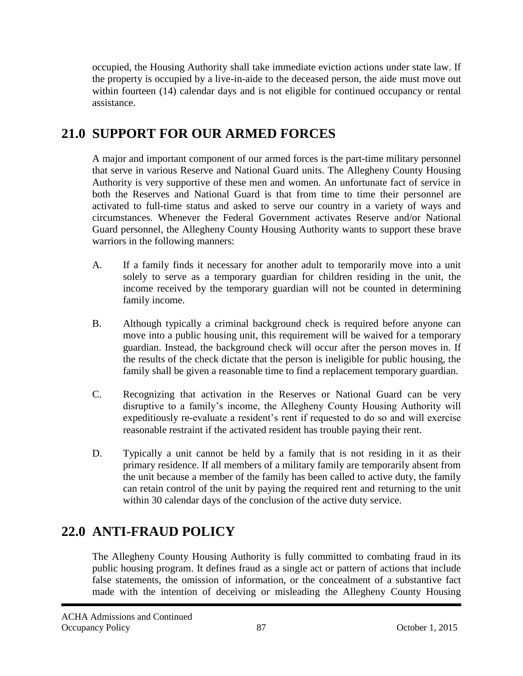occupied, the Housing Authority shall take immediate eviction actions under state law. If the property is occupied by a live-in-aide to the deceased person, the aide must move out within fourteen (14) calendar days and is not eligible for continued occupancy or rental assistance.

# **21.0 SUPPORT FOR OUR ARMED FORCES**

A major and important component of our armed forces is the part-time military personnel that serve in various Reserve and National Guard units. The Allegheny County Housing Authority is very supportive of these men and women. An unfortunate fact of service in both the Reserves and National Guard is that from time to time their personnel are activated to full-time status and asked to serve our country in a variety of ways and circumstances. Whenever the Federal Government activates Reserve and/or National Guard personnel, the Allegheny County Housing Authority wants to support these brave warriors in the following manners:

- A. If a family finds it necessary for another adult to temporarily move into a unit solely to serve as a temporary guardian for children residing in the unit, the income received by the temporary guardian will not be counted in determining family income.
- B. Although typically a criminal background check is required before anyone can move into a public housing unit, this requirement will be waived for a temporary guardian. Instead, the background check will occur after the person moves in. If the results of the check dictate that the person is ineligible for public housing, the family shall be given a reasonable time to find a replacement temporary guardian.
- C. Recognizing that activation in the Reserves or National Guard can be very disruptive to a family's income, the Allegheny County Housing Authority will expeditiously re-evaluate a resident's rent if requested to do so and will exercise reasonable restraint if the activated resident has trouble paying their rent.
- D. Typically a unit cannot be held by a family that is not residing in it as their primary residence. If all members of a military family are temporarily absent from the unit because a member of the family has been called to active duty, the family can retain control of the unit by paying the required rent and returning to the unit within 30 calendar days of the conclusion of the active duty service.

# **22.0 ANTI-FRAUD POLICY**

The Allegheny County Housing Authority is fully committed to combating fraud in its public housing program. It defines fraud as a single act or pattern of actions that include false statements, the omission of information, or the concealment of a substantive fact made with the intention of deceiving or misleading the Allegheny County Housing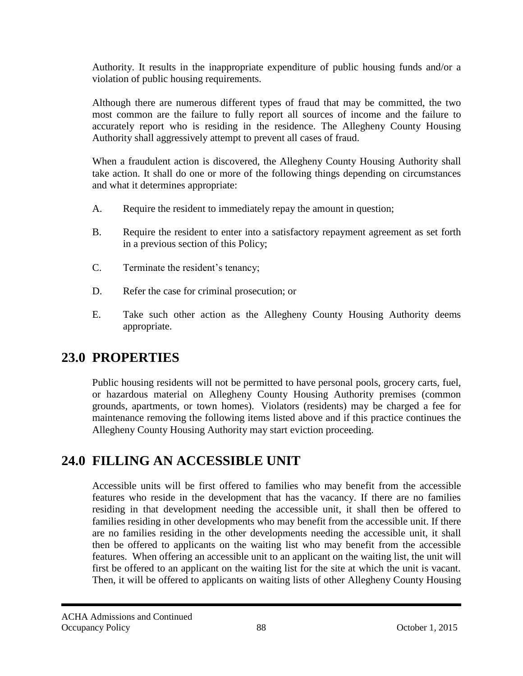Authority. It results in the inappropriate expenditure of public housing funds and/or a violation of public housing requirements.

Although there are numerous different types of fraud that may be committed, the two most common are the failure to fully report all sources of income and the failure to accurately report who is residing in the residence. The Allegheny County Housing Authority shall aggressively attempt to prevent all cases of fraud.

When a fraudulent action is discovered, the Allegheny County Housing Authority shall take action. It shall do one or more of the following things depending on circumstances and what it determines appropriate:

- A. Require the resident to immediately repay the amount in question;
- B. Require the resident to enter into a satisfactory repayment agreement as set forth in a previous section of this Policy;
- C. Terminate the resident's tenancy;
- D. Refer the case for criminal prosecution; or
- E. Take such other action as the Allegheny County Housing Authority deems appropriate.

# **23.0 PROPERTIES**

Public housing residents will not be permitted to have personal pools, grocery carts, fuel, or hazardous material on Allegheny County Housing Authority premises (common grounds, apartments, or town homes). Violators (residents) may be charged a fee for maintenance removing the following items listed above and if this practice continues the Allegheny County Housing Authority may start eviction proceeding.

# **24.0 FILLING AN ACCESSIBLE UNIT**

Accessible units will be first offered to families who may benefit from the accessible features who reside in the development that has the vacancy. If there are no families residing in that development needing the accessible unit, it shall then be offered to families residing in other developments who may benefit from the accessible unit. If there are no families residing in the other developments needing the accessible unit, it shall then be offered to applicants on the waiting list who may benefit from the accessible features. When offering an accessible unit to an applicant on the waiting list, the unit will first be offered to an applicant on the waiting list for the site at which the unit is vacant. Then, it will be offered to applicants on waiting lists of other Allegheny County Housing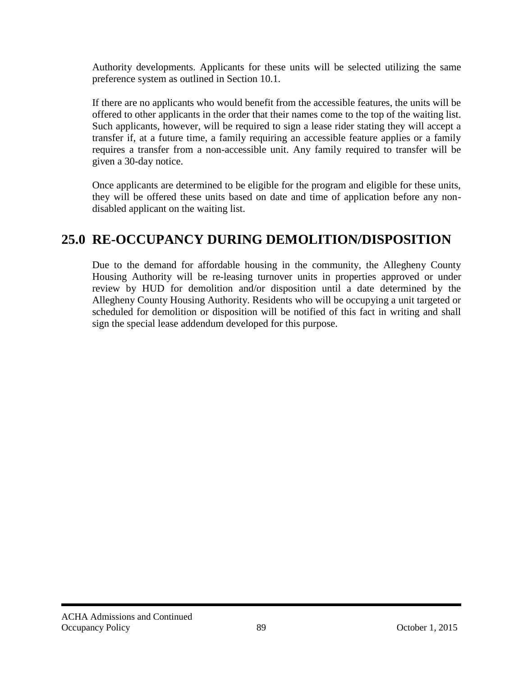Authority developments. Applicants for these units will be selected utilizing the same preference system as outlined in Section 10.1.

If there are no applicants who would benefit from the accessible features, the units will be offered to other applicants in the order that their names come to the top of the waiting list. Such applicants, however, will be required to sign a lease rider stating they will accept a transfer if, at a future time, a family requiring an accessible feature applies or a family requires a transfer from a non-accessible unit. Any family required to transfer will be given a 30-day notice.

Once applicants are determined to be eligible for the program and eligible for these units, they will be offered these units based on date and time of application before any nondisabled applicant on the waiting list.

# **25.0 RE-OCCUPANCY DURING DEMOLITION/DISPOSITION**

Due to the demand for affordable housing in the community, the Allegheny County Housing Authority will be re-leasing turnover units in properties approved or under review by HUD for demolition and/or disposition until a date determined by the Allegheny County Housing Authority. Residents who will be occupying a unit targeted or scheduled for demolition or disposition will be notified of this fact in writing and shall sign the special lease addendum developed for this purpose.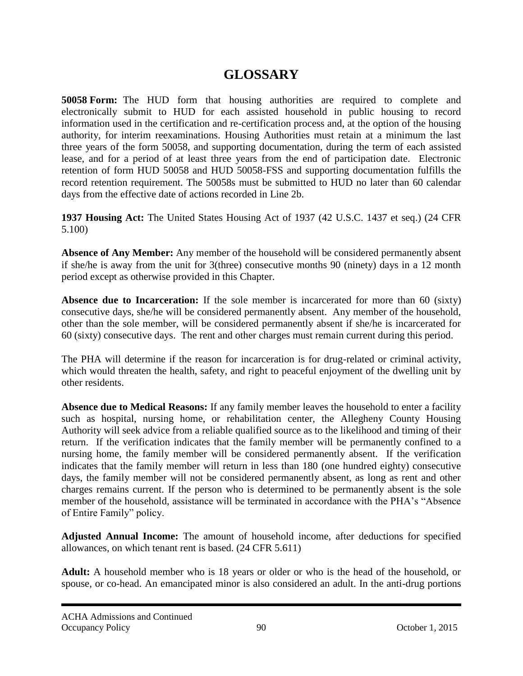# **GLOSSARY**

**50058 Form:** The HUD form that housing authorities are required to complete and electronically submit to HUD for each assisted household in public housing to record information used in the certification and re-certification process and, at the option of the housing authority, for interim reexaminations. Housing Authorities must retain at a minimum the last three years of the form 50058, and supporting documentation, during the term of each assisted lease, and for a period of at least three years from the end of participation date. Electronic retention of form HUD 50058 and HUD 50058-FSS and supporting documentation fulfills the record retention requirement. The 50058s must be submitted to HUD no later than 60 calendar days from the effective date of actions recorded in Line 2b.

**1937 Housing Act:** The United States Housing Act of 1937 (42 U.S.C. 1437 et seq.) (24 CFR 5.100)

**Absence of Any Member:** Any member of the household will be considered permanently absent if she/he is away from the unit for 3(three) consecutive months 90 (ninety) days in a 12 month period except as otherwise provided in this Chapter.

**Absence due to Incarceration:** If the sole member is incarcerated for more than 60 (sixty) consecutive days, she/he will be considered permanently absent. Any member of the household, other than the sole member, will be considered permanently absent if she/he is incarcerated for 60 (sixty) consecutive days. The rent and other charges must remain current during this period.

The PHA will determine if the reason for incarceration is for drug-related or criminal activity, which would threaten the health, safety, and right to peaceful enjoyment of the dwelling unit by other residents.

**Absence due to Medical Reasons:** If any family member leaves the household to enter a facility such as hospital, nursing home, or rehabilitation center, the Allegheny County Housing Authority will seek advice from a reliable qualified source as to the likelihood and timing of their return. If the verification indicates that the family member will be permanently confined to a nursing home, the family member will be considered permanently absent. If the verification indicates that the family member will return in less than 180 (one hundred eighty) consecutive days, the family member will not be considered permanently absent, as long as rent and other charges remains current. If the person who is determined to be permanently absent is the sole member of the household, assistance will be terminated in accordance with the PHA's "Absence of Entire Family" policy.

**Adjusted Annual Income:** The amount of household income, after deductions for specified allowances, on which tenant rent is based. (24 CFR 5.611)

**Adult:** A household member who is 18 years or older or who is the head of the household, or spouse, or co-head. An emancipated minor is also considered an adult. In the anti-drug portions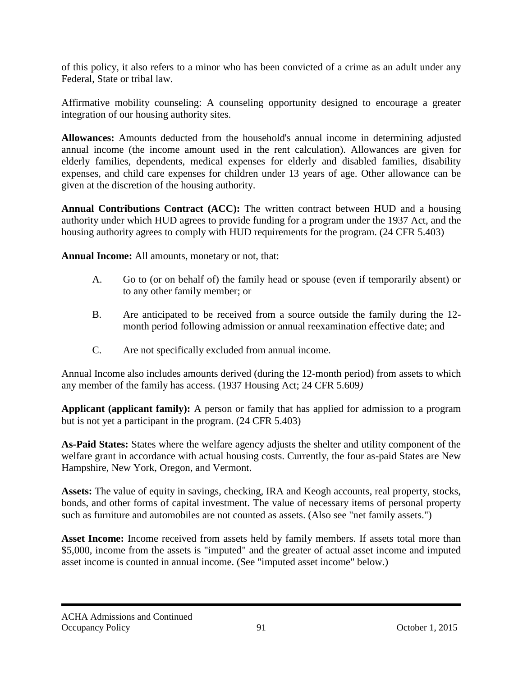of this policy, it also refers to a minor who has been convicted of a crime as an adult under any Federal, State or tribal law.

Affirmative mobility counseling: A counseling opportunity designed to encourage a greater integration of our housing authority sites.

**Allowances:** Amounts deducted from the household's annual income in determining adjusted annual income (the income amount used in the rent calculation). Allowances are given for elderly families, dependents, medical expenses for elderly and disabled families, disability expenses, and child care expenses for children under 13 years of age. Other allowance can be given at the discretion of the housing authority.

**Annual Contributions Contract (ACC):** The written contract between HUD and a housing authority under which HUD agrees to provide funding for a program under the 1937 Act, and the housing authority agrees to comply with HUD requirements for the program. (24 CFR 5.403)

**Annual Income:** All amounts, monetary or not, that:

- A. Go to (or on behalf of) the family head or spouse (even if temporarily absent) or to any other family member; or
- B. Are anticipated to be received from a source outside the family during the 12 month period following admission or annual reexamination effective date; and
- C. Are not specifically excluded from annual income.

Annual Income also includes amounts derived (during the 12-month period) from assets to which any member of the family has access. (1937 Housing Act; 24 CFR 5.609*)*

**Applicant (applicant family):** A person or family that has applied for admission to a program but is not yet a participant in the program. (24 CFR 5.403)

**As-Paid States:** States where the welfare agency adjusts the shelter and utility component of the welfare grant in accordance with actual housing costs. Currently, the four as-paid States are New Hampshire, New York, Oregon, and Vermont.

**Assets:** The value of equity in savings, checking, IRA and Keogh accounts, real property, stocks, bonds, and other forms of capital investment. The value of necessary items of personal property such as furniture and automobiles are not counted as assets. (Also see "net family assets.")

Asset Income: Income received from assets held by family members. If assets total more than \$5,000, income from the assets is "imputed" and the greater of actual asset income and imputed asset income is counted in annual income. (See "imputed asset income" below.)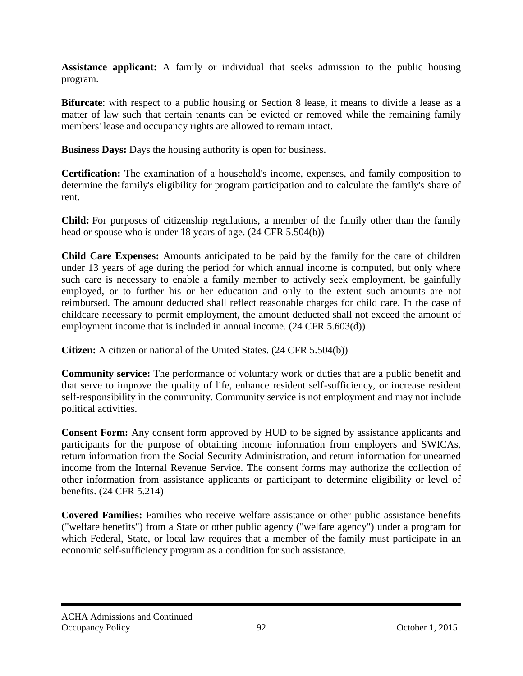**Assistance applicant:** A family or individual that seeks admission to the public housing program.

**Bifurcate**: with respect to a public housing or Section 8 lease, it means to divide a lease as a matter of law such that certain tenants can be evicted or removed while the remaining family members' lease and occupancy rights are allowed to remain intact.

**Business Days:** Days the housing authority is open for business.

**Certification:** The examination of a household's income, expenses, and family composition to determine the family's eligibility for program participation and to calculate the family's share of rent.

**Child:** For purposes of citizenship regulations, a member of the family other than the family head or spouse who is under 18 years of age. (24 CFR 5.504(b))

**Child Care Expenses:** Amounts anticipated to be paid by the family for the care of children under 13 years of age during the period for which annual income is computed, but only where such care is necessary to enable a family member to actively seek employment, be gainfully employed, or to further his or her education and only to the extent such amounts are not reimbursed. The amount deducted shall reflect reasonable charges for child care. In the case of childcare necessary to permit employment, the amount deducted shall not exceed the amount of employment income that is included in annual income. (24 CFR 5.603(d))

**Citizen:** A citizen or national of the United States. (24 CFR 5.504(b))

**Community service:** The performance of voluntary work or duties that are a public benefit and that serve to improve the quality of life, enhance resident self-sufficiency, or increase resident self-responsibility in the community. Community service is not employment and may not include political activities.

**Consent Form:** Any consent form approved by HUD to be signed by assistance applicants and participants for the purpose of obtaining income information from employers and SWICAs, return information from the Social Security Administration, and return information for unearned income from the Internal Revenue Service. The consent forms may authorize the collection of other information from assistance applicants or participant to determine eligibility or level of benefits. (24 CFR 5.214)

**Covered Families:** Families who receive welfare assistance or other public assistance benefits ("welfare benefits") from a State or other public agency ("welfare agency") under a program for which Federal, State, or local law requires that a member of the family must participate in an economic self-sufficiency program as a condition for such assistance.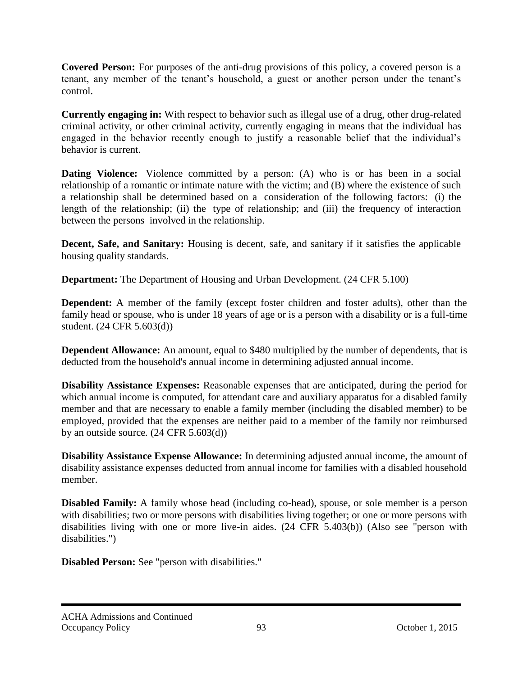**Covered Person:** For purposes of the anti-drug provisions of this policy, a covered person is a tenant, any member of the tenant's household, a guest or another person under the tenant's control.

**Currently engaging in:** With respect to behavior such as illegal use of a drug, other drug-related criminal activity, or other criminal activity, currently engaging in means that the individual has engaged in the behavior recently enough to justify a reasonable belief that the individual's behavior is current.

**Dating Violence:** Violence committed by a person: (A) who is or has been in a social relationship of a romantic or intimate nature with the victim; and (B) where the existence of such a relationship shall be determined based on a consideration of the following factors: (i) the length of the relationship; (ii) the type of relationship; and (iii) the frequency of interaction between the persons involved in the relationship.

**Decent, Safe, and Sanitary:** Housing is decent, safe, and sanitary if it satisfies the applicable housing quality standards.

**Department:** The Department of Housing and Urban Development. (24 CFR 5.100)

**Dependent:** A member of the family (except foster children and foster adults), other than the family head or spouse, who is under 18 years of age or is a person with a disability or is a full-time student. (24 CFR 5.603(d))

**Dependent Allowance:** An amount, equal to \$480 multiplied by the number of dependents, that is deducted from the household's annual income in determining adjusted annual income.

**Disability Assistance Expenses:** Reasonable expenses that are anticipated, during the period for which annual income is computed, for attendant care and auxiliary apparatus for a disabled family member and that are necessary to enable a family member (including the disabled member) to be employed, provided that the expenses are neither paid to a member of the family nor reimbursed by an outside source*.* (24 CFR 5.603(d))

**Disability Assistance Expense Allowance:** In determining adjusted annual income, the amount of disability assistance expenses deducted from annual income for families with a disabled household member.

**Disabled Family:** A family whose head (including co-head), spouse, or sole member is a person with disabilities; two or more persons with disabilities living together; or one or more persons with disabilities living with one or more live-in aides. (24 CFR 5.403(b)) (Also see "person with disabilities.")

**Disabled Person:** See "person with disabilities."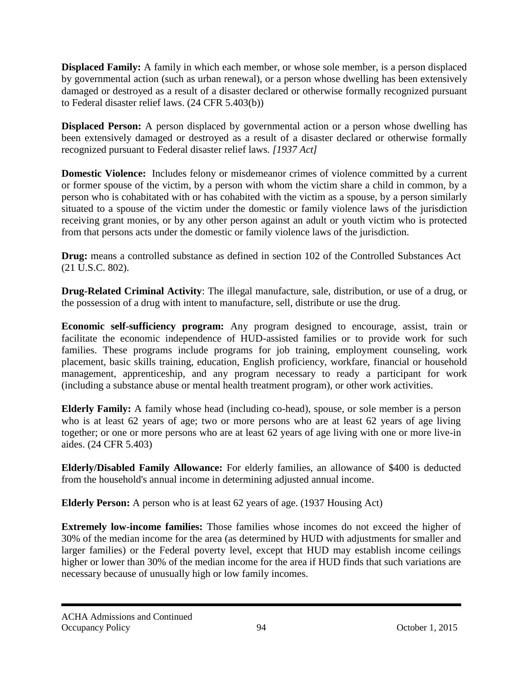**Displaced Family:** A family in which each member, or whose sole member, is a person displaced by governmental action (such as urban renewal), or a person whose dwelling has been extensively damaged or destroyed as a result of a disaster declared or otherwise formally recognized pursuant to Federal disaster relief laws. (24 CFR 5.403(b))

**Displaced Person:** A person displaced by governmental action or a person whose dwelling has been extensively damaged or destroyed as a result of a disaster declared or otherwise formally recognized pursuant to Federal disaster relief laws*. [1937 Act]*

**Domestic Violence:** Includes felony or misdemeanor crimes of violence committed by a current or former spouse of the victim, by a person with whom the victim share a child in common, by a person who is cohabitated with or has cohabited with the victim as a spouse, by a person similarly situated to a spouse of the victim under the domestic or family violence laws of the jurisdiction receiving grant monies, or by any other person against an adult or youth victim who is protected from that persons acts under the domestic or family violence laws of the jurisdiction.

**Drug:** means a controlled substance as defined in section 102 of the Controlled Substances Act (21 U.S.C. 802).

**Drug-Related Criminal Activity**: The illegal manufacture, sale, distribution, or use of a drug, or the possession of a drug with intent to manufacture, sell, distribute or use the drug.

**Economic self-sufficiency program:** Any program designed to encourage, assist, train or facilitate the economic independence of HUD-assisted families or to provide work for such families. These programs include programs for job training, employment counseling, work placement, basic skills training, education, English proficiency, workfare, financial or household management, apprenticeship, and any program necessary to ready a participant for work (including a substance abuse or mental health treatment program), or other work activities.

**Elderly Family:** A family whose head (including co-head), spouse, or sole member is a person who is at least 62 years of age; two or more persons who are at least 62 years of age living together; or one or more persons who are at least 62 years of age living with one or more live-in aides. (24 CFR 5.403)

**Elderly/Disabled Family Allowance:** For elderly families, an allowance of \$400 is deducted from the household's annual income in determining adjusted annual income.

**Elderly Person:** A person who is at least 62 years of age. (1937 Housing Act)

**Extremely low-income families:** Those families whose incomes do not exceed the higher of 30% of the median income for the area (as determined by HUD with adjustments for smaller and larger families) or the Federal poverty level, except that HUD may establish income ceilings higher or lower than 30% of the median income for the area if HUD finds that such variations are necessary because of unusually high or low family incomes.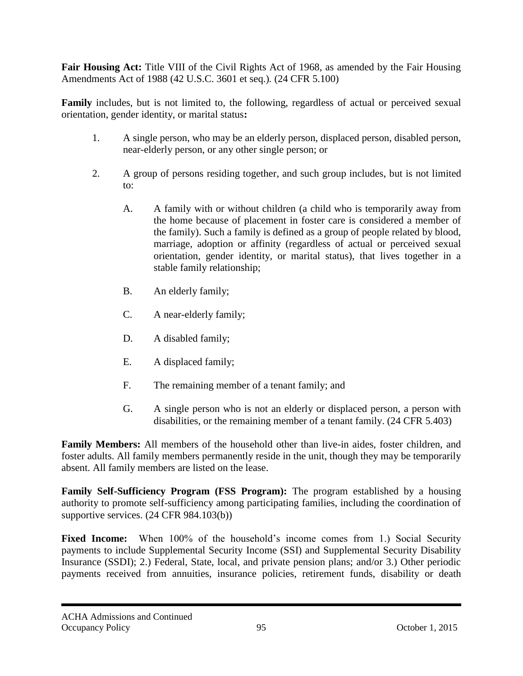**Fair Housing Act:** Title VIII of the Civil Rights Act of 1968, as amended by the Fair Housing Amendments Act of 1988 (42 U.S.C. 3601 et seq.)*.* (24 CFR 5.100)

**Family** includes, but is not limited to, the following, regardless of actual or perceived sexual orientation, gender identity, or marital status**:**

- 1. A single person, who may be an elderly person, displaced person, disabled person, near-elderly person, or any other single person; or
- 2. A group of persons residing together, and such group includes, but is not limited to:
	- A. A family with or without children (a child who is temporarily away from the home because of placement in foster care is considered a member of the family). Such a family is defined as a group of people related by blood, marriage, adoption or affinity (regardless of actual or perceived sexual orientation, gender identity, or marital status), that lives together in a stable family relationship;
	- B. An elderly family;
	- C. A near-elderly family;
	- D. A disabled family;
	- E. A displaced family;
	- F. The remaining member of a tenant family; and
	- G. A single person who is not an elderly or displaced person, a person with disabilities, or the remaining member of a tenant family. (24 CFR 5.403)

**Family Members:** All members of the household other than live-in aides, foster children, and foster adults. All family members permanently reside in the unit, though they may be temporarily absent. All family members are listed on the lease.

**Family Self-Sufficiency Program (FSS Program):** The program established by a housing authority to promote self-sufficiency among participating families, including the coordination of supportive services. (24 CFR 984.103(b))

**Fixed Income:** When 100% of the household's income comes from 1.) Social Security payments to include Supplemental Security Income (SSI) and Supplemental Security Disability Insurance (SSDI); 2.) Federal, State, local, and private pension plans; and/or 3.) Other periodic payments received from annuities, insurance policies, retirement funds, disability or death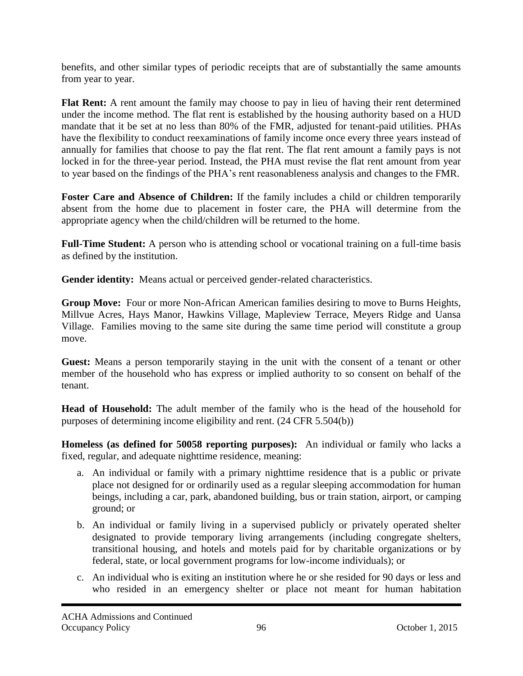benefits, and other similar types of periodic receipts that are of substantially the same amounts from year to year.

**Flat Rent:** A rent amount the family may choose to pay in lieu of having their rent determined under the income method. The flat rent is established by the housing authority based on a HUD mandate that it be set at no less than 80% of the FMR, adjusted for tenant-paid utilities. PHAs have the flexibility to conduct reexaminations of family income once every three years instead of annually for families that choose to pay the flat rent. The flat rent amount a family pays is not locked in for the three-year period. Instead, the PHA must revise the flat rent amount from year to year based on the findings of the PHA's rent reasonableness analysis and changes to the FMR.

**Foster Care and Absence of Children:** If the family includes a child or children temporarily absent from the home due to placement in foster care, the PHA will determine from the appropriate agency when the child/children will be returned to the home.

**Full-Time Student:** A person who is attending school or vocational training on a full-time basis as defined by the institution.

**Gender identity:** Means actual or perceived gender-related characteristics.

**Group Move:** Four or more Non-African American families desiring to move to Burns Heights, Millvue Acres, Hays Manor, Hawkins Village, Mapleview Terrace, Meyers Ridge and Uansa Village. Families moving to the same site during the same time period will constitute a group move.

**Guest:** Means a person temporarily staying in the unit with the consent of a tenant or other member of the household who has express or implied authority to so consent on behalf of the tenant.

**Head of Household:** The adult member of the family who is the head of the household for purposes of determining income eligibility and rent. (24 CFR 5.504(b))

**Homeless (as defined for 50058 reporting purposes):** An individual or family who lacks a fixed, regular, and adequate nighttime residence, meaning:

- a. An individual or family with a primary nighttime residence that is a public or private place not designed for or ordinarily used as a regular sleeping accommodation for human beings, including a car, park, abandoned building, bus or train station, airport, or camping ground; or
- b. An individual or family living in a supervised publicly or privately operated shelter designated to provide temporary living arrangements (including congregate shelters, transitional housing, and hotels and motels paid for by charitable organizations or by federal, state, or local government programs for low-income individuals); or
- c. An individual who is exiting an institution where he or she resided for 90 days or less and who resided in an emergency shelter or place not meant for human habitation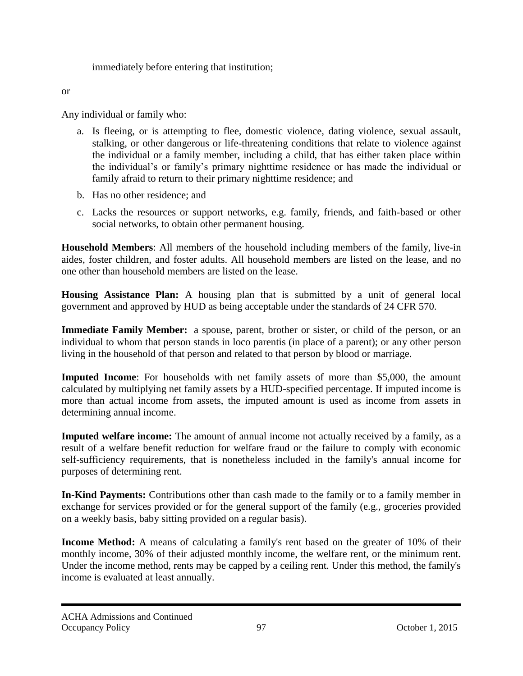immediately before entering that institution;

or

Any individual or family who:

- a. Is fleeing, or is attempting to flee, domestic violence, dating violence, sexual assault, stalking, or other dangerous or life-threatening conditions that relate to violence against the individual or a family member, including a child, that has either taken place within the individual's or family's primary nighttime residence or has made the individual or family afraid to return to their primary nighttime residence; and
- b. Has no other residence; and
- c. Lacks the resources or support networks, e.g. family, friends, and faith-based or other social networks, to obtain other permanent housing.

**Household Members**: All members of the household including members of the family, live-in aides, foster children, and foster adults. All household members are listed on the lease, and no one other than household members are listed on the lease.

**Housing Assistance Plan:** A housing plan that is submitted by a unit of general local government and approved by HUD as being acceptable under the standards of 24 CFR 570.

**Immediate Family Member:** a spouse, parent, brother or sister, or child of the person, or an individual to whom that person stands in loco parentis (in place of a parent); or any other person living in the household of that person and related to that person by blood or marriage.

**Imputed Income**: For households with net family assets of more than \$5,000, the amount calculated by multiplying net family assets by a HUD-specified percentage. If imputed income is more than actual income from assets, the imputed amount is used as income from assets in determining annual income.

**Imputed welfare income:** The amount of annual income not actually received by a family, as a result of a welfare benefit reduction for welfare fraud or the failure to comply with economic self-sufficiency requirements, that is nonetheless included in the family's annual income for purposes of determining rent.

**In-Kind Payments:** Contributions other than cash made to the family or to a family member in exchange for services provided or for the general support of the family (e.g., groceries provided on a weekly basis, baby sitting provided on a regular basis).

**Income Method:** A means of calculating a family's rent based on the greater of 10% of their monthly income, 30% of their adjusted monthly income, the welfare rent, or the minimum rent. Under the income method, rents may be capped by a ceiling rent. Under this method, the family's income is evaluated at least annually.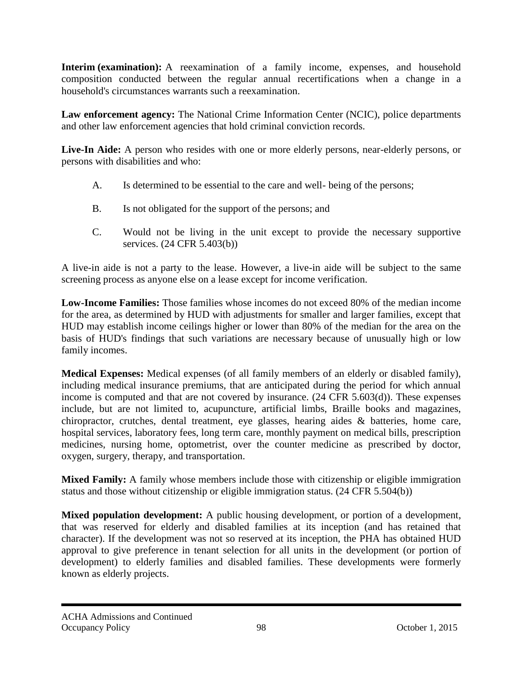**Interim (examination):** A reexamination of a family income, expenses, and household composition conducted between the regular annual recertifications when a change in a household's circumstances warrants such a reexamination.

**Law enforcement agency:** The National Crime Information Center (NCIC), police departments and other law enforcement agencies that hold criminal conviction records.

**Live-In Aide:** A person who resides with one or more elderly persons, near-elderly persons, or persons with disabilities and who:

- A. Is determined to be essential to the care and well- being of the persons;
- B. Is not obligated for the support of the persons; and
- C. Would not be living in the unit except to provide the necessary supportive services. (24 CFR 5.403(b))

A live-in aide is not a party to the lease. However, a live-in aide will be subject to the same screening process as anyone else on a lease except for income verification.

**Low-Income Families:** Those families whose incomes do not exceed 80% of the median income for the area, as determined by HUD with adjustments for smaller and larger families, except that HUD may establish income ceilings higher or lower than 80% of the median for the area on the basis of HUD's findings that such variations are necessary because of unusually high or low family incomes.

**Medical Expenses:** Medical expenses (of all family members of an elderly or disabled family), including medical insurance premiums, that are anticipated during the period for which annual income is computed and that are not covered by insurance. (24 CFR 5.603(d)). These expenses include, but are not limited to, acupuncture, artificial limbs, Braille books and magazines, chiropractor, crutches, dental treatment, eye glasses, hearing aides & batteries, home care, hospital services, laboratory fees, long term care, monthly payment on medical bills, prescription medicines, nursing home, optometrist, over the counter medicine as prescribed by doctor, oxygen, surgery, therapy, and transportation.

**Mixed Family:** A family whose members include those with citizenship or eligible immigration status and those without citizenship or eligible immigration status. (24 CFR 5.504(b))

**Mixed population development:** A public housing development, or portion of a development, that was reserved for elderly and disabled families at its inception (and has retained that character). If the development was not so reserved at its inception, the PHA has obtained HUD approval to give preference in tenant selection for all units in the development (or portion of development) to elderly families and disabled families. These developments were formerly known as elderly projects.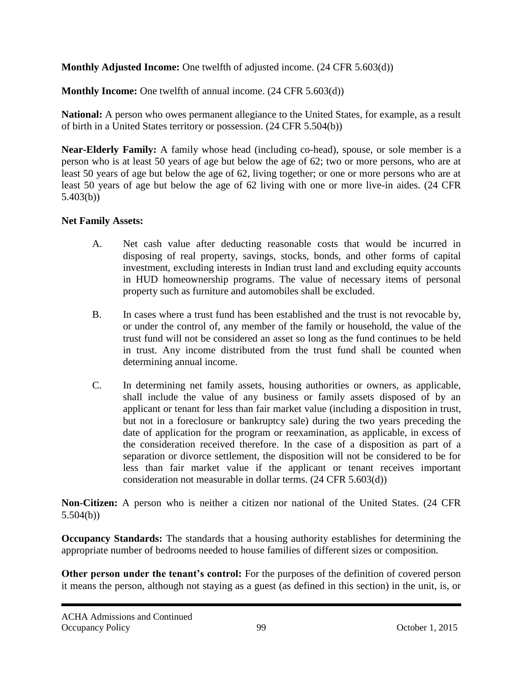**Monthly Adjusted Income:** One twelfth of adjusted income. (24 CFR 5.603(d))

**Monthly Income:** One twelfth of annual income. (24 CFR 5.603(d))

**National:** A person who owes permanent allegiance to the United States, for example, as a result of birth in a United States territory or possession. (24 CFR 5.504(b))

**Near-Elderly Family:** A family whose head (including co-head), spouse, or sole member is a person who is at least 50 years of age but below the age of 62; two or more persons, who are at least 50 years of age but below the age of 62, living together; or one or more persons who are at least 50 years of age but below the age of 62 living with one or more live-in aides. (24 CFR 5.403(b))

### **Net Family Assets:**

- A. Net cash value after deducting reasonable costs that would be incurred in disposing of real property, savings, stocks, bonds, and other forms of capital investment, excluding interests in Indian trust land and excluding equity accounts in HUD homeownership programs. The value of necessary items of personal property such as furniture and automobiles shall be excluded.
- B. In cases where a trust fund has been established and the trust is not revocable by, or under the control of, any member of the family or household, the value of the trust fund will not be considered an asset so long as the fund continues to be held in trust. Any income distributed from the trust fund shall be counted when determining annual income.
- C. In determining net family assets, housing authorities or owners, as applicable, shall include the value of any business or family assets disposed of by an applicant or tenant for less than fair market value (including a disposition in trust, but not in a foreclosure or bankruptcy sale) during the two years preceding the date of application for the program or reexamination, as applicable, in excess of the consideration received therefore. In the case of a disposition as part of a separation or divorce settlement, the disposition will not be considered to be for less than fair market value if the applicant or tenant receives important consideration not measurable in dollar terms. (24 CFR 5.603(d))

**Non-Citizen:** A person who is neither a citizen nor national of the United States. (24 CFR 5.504(b))

**Occupancy Standards:** The standards that a housing authority establishes for determining the appropriate number of bedrooms needed to house families of different sizes or composition*.*

**Other person under the tenant's control:** For the purposes of the definition of covered person it means the person, although not staying as a guest (as defined in this section) in the unit, is, or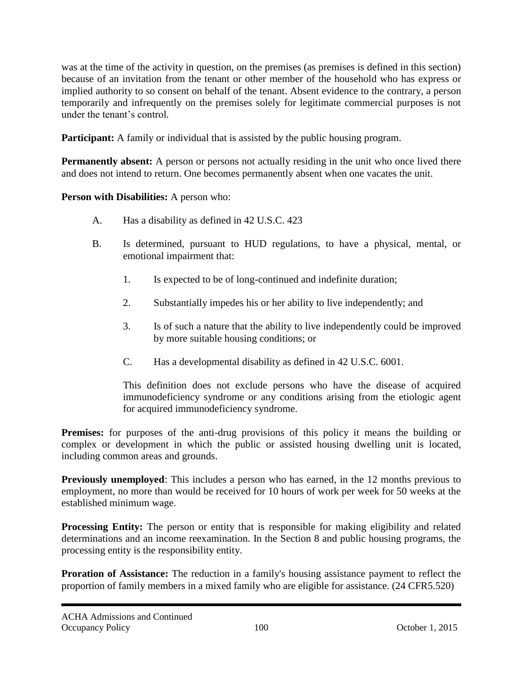was at the time of the activity in question, on the premises (as premises is defined in this section) because of an invitation from the tenant or other member of the household who has express or implied authority to so consent on behalf of the tenant. Absent evidence to the contrary, a person temporarily and infrequently on the premises solely for legitimate commercial purposes is not under the tenant's control*.*

**Participant:** A family or individual that is assisted by the public housing program.

**Permanently absent:** A person or persons not actually residing in the unit who once lived there and does not intend to return. One becomes permanently absent when one vacates the unit.

### **Person with Disabilities:** A person who:

- A. Has a disability as defined in 42 U.S.C. 423
- B. Is determined, pursuant to HUD regulations, to have a physical, mental, or emotional impairment that:
	- 1. Is expected to be of long-continued and indefinite duration;
	- 2. Substantially impedes his or her ability to live independently; and
	- 3. Is of such a nature that the ability to live independently could be improved by more suitable housing conditions; or
	- C. Has a developmental disability as defined in 42 U.S.C. 6001.

This definition does not exclude persons who have the disease of acquired immunodeficiency syndrome or any conditions arising from the etiologic agent for acquired immunodeficiency syndrome.

**Premises:** for purposes of the anti-drug provisions of this policy it means the building or complex or development in which the public or assisted housing dwelling unit is located, including common areas and grounds.

**Previously unemployed**: This includes a person who has earned, in the 12 months previous to employment, no more than would be received for 10 hours of work per week for 50 weeks at the established minimum wage.

**Processing Entity:** The person or entity that is responsible for making eligibility and related determinations and an income reexamination. In the Section 8 and public housing programs, the processing entity is the responsibility entity.

**Proration of Assistance:** The reduction in a family's housing assistance payment to reflect the proportion of family members in a mixed family who are eligible for assistance. (24 CFR5.520)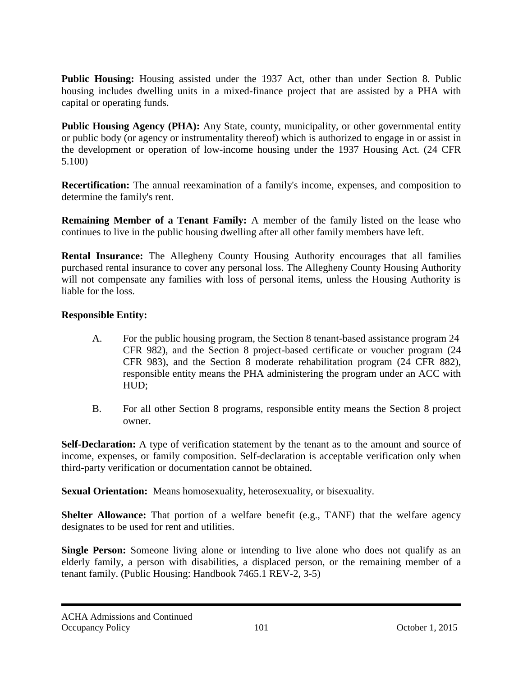**Public Housing:** Housing assisted under the 1937 Act, other than under Section 8. Public housing includes dwelling units in a mixed-finance project that are assisted by a PHA with capital or operating funds.

Public Housing Agency (PHA): Any State, county, municipality, or other governmental entity or public body (or agency or instrumentality thereof) which is authorized to engage in or assist in the development or operation of low-income housing under the 1937 Housing Act. (24 CFR 5.100)

**Recertification:** The annual reexamination of a family's income, expenses, and composition to determine the family's rent.

**Remaining Member of a Tenant Family:** A member of the family listed on the lease who continues to live in the public housing dwelling after all other family members have left.

**Rental Insurance:** The Allegheny County Housing Authority encourages that all families purchased rental insurance to cover any personal loss. The Allegheny County Housing Authority will not compensate any families with loss of personal items, unless the Housing Authority is liable for the loss.

#### **Responsible Entity:**

- A. For the public housing program, the Section 8 tenant-based assistance program 24 CFR 982), and the Section 8 project-based certificate or voucher program (24 CFR 983), and the Section 8 moderate rehabilitation program (24 CFR 882), responsible entity means the PHA administering the program under an ACC with HUD;
- B. For all other Section 8 programs, responsible entity means the Section 8 project owner.

**Self-Declaration:** A type of verification statement by the tenant as to the amount and source of income, expenses, or family composition. Self-declaration is acceptable verification only when third-party verification or documentation cannot be obtained.

**Sexual Orientation:** Means homosexuality, heterosexuality, or bisexuality.

**Shelter Allowance:** That portion of a welfare benefit (e.g., TANF) that the welfare agency designates to be used for rent and utilities.

**Single Person:** Someone living alone or intending to live alone who does not qualify as an elderly family, a person with disabilities, a displaced person, or the remaining member of a tenant family. (Public Housing: Handbook 7465.1 REV-2, 3-5)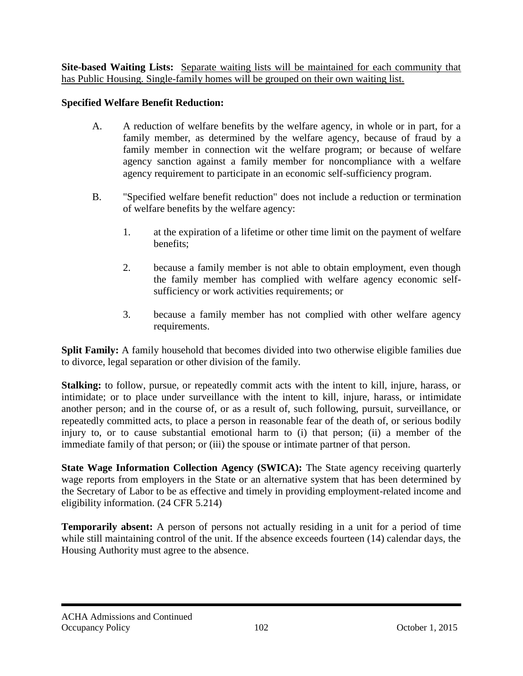**Site-based Waiting Lists:** Separate waiting lists will be maintained for each community that has Public Housing. Single-family homes will be grouped on their own waiting list.

### **Specified Welfare Benefit Reduction:**

- A. A reduction of welfare benefits by the welfare agency, in whole or in part, for a family member, as determined by the welfare agency, because of fraud by a family member in connection wit the welfare program; or because of welfare agency sanction against a family member for noncompliance with a welfare agency requirement to participate in an economic self-sufficiency program.
- B. "Specified welfare benefit reduction" does not include a reduction or termination of welfare benefits by the welfare agency:
	- 1. at the expiration of a lifetime or other time limit on the payment of welfare benefits;
	- 2. because a family member is not able to obtain employment, even though the family member has complied with welfare agency economic selfsufficiency or work activities requirements; or
	- 3. because a family member has not complied with other welfare agency requirements.

**Split Family:** A family household that becomes divided into two otherwise eligible families due to divorce, legal separation or other division of the family.

**Stalking:** to follow, pursue, or repeatedly commit acts with the intent to kill, injure, harass, or intimidate; or to place under surveillance with the intent to kill, injure, harass, or intimidate another person; and in the course of, or as a result of, such following, pursuit, surveillance, or repeatedly committed acts, to place a person in reasonable fear of the death of, or serious bodily injury to, or to cause substantial emotional harm to (i) that person; (ii) a member of the immediate family of that person; or (iii) the spouse or intimate partner of that person.

**State Wage Information Collection Agency (SWICA):** The State agency receiving quarterly wage reports from employers in the State or an alternative system that has been determined by the Secretary of Labor to be as effective and timely in providing employment-related income and eligibility information. (24 CFR 5.214)

**Temporarily absent:** A person of persons not actually residing in a unit for a period of time while still maintaining control of the unit. If the absence exceeds fourteen (14) calendar days, the Housing Authority must agree to the absence.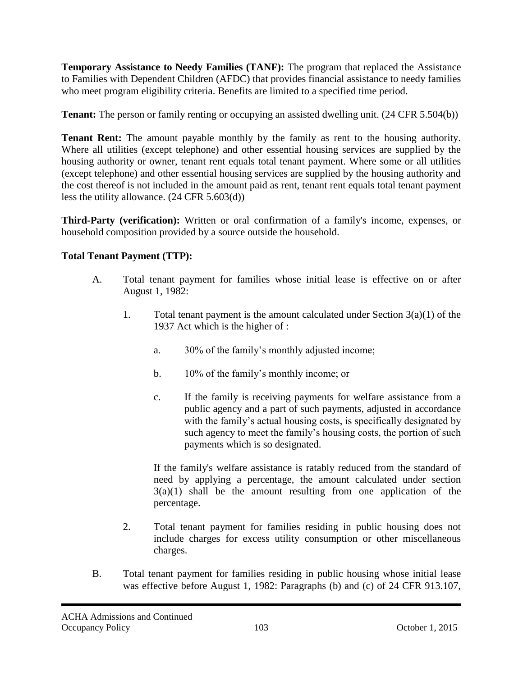**Temporary Assistance to Needy Families (TANF):** The program that replaced the Assistance to Families with Dependent Children (AFDC) that provides financial assistance to needy families who meet program eligibility criteria. Benefits are limited to a specified time period.

**Tenant:** The person or family renting or occupying an assisted dwelling unit. (24 CFR 5.504(b))

**Tenant Rent:** The amount payable monthly by the family as rent to the housing authority. Where all utilities (except telephone) and other essential housing services are supplied by the housing authority or owner, tenant rent equals total tenant payment. Where some or all utilities (except telephone) and other essential housing services are supplied by the housing authority and the cost thereof is not included in the amount paid as rent, tenant rent equals total tenant payment less the utility allowance. (24 CFR 5.603(d))

**Third-Party (verification):** Written or oral confirmation of a family's income, expenses, or household composition provided by a source outside the household.

### **Total Tenant Payment (TTP):**

- A. Total tenant payment for families whose initial lease is effective on or after August 1, 1982:
	- 1. Total tenant payment is the amount calculated under Section  $3(a)(1)$  of the 1937 Act which is the higher of :
		- a. 30% of the family's monthly adjusted income;
		- b. 10% of the family's monthly income; or
		- c. If the family is receiving payments for welfare assistance from a public agency and a part of such payments, adjusted in accordance with the family's actual housing costs, is specifically designated by such agency to meet the family's housing costs, the portion of such payments which is so designated.

If the family's welfare assistance is ratably reduced from the standard of need by applying a percentage, the amount calculated under section  $3(a)(1)$  shall be the amount resulting from one application of the percentage.

- 2. Total tenant payment for families residing in public housing does not include charges for excess utility consumption or other miscellaneous charges.
- B. Total tenant payment for families residing in public housing whose initial lease was effective before August 1, 1982: Paragraphs (b) and (c) of 24 CFR 913.107,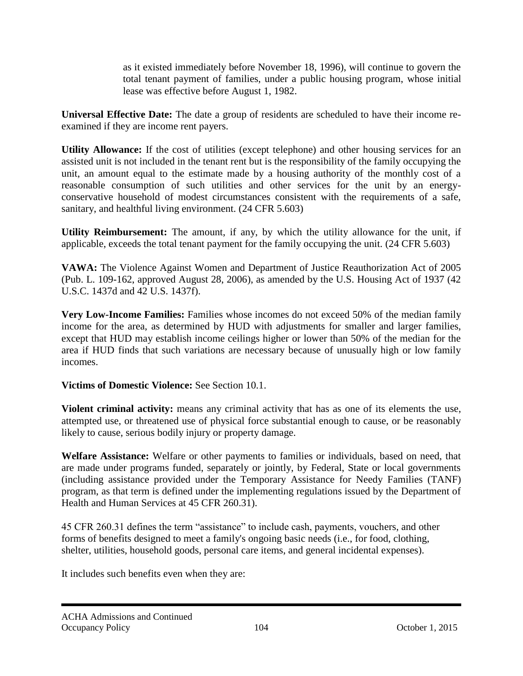as it existed immediately before November 18, 1996), will continue to govern the total tenant payment of families, under a public housing program, whose initial lease was effective before August 1, 1982.

**Universal Effective Date:** The date a group of residents are scheduled to have their income reexamined if they are income rent payers.

**Utility Allowance:** If the cost of utilities (except telephone) and other housing services for an assisted unit is not included in the tenant rent but is the responsibility of the family occupying the unit, an amount equal to the estimate made by a housing authority of the monthly cost of a reasonable consumption of such utilities and other services for the unit by an energyconservative household of modest circumstances consistent with the requirements of a safe, sanitary, and healthful living environment. (24 CFR 5.603)

**Utility Reimbursement:** The amount, if any, by which the utility allowance for the unit, if applicable, exceeds the total tenant payment for the family occupying the unit. (24 CFR 5.603)

**VAWA:** The Violence Against Women and Department of Justice Reauthorization Act of 2005 (Pub. L. 109-162, approved August 28, 2006), as amended by the U.S. Housing Act of 1937 (42 U.S.C. 1437d and 42 U.S. 1437f).

**Very Low-Income Families:** Families whose incomes do not exceed 50% of the median family income for the area, as determined by HUD with adjustments for smaller and larger families, except that HUD may establish income ceilings higher or lower than 50% of the median for the area if HUD finds that such variations are necessary because of unusually high or low family incomes.

**Victims of Domestic Violence:** See Section 10.1.

**Violent criminal activity:** means any criminal activity that has as one of its elements the use, attempted use, or threatened use of physical force substantial enough to cause, or be reasonably likely to cause, serious bodily injury or property damage.

**Welfare Assistance:** Welfare or other payments to families or individuals, based on need, that are made under programs funded, separately or jointly, by Federal, State or local governments (including assistance provided under the Temporary Assistance for Needy Families (TANF) program, as that term is defined under the implementing regulations issued by the Department of Health and Human Services at 45 CFR 260.31).

45 CFR 260.31 defines the term "assistance" to include cash, payments, vouchers, and other forms of benefits designed to meet a family's ongoing basic needs (i.e., for food, clothing, shelter, utilities, household goods, personal care items, and general incidental expenses).

It includes such benefits even when they are: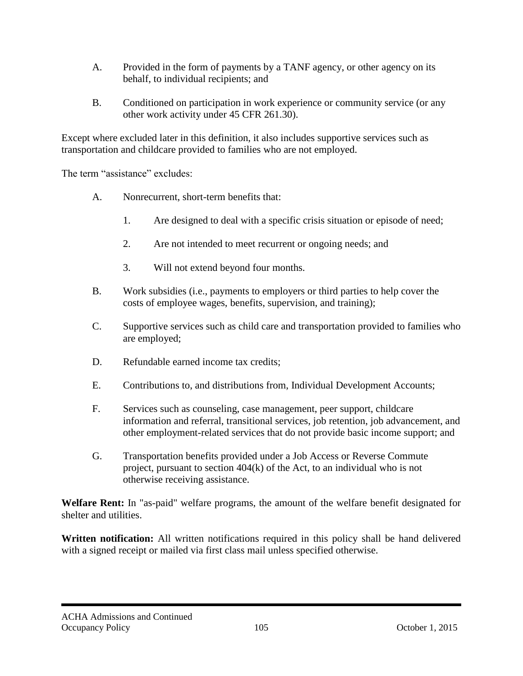- A. Provided in the form of payments by a TANF agency, or other agency on its behalf, to individual recipients; and
- B. Conditioned on participation in work experience or community service (or any other work activity under 45 CFR 261.30).

Except where excluded later in this definition, it also includes supportive services such as transportation and childcare provided to families who are not employed.

The term "assistance" excludes:

- A. Nonrecurrent, short-term benefits that:
	- 1. Are designed to deal with a specific crisis situation or episode of need;
	- 2. Are not intended to meet recurrent or ongoing needs; and
	- 3. Will not extend beyond four months.
- B. Work subsidies (i.e., payments to employers or third parties to help cover the costs of employee wages, benefits, supervision, and training);
- C. Supportive services such as child care and transportation provided to families who are employed;
- D. Refundable earned income tax credits;
- E. Contributions to, and distributions from, Individual Development Accounts;
- F. Services such as counseling, case management, peer support, childcare information and referral, transitional services, job retention, job advancement, and other employment-related services that do not provide basic income support; and
- G. Transportation benefits provided under a Job Access or Reverse Commute project, pursuant to section 404(k) of the Act, to an individual who is not otherwise receiving assistance.

**Welfare Rent:** In "as-paid" welfare programs, the amount of the welfare benefit designated for shelter and utilities.

**Written notification:** All written notifications required in this policy shall be hand delivered with a signed receipt or mailed via first class mail unless specified otherwise.